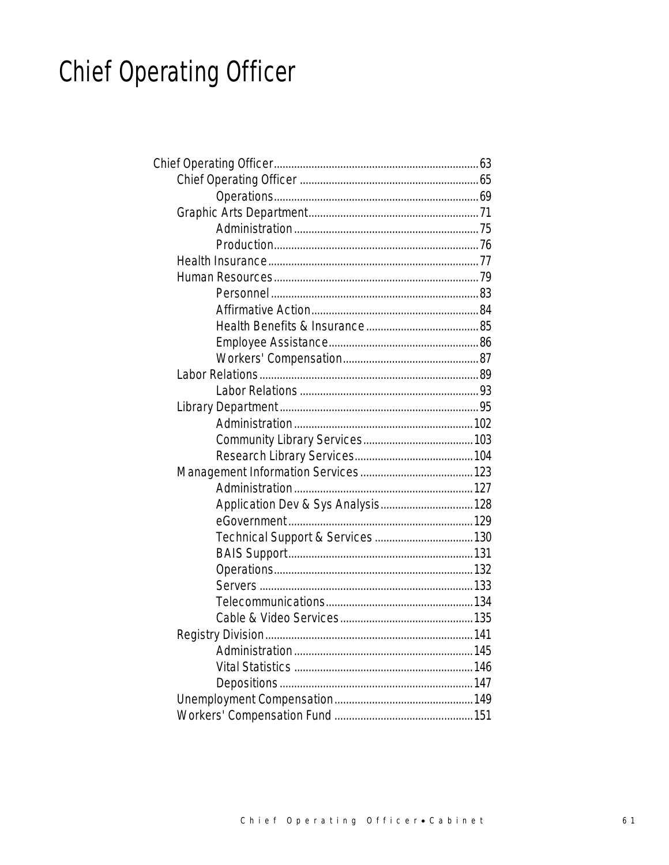# **Chief Operating Officer**

| Application Dev & Sys Analysis 128 |  |
|------------------------------------|--|
|                                    |  |
|                                    |  |
|                                    |  |
|                                    |  |
|                                    |  |
|                                    |  |
|                                    |  |
|                                    |  |
|                                    |  |
|                                    |  |
|                                    |  |
|                                    |  |
|                                    |  |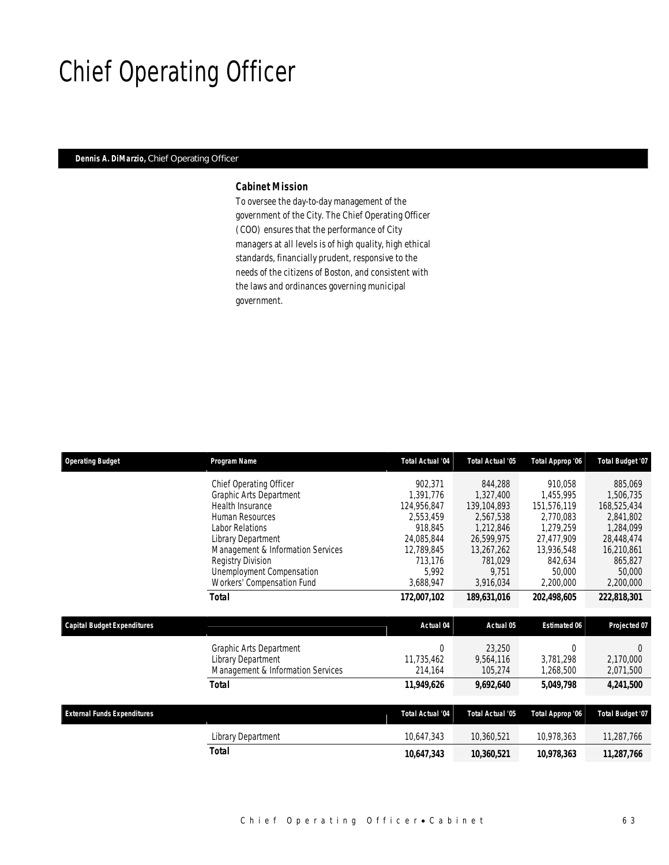# Chief Operating Officer

#### *Dennis A. DiMarzio, Chief Operating Officer*

#### *Cabinet Mission*

To oversee the day-to-day management of the government of the City. The Chief Operating Officer (COO) ensures that the performance of City managers at all levels is of high quality, high ethical standards, financially prudent, responsive to the needs of the citizens of Boston, and consistent with the laws and ordinances governing municipal government.

| <b>Operating Budget</b>            | Program Name                                                  | <b>Total Actual '04</b> | <b>Total Actual '05</b> | Total Approp '06      | Total Budget '07        |
|------------------------------------|---------------------------------------------------------------|-------------------------|-------------------------|-----------------------|-------------------------|
|                                    | Chief Operating Officer                                       | 902,371                 | 844,288                 | 910,058               | 885,069                 |
|                                    | Graphic Arts Department                                       | 1,391,776               | 1,327,400               | 1,455,995             | 1,506,735               |
|                                    | Health Insurance                                              | 124,956,847             | 139,104,893             | 151,576,119           | 168,525,434             |
|                                    | Human Resources                                               | 2,553,459               | 2,567,538               | 2,770,083             | 2,841,802               |
|                                    | <b>Labor Relations</b>                                        | 918,845                 | 1,212,846               | 1,279,259             | 1,284,099               |
|                                    | <b>Library Department</b>                                     | 24,085,844              | 26,599,975              | 27,477,909            | 28,448,474              |
|                                    | Management & Information Services<br><b>Registry Division</b> | 12,789,845<br>713,176   | 13,267,262<br>781,029   | 13,936,548<br>842,634 | 16,210,861<br>865,827   |
|                                    | Unemployment Compensation                                     | 5,992                   | 9,751                   | 50,000                | 50,000                  |
|                                    | Workers' Compensation Fund                                    | 3,688,947               | 3,916,034               | 2,200,000             | 2,200,000               |
|                                    | <b>Total</b>                                                  | 172,007,102             | 189,631,016             | 202,498,605           | 222,818,301             |
| <b>Capital Budget Expenditures</b> |                                                               | Actual 04               | Actual 05               | <b>Estimated 06</b>   | Projected 07            |
|                                    |                                                               |                         |                         |                       |                         |
|                                    | Graphic Arts Department                                       | $\Omega$                | 23,250                  | 0                     | $\Omega$                |
|                                    | Library Department                                            | 11,735,462              | 9,564,116               | 3,781,298             | 2,170,000               |
|                                    | Management & Information Services                             | 214,164                 | 105,274                 | 1,268,500             | 2,071,500               |
|                                    | Total                                                         | 11,949,626              | 9,692,640               | 5,049,798             | 4,241,500               |
|                                    |                                                               |                         |                         |                       |                         |
|                                    |                                                               |                         |                         |                       |                         |
| <b>External Funds Expenditures</b> |                                                               | <b>Total Actual '04</b> | <b>Total Actual '05</b> | Total Approp '06      | <b>Total Budget '07</b> |
|                                    | Library Department                                            | 10,647,343              | 10,360,521              | 10,978,363            | 11,287,766              |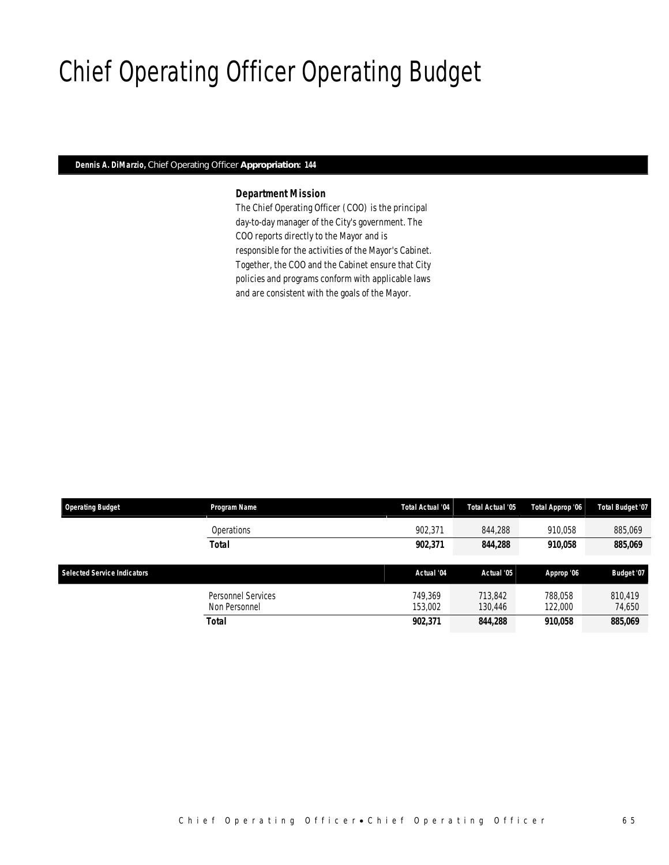# Chief Operating Officer Operating Budget

*Dennis A. DiMarzio, Chief Operating Officer Appropriation: 144* 

## *Department Mission*

The Chief Operating Officer (COO) is the principal day-to-day manager of the City's government. The COO reports directly to the Mayor and is responsible for the activities of the Mayor's Cabinet. Together, the COO and the Cabinet ensure that City policies and programs conform with applicable laws and are consistent with the goals of the Mayor.

| <b>Operating Budget</b>            | Program Name                               | Total Actual '04   | Total Actual '05   | Total Approp '06   | Total Budget '07  |
|------------------------------------|--------------------------------------------|--------------------|--------------------|--------------------|-------------------|
|                                    | Operations                                 | 902,371            | 844.288            | 910.058            | 885,069           |
|                                    | Total                                      | 902,371            | 844,288            | 910.058            | 885,069           |
| <b>Selected Service Indicators</b> |                                            | Actual '04         | Actual '05         | Approp '06         | Budget '07        |
|                                    |                                            |                    |                    |                    |                   |
|                                    | <b>Personnel Services</b><br>Non Personnel | 749.369<br>153,002 | 713.842<br>130.446 | 788.058<br>122.000 | 810,419<br>74,650 |
|                                    | Total                                      | 902.371            | 844,288            | 910,058            | 885,069           |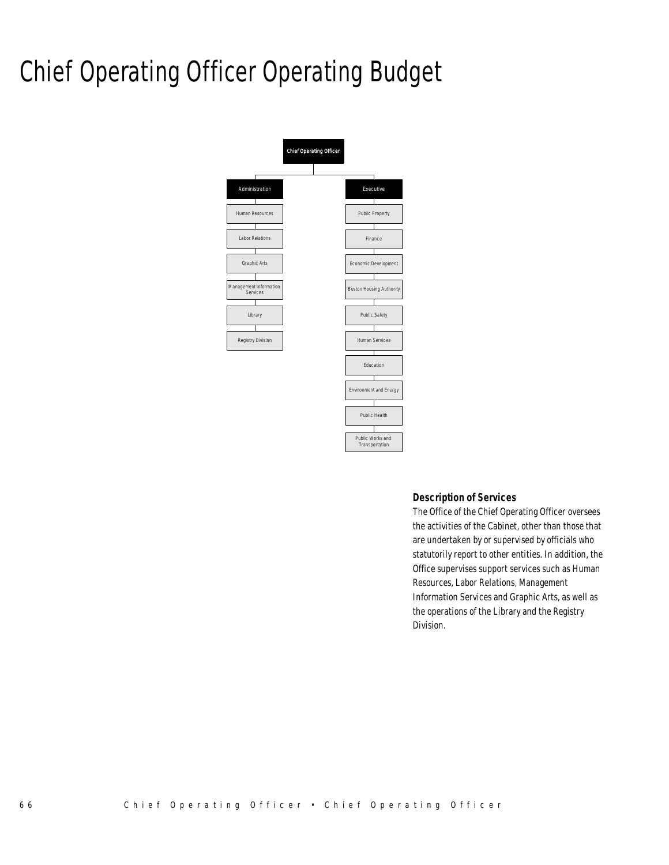# Chief Operating Officer Operating Budget



Public Works and Transportation

#### *Description of Services*

The Office of the Chief Operating Officer oversees the activities of the Cabinet, other than those that are undertaken by or supervised by officials who statutorily report to other entities. In addition, the Office supervises support services such as Human Resources, Labor Relations, Management Information Services and Graphic Arts, as well as the operations of the Library and the Registry Division.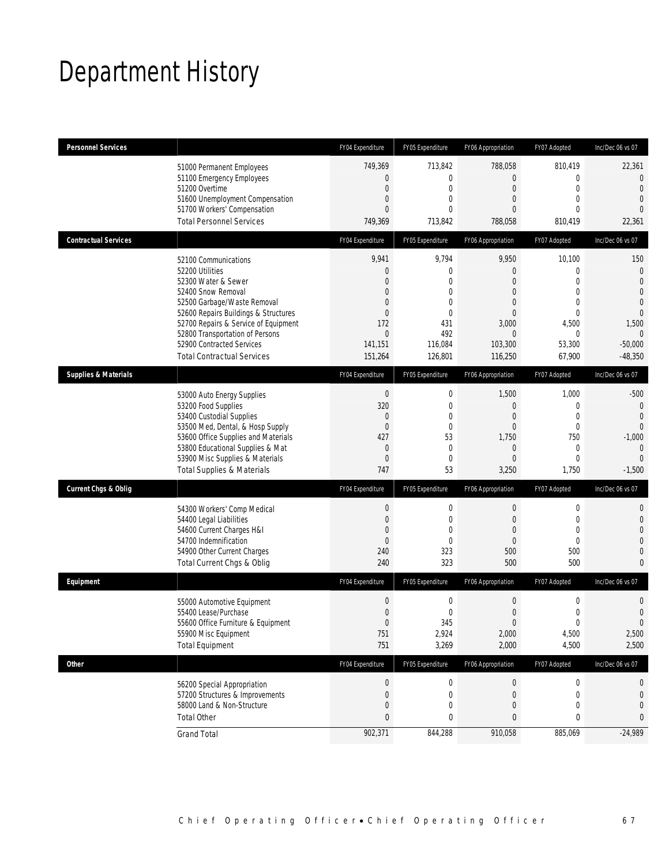# Department History

| <b>Personnel Services</b>       |                                                                              | FY04 Expenditure           | FY05 Expenditure         | FY06 Appropriation         | FY07 Adopted                   | Inc/Dec 06 vs 07              |
|---------------------------------|------------------------------------------------------------------------------|----------------------------|--------------------------|----------------------------|--------------------------------|-------------------------------|
|                                 |                                                                              |                            |                          |                            |                                |                               |
|                                 | 51000 Permanent Employees<br>51100 Emergency Employees                       | 749,369<br>$\mathbf{0}$    | 713,842<br>0             | 788,058<br>0               | 810,419<br>0                   | 22,361<br>$\overline{0}$      |
|                                 | 51200 Overtime                                                               | $\theta$                   | 0                        | $\overline{0}$             | $\overline{0}$                 | $\overline{0}$                |
|                                 | 51600 Unemployment Compensation                                              | $\mathbf 0$                | $\overline{0}$           | $\overline{0}$             | $\overline{0}$                 | $\overline{0}$                |
|                                 | 51700 Workers' Compensation                                                  | $\Omega$                   | $\Omega$                 | $\Omega$                   | $\overline{0}$                 | $\overline{0}$                |
|                                 | <b>Total Personnel Services</b>                                              | 749,369                    | 713,842                  | 788,058                    | 810,419                        | 22,361                        |
| <b>Contractual Services</b>     |                                                                              | FY04 Expenditure           | FY05 Expenditure         | FY06 Appropriation         | FY07 Adopted                   | Inc/Dec 06 vs 07              |
|                                 | 52100 Communications                                                         | 9,941                      | 9,794                    | 9,950                      | 10,100                         | 150                           |
|                                 | 52200 Utilities                                                              | $\mathbf{0}$               | $\mathbf{0}$             | $\overline{0}$             | $\overline{0}$                 | $\mathbf{0}$                  |
|                                 | 52300 Water & Sewer                                                          | $\mathbf{0}$               | $\overline{0}$           | $\overline{0}$             | $\overline{0}$                 | $\mathbf{0}$                  |
|                                 | 52400 Snow Removal                                                           | $\mathbf{0}$               | 0                        | $\overline{0}$             | $\mathbf 0$                    | $\overline{0}$                |
|                                 | 52500 Garbage/Waste Removal                                                  | $\overline{0}$<br>$\theta$ | $\mathbf{0}$<br>$\theta$ | $\overline{0}$<br>$\Omega$ | $\mathbf{0}$<br>$\overline{0}$ | $\mathbf 0$<br>$\overline{0}$ |
|                                 | 52600 Repairs Buildings & Structures<br>52700 Repairs & Service of Equipment | 172                        | 431                      | 3,000                      | 4,500                          | 1,500                         |
|                                 | 52800 Transportation of Persons                                              | $\mathbf{0}$               | 492                      | $\Omega$                   | 0                              | $\overline{0}$                |
|                                 | 52900 Contracted Services                                                    | 141,151                    | 116,084                  | 103,300                    | 53,300                         | $-50,000$                     |
|                                 | <b>Total Contractual Services</b>                                            | 151,264                    | 126,801                  | 116,250                    | 67,900                         | $-48,350$                     |
| <b>Supplies &amp; Materials</b> |                                                                              | FY04 Expenditure           | FY05 Expenditure         | FY06 Appropriation         | FY07 Adopted                   | Inc/Dec 06 vs 07              |
|                                 | 53000 Auto Energy Supplies                                                   | $\mathbf{0}$               | $\mathbf 0$              | 1,500                      | 1,000                          | $-500$                        |
|                                 | 53200 Food Supplies                                                          | 320                        | $\mathbf 0$              | $\mathbf 0$                | $\mathbf 0$                    | $\overline{0}$                |
|                                 | 53400 Custodial Supplies                                                     | $\mathbf 0$                | $\mathbf{0}$             | $\overline{0}$             | $\overline{0}$                 | $\mathbf{0}$                  |
|                                 | 53500 Med, Dental, & Hosp Supply                                             | $\mathbf{0}$               | $\mathbf 0$              | $\mathbf 0$                | $\mathbf 0$                    | $\mathbf 0$                   |
|                                 | 53600 Office Supplies and Materials                                          | 427                        | 53                       | 1,750                      | 750                            | $-1,000$                      |
|                                 | 53800 Educational Supplies & Mat                                             | $\mathbf 0$                | $\mathbf{0}$             | $\overline{0}$             | 0                              | $\overline{0}$                |
|                                 | 53900 Misc Supplies & Materials                                              | $\mathbf{0}$               | $\overline{0}$           | $\Omega$                   | $\overline{0}$                 | $\overline{0}$                |
|                                 | <b>Total Supplies &amp; Materials</b>                                        | 747                        | 53                       | 3,250                      | 1,750                          | $-1,500$                      |
| <b>Current Chgs &amp; Oblig</b> |                                                                              | FY04 Expenditure           | FY05 Expenditure         | FY06 Appropriation         | FY07 Adopted                   | Inc/Dec 06 vs 07              |
|                                 | 54300 Workers' Comp Medical                                                  | $\theta$                   | $\mathbf 0$              | 0                          | 0                              | 0                             |
|                                 | 54400 Legal Liabilities                                                      | $\overline{0}$             | $\overline{0}$           | $\boldsymbol{0}$           | $\overline{0}$                 | $\mathbf{0}$                  |
|                                 | 54600 Current Charges H&I                                                    | $\overline{0}$             | $\overline{0}$           | $\overline{0}$             | $\overline{0}$                 | $\overline{0}$                |
|                                 | 54700 Indemnification                                                        | $\theta$                   | $\mathbf{0}$             | $\overline{0}$             | $\mathbf 0$                    | $\overline{0}$                |
|                                 | 54900 Other Current Charges                                                  | 240                        | 323                      | 500                        | 500                            | $\mathbf 0$                   |
|                                 | Total Current Chgs & Oblig                                                   | 240                        | 323                      | 500                        | 500                            | $\mathbf{0}$                  |
| Equipment                       |                                                                              | FY04 Expenditure           | FY05 Expenditure         | FY06 Appropriation         | FY07 Adopted                   | Inc/Dec 06 vs 07              |
|                                 | 55000 Automotive Equipment                                                   | $\mathbf 0$                | $\mathbf 0$              | $\boldsymbol{0}$           | $\mathbf 0$                    | $\mathbf 0$                   |
|                                 | 55400 Lease/Purchase                                                         | $\mathbf{0}$               | $\mathbf{0}$             | $\mathbf 0$                | 0                              | $\mathbf 0$                   |
|                                 | 55600 Office Furniture & Equipment                                           | $\boldsymbol{0}$           | 345                      | $\Omega$                   | $\Omega$                       | $\Omega$                      |
|                                 | 55900 Misc Equipment                                                         | 751                        | 2,924                    | 2,000                      | 4,500                          | 2,500                         |
|                                 | <b>Total Equipment</b>                                                       | 751                        | 3,269                    | 2,000                      | 4,500                          | 2,500                         |
| Other                           |                                                                              | FY04 Expenditure           | FY05 Expenditure         | FY06 Appropriation         | FY07 Adopted                   | Inc/Dec 06 vs 07              |
|                                 | 56200 Special Appropriation                                                  | $\boldsymbol{0}$           | $\boldsymbol{0}$         | $\boldsymbol{0}$           | $\boldsymbol{0}$               | 0                             |
|                                 | 57200 Structures & Improvements                                              | $\mathbf 0$                | $\mathbf 0$              | 0                          | 0                              | 0                             |
|                                 | 58000 Land & Non-Structure                                                   | $\mathbf 0$                | 0                        | $\mathbf 0$                | 0                              | 0                             |
|                                 | <b>Total Other</b>                                                           | $\bf{0}$                   | 0                        | 0                          | 0                              | 0                             |
|                                 | <b>Grand Total</b>                                                           | 902,371                    | 844,288                  | 910,058                    | 885,069                        | $-24,989$                     |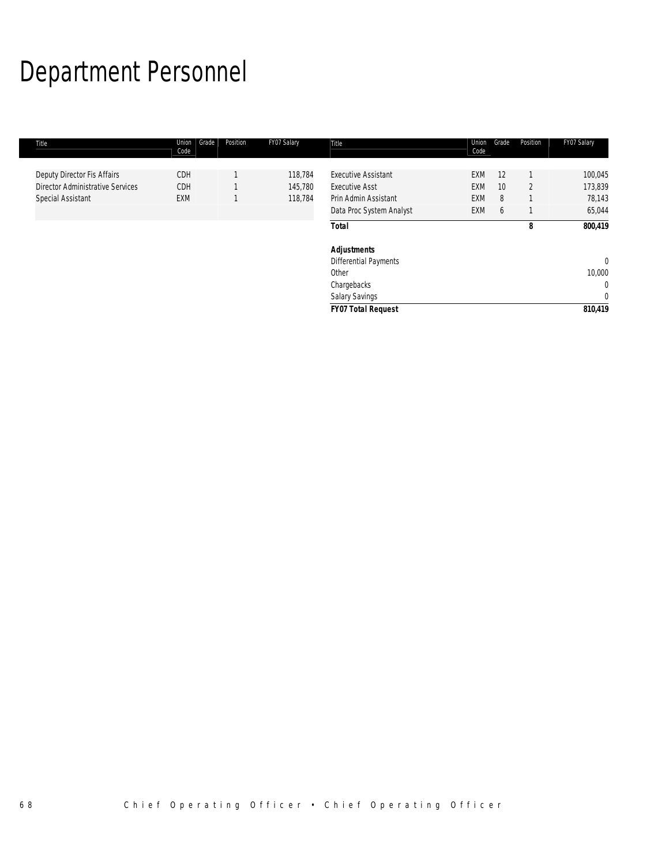# Department Personnel

| Title                                   | Grade<br>Union<br>Code | Position | FY07 Salary | Title                        | Union<br>Code | Grade | Position       | FY07 Salary |
|-----------------------------------------|------------------------|----------|-------------|------------------------------|---------------|-------|----------------|-------------|
| Deputy Director Fis Affairs             | <b>CDH</b>             |          | 118,784     | <b>Executive Assistant</b>   | EXM           | 12    |                | 100,045     |
| <b>Director Administrative Services</b> | CDH                    |          | 145,780     | <b>Executive Asst</b>        | EXM           | 10    | $\overline{2}$ | 173,839     |
| Special Assistant                       | EXM                    |          | 118,784     | Prin Admin Assistant         | <b>EXM</b>    | 8     |                | 78,143      |
|                                         |                        |          |             | Data Proc System Analyst     | <b>EXM</b>    | b     |                | 65,044      |
|                                         |                        |          |             | <b>Total</b>                 |               |       | 8              | 800,419     |
|                                         |                        |          |             | <b>Adjustments</b>           |               |       |                |             |
|                                         |                        |          |             | <b>Differential Payments</b> |               |       |                | $\theta$    |
|                                         |                        |          |             | Other                        |               |       |                | 10,000      |
|                                         |                        |          |             | Chargebacks                  |               |       |                | $\mathbf 0$ |
|                                         |                        |          |             | Salary Savings               |               |       |                | 0           |
|                                         |                        |          |             | <b>FY07 Total Request</b>    |               |       |                | 810,419     |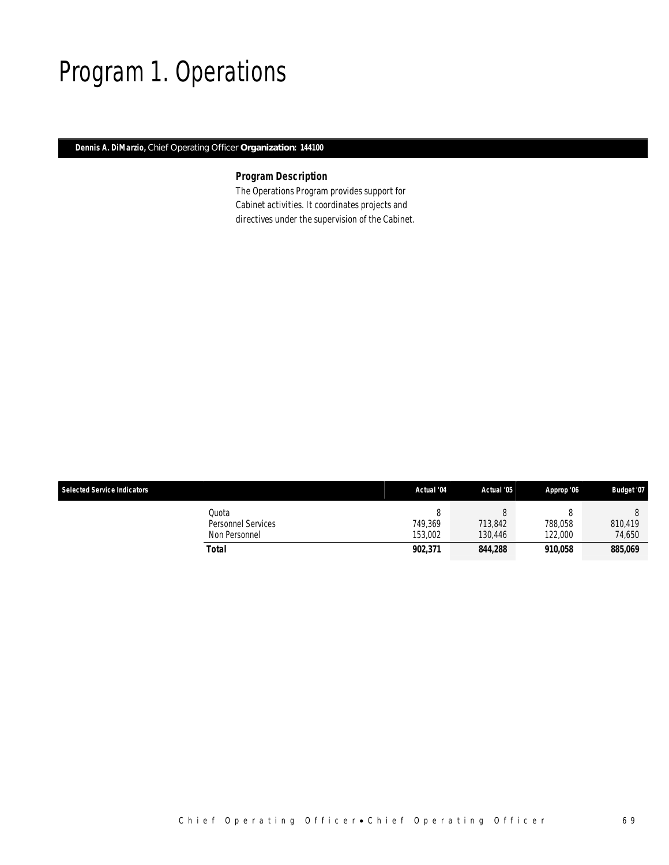# Program 1. Operations

*Dennis A. DiMarzio, Chief Operating Officer Organization: 144100* 

## *Program Description*

The Operations Program provides support for Cabinet activities. It coordinates projects and directives under the supervision of the Cabinet.

| <b>Selected Service Indicators</b>           | Actual '04         | Actual '05         | Approp '06         | Budget '07        |
|----------------------------------------------|--------------------|--------------------|--------------------|-------------------|
| Quota<br>Personnel Services<br>Non Personnel | 749.369<br>153.002 | 713,842<br>130,446 | 788.058<br>122,000 | 810.419<br>74.650 |
| Total                                        | 902,371            | 844,288            | 910.058            | 885,069           |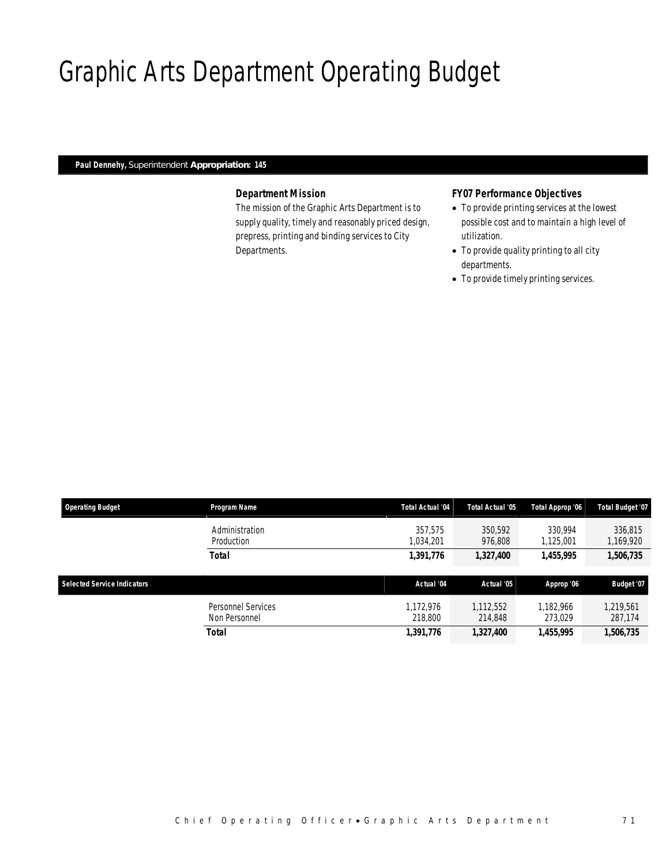# Graphic Arts Department Operating Budget

## *Paul Dennehy, Superintendent Appropriation: 145*

## *Department Mission*

The mission of the Graphic Arts Department is to supply quality, timely and reasonably priced design, prepress, printing and binding services to City Departments.

#### *FY07 Performance Objectives*

- To provide printing services at the lowest possible cost and to maintain a high level of utilization.
- To provide quality printing to all city departments.
- To provide timely printing services.

| <b>Operating Budget</b>            | Program Name                        | <b>Total Actual '04</b> | <b>Total Actual '05</b> | Total Approp '06       | <b>Total Budget '07</b> |
|------------------------------------|-------------------------------------|-------------------------|-------------------------|------------------------|-------------------------|
|                                    | Administration                      | 357.575                 | 350.592                 | 330.994                | 336,815                 |
|                                    | Production<br>Total                 | 1.034.201<br>1,391,776  | 976.808<br>1,327,400    | 1,125,001<br>1,455,995 | 1,169,920<br>1,506,735  |
|                                    |                                     |                         |                         |                        |                         |
| <b>Selected Service Indicators</b> |                                     | Actual '04              | Actual '05              | Approp '06             | Budget '07              |
|                                    | Personnel Services<br>Non Personnel | 1.172.976<br>218,800    | 1,112,552<br>214,848    | 1.182.966<br>273.029   | 1,219,561<br>287,174    |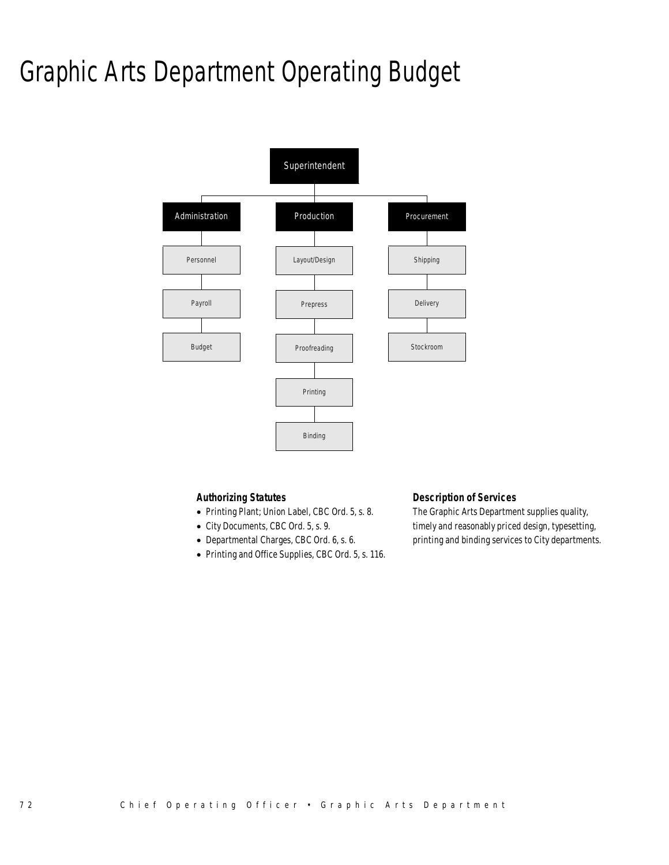# Graphic Arts Department Operating Budget



#### *Authorizing Statutes*

- Printing Plant; Union Label, CBC Ord. 5, s. 8.
- City Documents, CBC Ord. 5, s. 9.
- Departmental Charges, CBC Ord. 6, s. 6.
- Printing and Office Supplies, CBC Ord. 5, s. 116.

#### *Description of Services*

The Graphic Arts Department supplies quality, timely and reasonably priced design, typesetting, printing and binding services to City departments.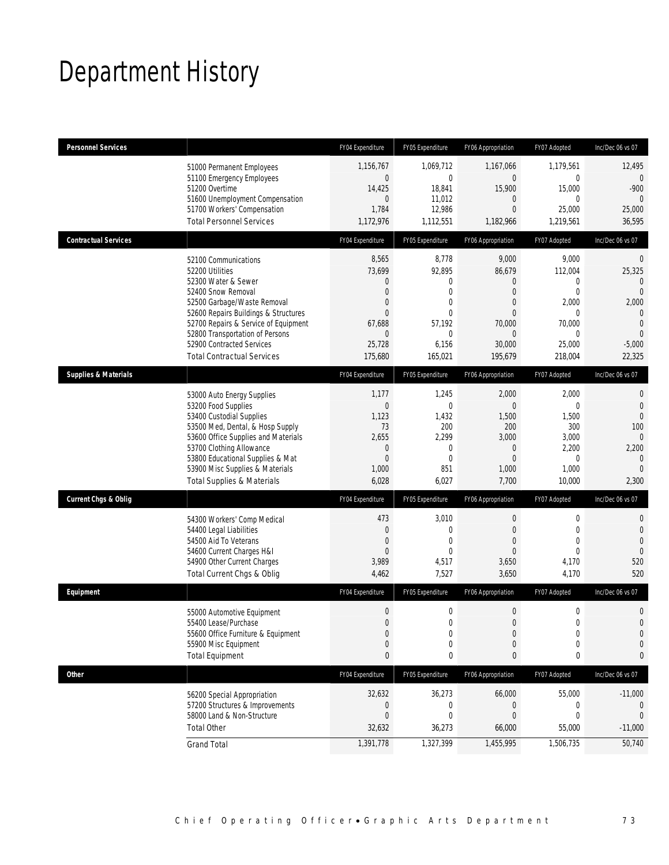# Department History

| <b>Personnel Services</b>       |                                                                                                                                                                                                                                                                                                          | FY04 Expenditure                                                                                                           | FY05 Expenditure                                                                                             | FY06 Appropriation                                                                                                                 | FY07 Adopted                                                                                                | Inc/Dec 06 vs 07                                                                                                           |
|---------------------------------|----------------------------------------------------------------------------------------------------------------------------------------------------------------------------------------------------------------------------------------------------------------------------------------------------------|----------------------------------------------------------------------------------------------------------------------------|--------------------------------------------------------------------------------------------------------------|------------------------------------------------------------------------------------------------------------------------------------|-------------------------------------------------------------------------------------------------------------|----------------------------------------------------------------------------------------------------------------------------|
|                                 | 51000 Permanent Employees<br>51100 Emergency Employees<br>51200 Overtime<br>51600 Unemployment Compensation<br>51700 Workers' Compensation<br><b>Total Personnel Services</b>                                                                                                                            | 1,156,767<br>$\mathbf 0$<br>14,425<br>$\mathbf{0}$<br>1,784<br>1,172,976                                                   | 1,069,712<br>$\mathbf 0$<br>18,841<br>11,012<br>12,986<br>1,112,551                                          | 1.167.066<br>$\mathbf{0}$<br>15,900<br>$\overline{0}$<br>$\overline{0}$<br>1,182,966                                               | 1.179.561<br>$\mathbf{0}$<br>15,000<br>$\Omega$<br>25,000<br>1,219,561                                      | 12,495<br>$\theta$<br>$-900$<br>$\overline{0}$<br>25,000<br>36,595                                                         |
| <b>Contractual Services</b>     |                                                                                                                                                                                                                                                                                                          | FY04 Expenditure                                                                                                           | FY05 Expenditure                                                                                             | FY06 Appropriation                                                                                                                 | FY07 Adopted                                                                                                | Inc/Dec 06 vs 07                                                                                                           |
|                                 | 52100 Communications<br>52200 Utilities<br>52300 Water & Sewer<br>52400 Snow Removal<br>52500 Garbage/Waste Removal<br>52600 Repairs Buildings & Structures<br>52700 Repairs & Service of Equipment<br>52800 Transportation of Persons<br>52900 Contracted Services<br><b>Total Contractual Services</b> | 8,565<br>73,699<br>$\mathbf{0}$<br>$\mathbf{0}$<br>$\mathbf{0}$<br>$\Omega$<br>67,688<br>$\mathbf{0}$<br>25,728<br>175,680 | 8,778<br>92,895<br>0<br>$\mathbf 0$<br>$\mathbf 0$<br>$\theta$<br>57,192<br>$\mathbf{0}$<br>6,156<br>165,021 | 9,000<br>86,679<br>$\overline{0}$<br>$\overline{0}$<br>$\overline{0}$<br>$\Omega$<br>70,000<br>$\overline{0}$<br>30,000<br>195,679 | 9,000<br>112,004<br>$\mathbf 0$<br>$\theta$<br>2,000<br>$\Omega$<br>70,000<br>$\Omega$<br>25,000<br>218,004 | $\mathbf 0$<br>25,325<br>$\Omega$<br>$\Omega$<br>2,000<br>$\mathbf{0}$<br>$\overline{0}$<br>$\Omega$<br>$-5,000$<br>22,325 |
| <b>Supplies &amp; Materials</b> |                                                                                                                                                                                                                                                                                                          | FY04 Expenditure                                                                                                           | FY05 Expenditure                                                                                             | FY06 Appropriation                                                                                                                 | FY07 Adopted                                                                                                | Inc/Dec 06 vs 07                                                                                                           |
|                                 | 53000 Auto Energy Supplies<br>53200 Food Supplies<br>53400 Custodial Supplies<br>53500 Med, Dental, & Hosp Supply<br>53600 Office Supplies and Materials<br>53700 Clothing Allowance<br>53800 Educational Supplies & Mat<br>53900 Misc Supplies & Materials<br><b>Total Supplies &amp; Materials</b>     | 1,177<br>$\overline{0}$<br>1,123<br>73<br>2,655<br>$\overline{0}$<br>$\overline{0}$<br>1,000<br>6,028                      | 1,245<br>$\mathbf{0}$<br>1,432<br>200<br>2,299<br>$\mathbf{0}$<br>$\mathbf{0}$<br>851<br>6,027               | 2,000<br>$\overline{0}$<br>1,500<br>200<br>3,000<br>$\overline{0}$<br>$\Omega$<br>1,000<br>7,700                                   | 2,000<br>$\theta$<br>1,500<br>300<br>3,000<br>2,200<br>$\Omega$<br>1,000<br>10,000                          | 0<br>$\overline{0}$<br>$\mathbf{0}$<br>100<br>$\theta$<br>2,200<br>$\theta$<br>$\mathbf{0}$<br>2,300                       |
| <b>Current Chgs &amp; Oblig</b> |                                                                                                                                                                                                                                                                                                          | FY04 Expenditure                                                                                                           | FY05 Expenditure                                                                                             | FY06 Appropriation                                                                                                                 | FY07 Adopted                                                                                                | Inc/Dec 06 vs 07                                                                                                           |
| Equipment                       | 54300 Workers' Comp Medical<br>54400 Legal Liabilities<br>54500 Aid To Veterans<br>54600 Current Charges H&I<br>54900 Other Current Charges<br>Total Current Chgs & Oblig                                                                                                                                | 473<br>$\overline{0}$<br>$\mathbf 0$<br>$\overline{0}$<br>3,989<br>4,462<br>FY04 Expenditure                               | 3,010<br>$\mathbf{0}$<br>0<br>$\mathbf{0}$<br>4,517<br>7,527<br>FY05 Expenditure                             | $\mathbf 0$<br>$\overline{0}$<br>$\overline{0}$<br>$\Omega$<br>3,650<br>3,650<br>FY06 Appropriation                                | $\mathbf 0$<br>$\Omega$<br>$\overline{0}$<br>$\Omega$<br>4,170<br>4,170<br>FY07 Adopted                     | 0<br>$\mathbf{0}$<br>$\mathbf{0}$<br>$\theta$<br>520<br>520<br>Inc/Dec 06 vs 07                                            |
|                                 | 55000 Automotive Equipment<br>55400 Lease/Purchase                                                                                                                                                                                                                                                       | $\boldsymbol{0}$<br>$\Omega$                                                                                               | $\mathbf 0$<br>$\Omega$                                                                                      | $\boldsymbol{0}$<br>$\Omega$                                                                                                       | $\boldsymbol{0}$<br>$\theta$                                                                                | $\mathbf 0$<br>$\Omega$                                                                                                    |
|                                 | 55600 Office Furniture & Equipment<br>55900 Misc Equipment<br><b>Total Equipment</b>                                                                                                                                                                                                                     | $\boldsymbol{0}$<br>$\overline{0}$<br>0                                                                                    | $\mathbf 0$<br>0<br>0                                                                                        | $\mathbf 0$<br>0<br>0                                                                                                              | $\mathbf 0$<br>$\mathbf 0$<br>0                                                                             | $\mathbf 0$<br>0<br>$\bf{0}$                                                                                               |
| Other                           |                                                                                                                                                                                                                                                                                                          | FY04 Expenditure                                                                                                           | FY05 Expenditure                                                                                             | FY06 Appropriation                                                                                                                 | FY07 Adopted                                                                                                | Inc/Dec 06 vs 07                                                                                                           |
|                                 | 56200 Special Appropriation<br>57200 Structures & Improvements<br>58000 Land & Non-Structure<br><b>Total Other</b>                                                                                                                                                                                       | 32,632<br>0<br>$\mathbf{0}$<br>32,632                                                                                      | 36,273<br>0<br>$\Omega$<br>36,273                                                                            | 66,000<br>$\mathbf 0$<br>$\overline{0}$<br>66,000                                                                                  | 55,000<br>0<br>$\Omega$<br>55,000                                                                           | $-11,000$<br>$\mathbf 0$<br>$\mathbf{0}$<br>$-11,000$                                                                      |
|                                 | <b>Grand Total</b>                                                                                                                                                                                                                                                                                       | 1,391,778                                                                                                                  | 1,327,399                                                                                                    | 1,455,995                                                                                                                          | 1,506,735                                                                                                   | 50,740                                                                                                                     |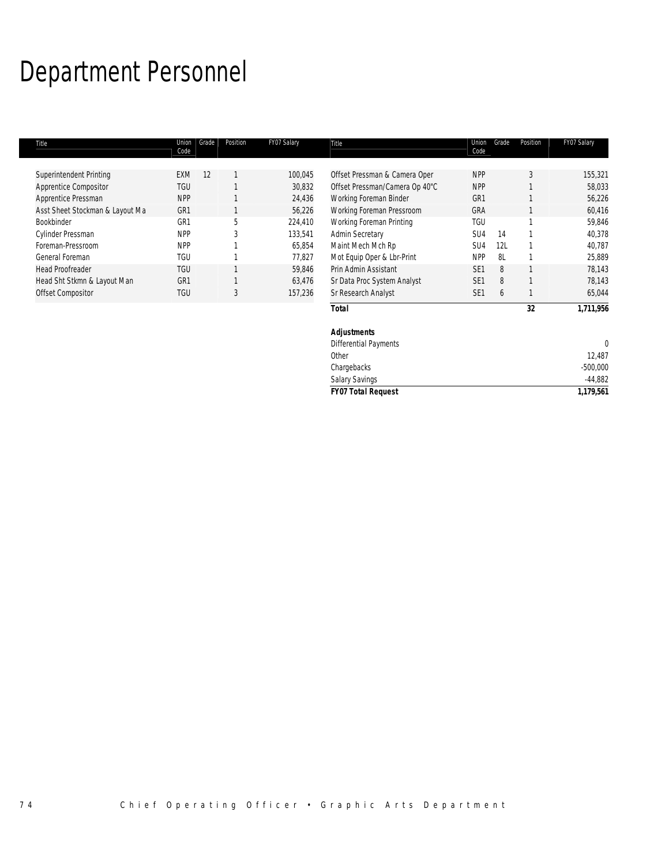# Department Personnel

| Title                           | Union<br>Code | Grade | Position | FY07 Salary | Title                          | Union<br>Code   | Grade | Position | FY07 Salary |
|---------------------------------|---------------|-------|----------|-------------|--------------------------------|-----------------|-------|----------|-------------|
|                                 |               |       |          |             |                                |                 |       |          |             |
| Superintendent Printing         | EXM           | 12    |          | 100,045     | Offset Pressman & Camera Oper  | <b>NPP</b>      |       | 3        | 155,321     |
| Apprentice Compositor           | <b>TGU</b>    |       |          | 30,832      | Offset Pressman/Camera Op 40"C | <b>NPP</b>      |       |          | 58,033      |
| Apprentice Pressman             | <b>NPP</b>    |       |          | 24,436      | Working Foreman Binder         | GR1             |       |          | 56,226      |
| Asst Sheet Stockman & Layout Ma | GR1           |       |          | 56,226      | Working Foreman Pressroom      | GRA             |       |          | 60,416      |
| Bookbinder                      | GR1           |       | 5        | 224,410     | Working Foreman Printing       | TGU             |       |          | 59,846      |
| Cylinder Pressman               | <b>NPP</b>    |       | 3        | 133,541     | <b>Admin Secretary</b>         | SU4             | 14    |          | 40,378      |
| Foreman-Pressroom               | <b>NPP</b>    |       |          | 65,854      | Maint Mech Mch Rp              | SU <sub>4</sub> | 12L   |          | 40,787      |
| General Foreman                 | TGU           |       |          | 77,827      | Mot Equip Oper & Lbr-Print     | <b>NPP</b>      | 81    |          | 25,889      |
| <b>Head Proofreader</b>         | <b>TGU</b>    |       |          | 59,846      | Prin Admin Assistant           | SF <sub>1</sub> | 8     |          | 78,143      |
| Head Sht Stkmn & Layout Man     | GR1           |       |          | 63,476      | Sr Data Proc System Analyst    | SE <sub>1</sub> | 8     |          | 78,143      |
| Offset Compositor               | <b>TGU</b>    |       | 3        | 157,236     | Sr Research Analyst            | SE <sub>1</sub> | 6     |          | 65,044      |
|                                 |               |       |          |             | <b>Total</b>                   |                 |       | 32       | 1,711,956   |
|                                 |               |       |          |             | <b>Adjustments</b>             |                 |       |          |             |
|                                 |               |       |          |             | <b>Differential Payments</b>   |                 |       |          |             |

Other 22,487

*FY07 Total Request 1,179,561*

Chargebacks -500,000<br>Salary Savings -44,882 Salary Savings -44,882<br>
FY07 Total Request 1,179,561

|  |  |  | Chief Operating Officer • Graphic Arts Department |
|--|--|--|---------------------------------------------------|
|--|--|--|---------------------------------------------------|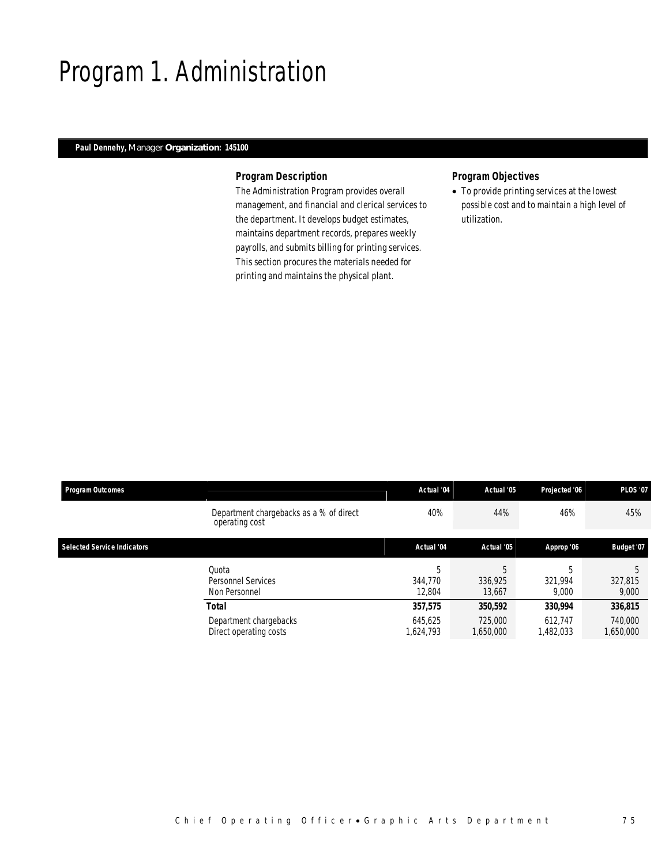# Program 1. Administration

## *Paul Dennehy, Manager Organization: 145100*

#### *Program Description*

The Administration Program provides overall management, and financial and clerical services to the department. It develops budget estimates, maintains department records, prepares weekly payrolls, and submits billing for printing services. This section procures the materials needed for printing and maintains the physical plant.

## *Program Objectives*

• To provide printing services at the lowest possible cost and to maintain a high level of utilization.

| Program Outcomes                   |                                                           | Actual '04             | Actual '05             | Projected '06         | <b>PLOS '07</b>      |
|------------------------------------|-----------------------------------------------------------|------------------------|------------------------|-----------------------|----------------------|
|                                    | Department chargebacks as a % of direct<br>operating cost | 40%                    | 44%                    | 46%                   | 45%                  |
| <b>Selected Service Indicators</b> |                                                           | Actual '04             | Actual '05             | Approp '06            | Budget '07           |
|                                    | Quota<br>Personnel Services<br>Non Personnel              | b<br>344,770<br>12,804 | 5<br>336,925<br>13,667 | h<br>321.994<br>9.000 | 327,815<br>9,000     |
|                                    | <b>Total</b>                                              | 357,575                | 350,592                | 330,994               | 336,815              |
|                                    | Department chargebacks<br>Direct operating costs          | 645.625<br>1,624,793   | 725,000<br>1,650,000   | 612.747<br>1,482,033  | 740,000<br>1,650,000 |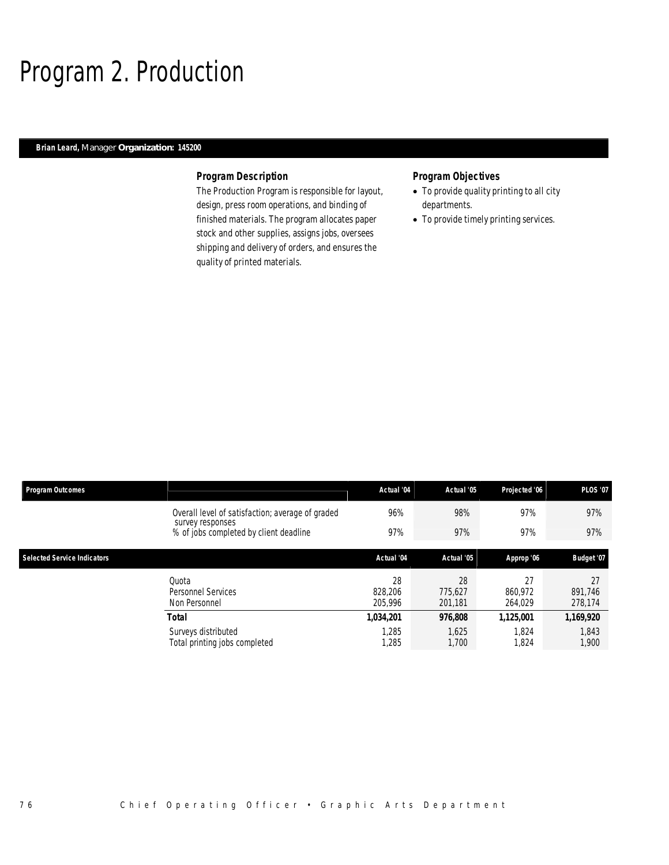## Program 2. Production

### *Brian Leard, Manager Organization: 145200*

#### *Program Description*

The Production Program is responsible for layout, design, press room operations, and binding of finished materials. The program allocates paper stock and other supplies, assigns jobs, oversees shipping and delivery of orders, and ensures the quality of printed materials.

## *Program Objectives*

- To provide quality printing to all city departments.
- To provide timely printing services.

| Program Outcomes                   |                                                                      | Actual '04               | Actual '05               | Projected '06            | <b>PLOS '07</b>          |
|------------------------------------|----------------------------------------------------------------------|--------------------------|--------------------------|--------------------------|--------------------------|
|                                    | Overall level of satisfaction; average of graded<br>survey responses | 96%                      | 98%                      | 97%                      | 97%                      |
|                                    | % of jobs completed by client deadline                               | 97%                      | 97%                      | 97%                      | 97%                      |
| <b>Selected Service Indicators</b> |                                                                      | Actual '04               | Actual '05               | Approp '06               | Budget '07               |
|                                    | Quota<br>Personnel Services<br>Non Personnel                         | 28<br>828,206<br>205.996 | 28<br>775.627<br>201,181 | 27<br>860.972<br>264,029 | 27<br>891,746<br>278,174 |
|                                    | Total                                                                | 1,034,201                | 976,808                  | 1,125,001                | 1,169,920                |
|                                    | Surveys distributed<br>Total printing jobs completed                 | 1.285<br>1,285           | .625<br>1,700            | 1.824<br>1,824           | 1,843<br>1,900           |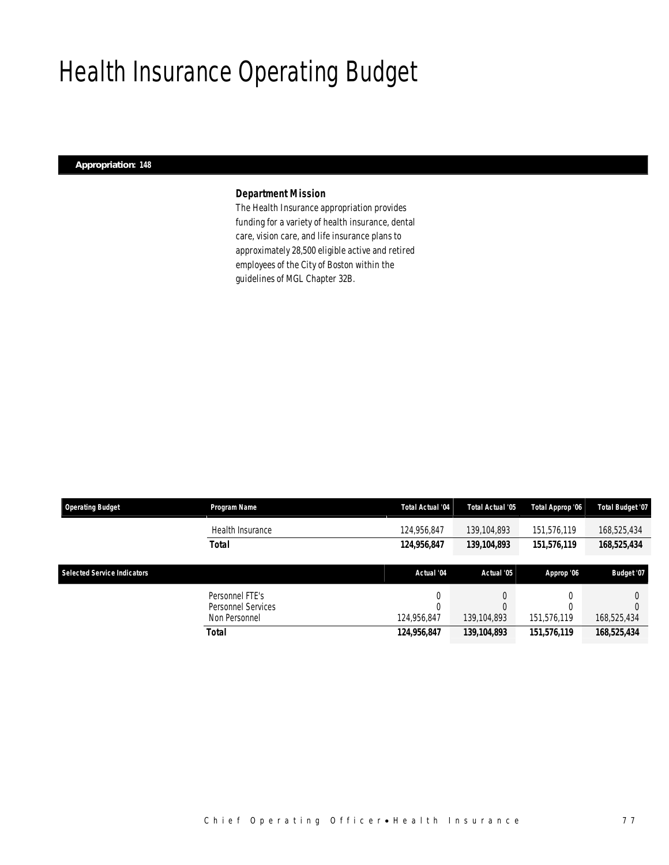# Health Insurance Operating Budget

### *Appropriation: 148*

## *Department Mission*

The Health Insurance appropriation provides funding for a variety of health insurance, dental care, vision care, and life insurance plans to approximately 28,500 eligible active and retired employees of the City of Boston within the guidelines of MGL Chapter 32B.

| <b>Operating Budget</b>            | Program Name       | <b>Total Actual '04</b> | Total Actual '05 | Total Approp '06 | Total Budget '07 |
|------------------------------------|--------------------|-------------------------|------------------|------------------|------------------|
|                                    | Health Insurance   | 124.956.847             | 139,104,893      | 151,576,119      | 168,525,434      |
|                                    | <b>Total</b>       | 124,956,847             | 139,104,893      | 151,576,119      | 168,525,434      |
| <b>Selected Service Indicators</b> |                    | Actual '04              | Actual '05       | Approp '06       | Budget '07       |
|                                    |                    |                         |                  |                  |                  |
|                                    |                    |                         |                  |                  |                  |
|                                    | Personnel FTE's    |                         | 0                |                  |                  |
|                                    | Personnel Services |                         | 0                |                  |                  |
|                                    | Non Personnel      | 124,956,847             | 139,104,893      | 151,576,119      | 168,525,434      |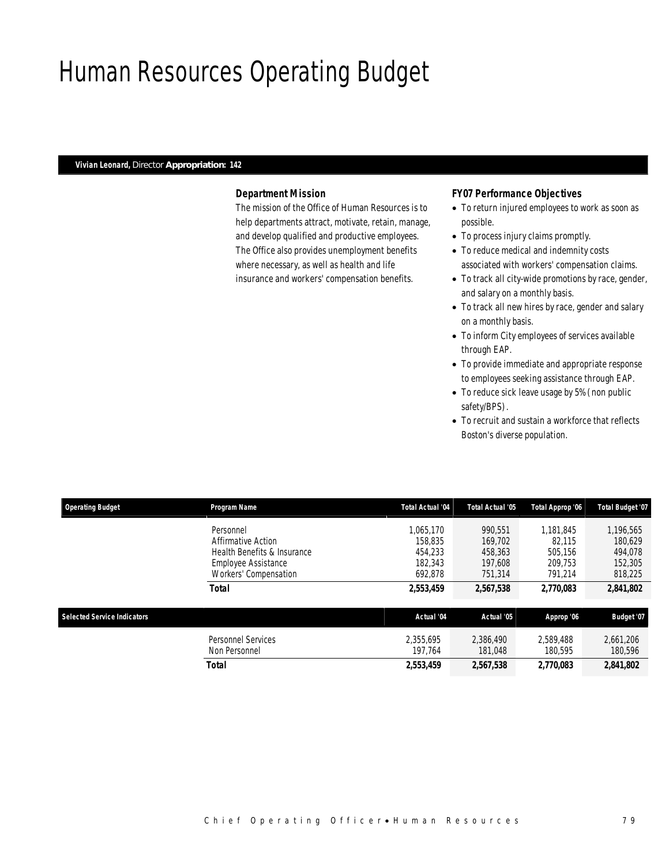# Human Resources Operating Budget

#### *Vivian Leonard, Director Appropriation: 142*

### *Department Mission*

The mission of the Office of Human Resources is to help departments attract, motivate, retain, manage, and develop qualified and productive employees. The Office also provides unemployment benefits where necessary, as well as health and life insurance and workers' compensation benefits.

### *FY07 Performance Objectives*

- To return injured employees to work as soon as possible.
- To process injury claims promptly.
- To reduce medical and indemnity costs associated with workers' compensation claims.
- To track all city-wide promotions by race, gender, and salary on a monthly basis.
- To track all new hires by race, gender and salary on a monthly basis.
- To inform City employees of services available through EAP.
- To provide immediate and appropriate response to employees seeking assistance through EAP.
- To reduce sick leave usage by 5% (non public safety/BPS).
- To recruit and sustain a workforce that reflects Boston's diverse population.

| <b>Operating Budget</b>            | Program Name                                                                                                   | <b>Total Actual '04</b>                              | Total Actual '05                                    | Total Approp '06                                     | Total Budget '07                                      |
|------------------------------------|----------------------------------------------------------------------------------------------------------------|------------------------------------------------------|-----------------------------------------------------|------------------------------------------------------|-------------------------------------------------------|
|                                    | Personnel<br>Affirmative Action<br>Health Benefits & Insurance<br>Employee Assistance<br>Workers' Compensation | .065.170<br>158.835<br>454,233<br>182,343<br>692.878 | 990.551<br>169.702<br>458.363<br>197.608<br>751.314 | 1.181.845<br>82.115<br>505.156<br>209.753<br>791.214 | 1,196,565<br>180.629<br>494.078<br>152,305<br>818,225 |
|                                    | Total                                                                                                          | 2,553,459                                            | 2,567,538                                           | 2,770,083                                            | 2,841,802                                             |
| <b>Selected Service Indicators</b> |                                                                                                                | Actual '04                                           | Actual '05                                          | Approp '06                                           | <b>Budget '07</b>                                     |

| Selected Selvice Indicators |                                     | нсшаг и4             | нсшаг из             | <i>Approp vo</i>     | <i>Buuqel VI</i>     |
|-----------------------------|-------------------------------------|----------------------|----------------------|----------------------|----------------------|
|                             | Personnel Services<br>Non Personnel | 2,355,695<br>197.764 | 2,386,490<br>181.048 | 2.589.488<br>180.595 | 2,661,206<br>180,596 |
|                             | Total                               | 2,553,459            | 2,567,538            | 2.770.083            | 2,841,802            |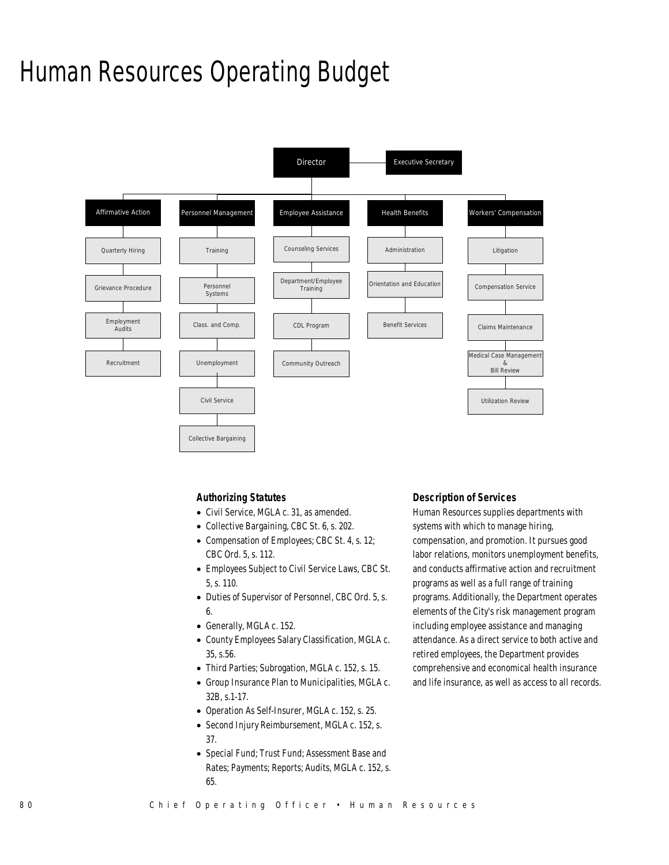# Human Resources Operating Budget



### *Authorizing Statutes*

- Civil Service, MGLA c. 31, as amended.
- Collective Bargaining, CBC St. 6, s. 202.
- Compensation of Employees; CBC St. 4, s. 12; CBC Ord. 5, s. 112.
- Employees Subject to Civil Service Laws, CBC St. 5, s. 110.
- Duties of Supervisor of Personnel, CBC Ord. 5, s. 6.
- Generally, MGLA c. 152.
- County Employees Salary Classification, MGLA c. 35, s.56.
- Third Parties; Subrogation, MGLA c. 152, s. 15.
- Group Insurance Plan to Municipalities, MGLA c. 32B, s.1-17.
- Operation As Self-Insurer, MGLA c. 152, s. 25.
- Second Injury Reimbursement, MGLA c. 152, s. 37.
- Special Fund; Trust Fund; Assessment Base and Rates; Payments; Reports; Audits, MGLA c. 152, s. 65.

#### *Description of Services*

Human Resources supplies departments with systems with which to manage hiring, compensation, and promotion. It pursues good labor relations, monitors unemployment benefits, and conducts affirmative action and recruitment programs as well as a full range of training programs. Additionally, the Department operates elements of the City's risk management program including employee assistance and managing attendance. As a direct service to both active and retired employees, the Department provides comprehensive and economical health insurance and life insurance, as well as access to all records.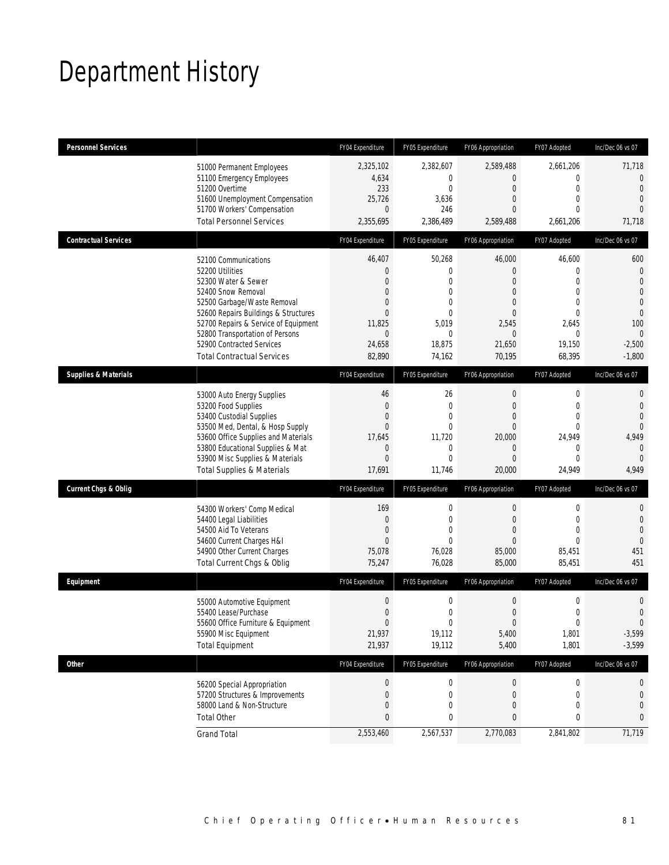# Department History

| <b>Personnel Services</b>       |                                                                                                                                                                                                                                                                                                          | FY04 Expenditure                                                                                                                 | FY05 Expenditure                                                                                                   | FY06 Appropriation                                                                                                              | FY07 Adopted                                                                                                            | Inc/Dec 06 vs 07                                                                                                                  |
|---------------------------------|----------------------------------------------------------------------------------------------------------------------------------------------------------------------------------------------------------------------------------------------------------------------------------------------------------|----------------------------------------------------------------------------------------------------------------------------------|--------------------------------------------------------------------------------------------------------------------|---------------------------------------------------------------------------------------------------------------------------------|-------------------------------------------------------------------------------------------------------------------------|-----------------------------------------------------------------------------------------------------------------------------------|
|                                 | 51000 Permanent Employees<br>51100 Emergency Employees<br>51200 Overtime<br>51600 Unemployment Compensation<br>51700 Workers' Compensation<br><b>Total Personnel Services</b>                                                                                                                            | 2,325,102<br>4,634<br>233<br>25,726<br>$\mathbf{0}$<br>2,355,695                                                                 | 2,382,607<br>$\mathbf{0}$<br>$\theta$<br>3,636<br>246<br>2,386,489                                                 | 2,589,488<br>$\overline{0}$<br>$\overline{0}$<br>$\overline{0}$<br>$\overline{0}$<br>2,589,488                                  | 2,661,206<br>$\overline{0}$<br>$\overline{0}$<br>$\overline{0}$<br>$\Omega$<br>2,661,206                                | 71,718<br>0<br>$\overline{0}$<br>$\overline{0}$<br>$\Omega$<br>71,718                                                             |
| <b>Contractual Services</b>     |                                                                                                                                                                                                                                                                                                          | FY04 Expenditure                                                                                                                 | FY05 Expenditure                                                                                                   | FY06 Appropriation                                                                                                              | FY07 Adopted                                                                                                            | Inc/Dec 06 vs 07                                                                                                                  |
|                                 | 52100 Communications<br>52200 Utilities<br>52300 Water & Sewer<br>52400 Snow Removal<br>52500 Garbage/Waste Removal<br>52600 Repairs Buildings & Structures<br>52700 Repairs & Service of Equipment<br>52800 Transportation of Persons<br>52900 Contracted Services<br><b>Total Contractual Services</b> | 46,407<br>$\mathbf{0}$<br>$\mathbf{0}$<br>$\mathbf{0}$<br>$\mathbf{0}$<br>$\Omega$<br>11,825<br>$\mathbf{0}$<br>24,658<br>82,890 | 50,268<br>0<br>$\theta$<br>$\overline{0}$<br>$\mathbf{0}$<br>$\theta$<br>5,019<br>$\mathbf{0}$<br>18,875<br>74,162 | 46,000<br>$\overline{0}$<br>$\overline{0}$<br>$\mathbf{0}$<br>$\mathbf{0}$<br>$\Omega$<br>2,545<br>$\Omega$<br>21,650<br>70,195 | 46,600<br>0<br>$\overline{0}$<br>$\overline{0}$<br>$\mathbf 0$<br>$\mathbf{0}$<br>2,645<br>$\Omega$<br>19,150<br>68,395 | 600<br>$\mathbf{0}$<br>$\overline{0}$<br>$\overline{0}$<br>$\mathbf 0$<br>$\mathbf{0}$<br>100<br>$\Omega$<br>$-2,500$<br>$-1,800$ |
| <b>Supplies &amp; Materials</b> |                                                                                                                                                                                                                                                                                                          | FY04 Expenditure                                                                                                                 | FY05 Expenditure                                                                                                   | FY06 Appropriation                                                                                                              | FY07 Adopted                                                                                                            | Inc/Dec 06 vs 07                                                                                                                  |
|                                 | 53000 Auto Energy Supplies<br>53200 Food Supplies<br>53400 Custodial Supplies<br>53500 Med, Dental, & Hosp Supply<br>53600 Office Supplies and Materials<br>53800 Educational Supplies & Mat<br>53900 Misc Supplies & Materials<br><b>Total Supplies &amp; Materials</b>                                 | 46<br>$\mathbf{0}$<br>$\mathbf{0}$<br>$\mathbf{0}$<br>17,645<br>$\mathbf{0}$<br>$\overline{0}$<br>17,691                         | 26<br>$\mathbf{0}$<br>$\mathbf{0}$<br>$\mathbf{0}$<br>11,720<br>$\mathbf{0}$<br>$\mathbf{0}$<br>11,746             | $\mathbf 0$<br>$\mathbf{0}$<br>$\overline{0}$<br>$\overline{0}$<br>20,000<br>$\overline{0}$<br>$\overline{0}$<br>20,000         | 0<br>$\mathbf{0}$<br>$\overline{0}$<br>$\theta$<br>24,949<br>$\mathbf 0$<br>$\mathbf{0}$<br>24,949                      | 0<br>$\overline{0}$<br>$\overline{0}$<br>$\theta$<br>4,949<br>$\mathbf{0}$<br>$\theta$<br>4,949                                   |
| <b>Current Chgs &amp; Oblig</b> |                                                                                                                                                                                                                                                                                                          | FY04 Expenditure                                                                                                                 | FY05 Expenditure                                                                                                   | FY06 Appropriation                                                                                                              | FY07 Adopted                                                                                                            | Inc/Dec 06 vs 07                                                                                                                  |
|                                 | 54300 Workers' Comp Medical<br>54400 Legal Liabilities<br>54500 Aid To Veterans<br>54600 Current Charges H&I<br>54900 Other Current Charges<br>Total Current Chgs & Oblig                                                                                                                                | 169<br>$\overline{0}$<br>$\Omega$<br>$\overline{0}$<br>75,078<br>75,247                                                          | $\mathbf 0$<br>$\mathbf{0}$<br>$\theta$<br>$\theta$<br>76,028<br>76,028                                            | $\mathbf{0}$<br>$\mathbf{0}$<br>$\Omega$<br>$\overline{0}$<br>85,000<br>85,000                                                  | $\mathbf 0$<br>$\mathbf{0}$<br>$\Omega$<br>$\Omega$<br>85,451<br>85,451                                                 | 0<br>$\mathbf{0}$<br>$\overline{0}$<br>$\overline{0}$<br>451<br>451                                                               |
| Equipment                       |                                                                                                                                                                                                                                                                                                          | FY04 Expenditure                                                                                                                 | FY05 Expenditure                                                                                                   | FY06 Appropriation                                                                                                              | FY07 Adopted                                                                                                            | Inc/Dec 06 vs 07                                                                                                                  |
|                                 | 55000 Automotive Equipment<br>55400 Lease/Purchase<br>55600 Office Furniture & Equipment<br>55900 Misc Equipment<br><b>Total Equipment</b>                                                                                                                                                               | $\mathbf 0$<br>$\boldsymbol{0}$<br>$\Omega$<br>21,937<br>21,937                                                                  | $\mathbf 0$<br>$\mathbf{0}$<br>$\Omega$<br>19,112<br>19,112                                                        | $\boldsymbol{0}$<br>$\boldsymbol{0}$<br>$\Omega$<br>5,400<br>5,400                                                              | $\boldsymbol{0}$<br>$\mathbf 0$<br>$\cap$<br>1,801<br>1,801                                                             | 0<br>$\mathbf 0$<br>$\Omega$<br>$-3,599$<br>$-3,599$                                                                              |
| Other                           |                                                                                                                                                                                                                                                                                                          | FY04 Expenditure                                                                                                                 | FY05 Expenditure                                                                                                   | FY06 Appropriation                                                                                                              | FY07 Adopted                                                                                                            | Inc/Dec 06 vs 07                                                                                                                  |
|                                 | 56200 Special Appropriation<br>57200 Structures & Improvements<br>58000 Land & Non-Structure<br><b>Total Other</b>                                                                                                                                                                                       | $\boldsymbol{0}$<br>$\boldsymbol{0}$<br>$\mathbf{0}$<br>$\bf{0}$                                                                 | $\mathbf 0$<br>$\mathbf 0$<br>$\mathbf 0$<br>0                                                                     | $\boldsymbol{0}$<br>$\mathbf 0$<br>0<br>0                                                                                       | $\boldsymbol{0}$<br>$\mathbf 0$<br>0<br>0                                                                               | 0<br>0<br>0<br>0                                                                                                                  |
|                                 | <b>Grand Total</b>                                                                                                                                                                                                                                                                                       | 2,553,460                                                                                                                        | 2,567,537                                                                                                          | 2,770,083                                                                                                                       | 2,841,802                                                                                                               | 71,719                                                                                                                            |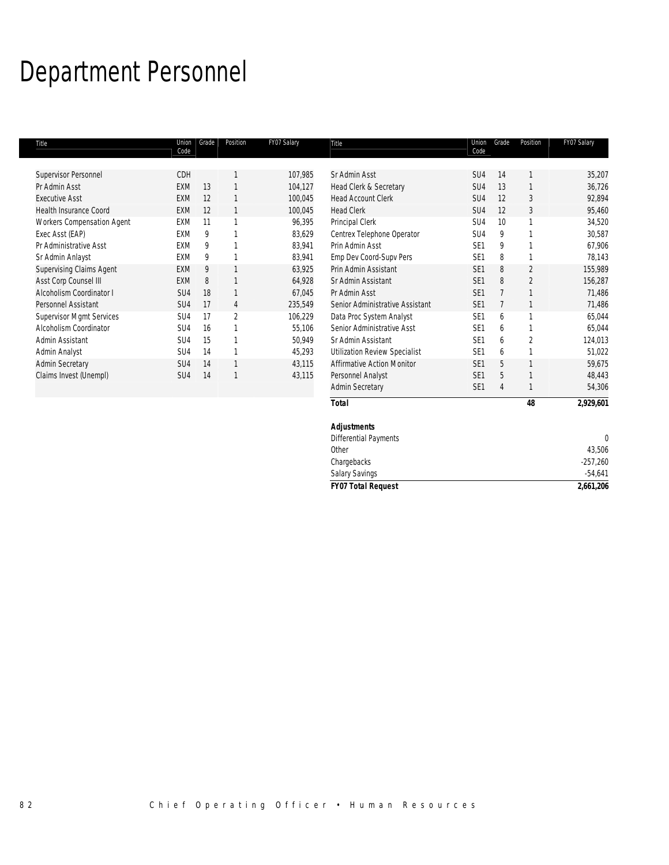# Department Personnel

| Title                           | Union<br>Code   | Grade | Position       | FY07 Salary | Title                                | Union<br>Code   | Grade          | Position | FY07 Salary |
|---------------------------------|-----------------|-------|----------------|-------------|--------------------------------------|-----------------|----------------|----------|-------------|
|                                 |                 |       |                |             |                                      |                 |                |          |             |
| Supervisor Personnel            | CDH             |       |                | 107,985     | Sr Admin Asst                        | SU4             | 14             |          | 35,207      |
| Pr Admin Asst                   | <b>EXM</b>      | 13    |                | 104.127     | Head Clerk & Secretary               | SU4             | 13             |          | 36,726      |
| <b>Executive Asst</b>           | <b>EXM</b>      | 12    |                | 100,045     | <b>Head Account Clerk</b>            | SU <sub>4</sub> | 12             | 3        | 92,894      |
| <b>Health Insurance Coord</b>   | <b>EXM</b>      | 12    |                | 100,045     | <b>Head Clerk</b>                    | SU4             | 12             | 3        | 95,460      |
| Workers Compensation Agent      | EXM             | 11    |                | 96,395      | Principal Clerk                      | SU4             | 10             |          | 34,520      |
| Exec Asst (EAP)                 | EXM             | 9     |                | 83,629      | Centrex Telephone Operator           | SU4             | 9              |          | 30,587      |
| Pr Administrative Asst          | EXM             | 9     |                | 83,941      | Prin Admin Asst                      | SE <sub>1</sub> | 9              |          | 67,906      |
| Sr Admin Anlayst                | EXM             | 9     |                | 83,941      | Emp Dev Coord-Supv Pers              | SE <sub>1</sub> | 8              |          | 78,143      |
| <b>Supervising Claims Agent</b> | EXM             | 9     |                | 63,925      | Prin Admin Assistant                 | SE <sub>1</sub> | 8              | 2        | 155,989     |
| Asst Corp Counsel III           | EXM             | 8     |                | 64,928      | Sr Admin Assistant                   | SE <sub>1</sub> | 8              | 2        | 156,287     |
| Alcoholism Coordinator I        | SU4             | 18    |                | 67,045      | Pr Admin Asst                        | SE <sub>1</sub> | $\overline{7}$ |          | 71,486      |
| Personnel Assistant             | SU4             | 17    | $\overline{4}$ | 235,549     | Senior Administrative Assistant      | SE <sub>1</sub> | $\overline{7}$ |          | 71,486      |
| <b>Supervisor Mgmt Services</b> | SU4             | 17    | $\overline{2}$ | 106,229     | Data Proc System Analyst             | SE <sub>1</sub> | 6              |          | 65,044      |
| Alcoholism Coordinator          | SU4             | 16    |                | 55,106      | Senior Administrative Asst           | SE <sub>1</sub> | 6              |          | 65,044      |
| Admin Assistant                 | SU <sub>4</sub> | 15    |                | 50,949      | Sr Admin Assistant                   | SE <sub>1</sub> | 6              | 2        | 124,013     |
| Admin Analyst                   | SU4             | 14    |                | 45,293      | <b>Utilization Review Specialist</b> | SE <sub>1</sub> | 6              |          | 51,022      |
| <b>Admin Secretary</b>          | SU4             | 14    |                | 43,115      | <b>Affirmative Action Monitor</b>    | SE <sub>1</sub> | 5              |          | 59,675      |
| Claims Invest (Unempl)          | SU4             | 14    |                | 43,115      | Personnel Analyst                    | SE <sub>1</sub> | 5              |          | 48,443      |
|                                 |                 |       |                |             | <b>Admin Secretary</b>               | SE <sub>1</sub> | 4              |          | 54,306      |
|                                 |                 |       |                |             | <b>Total</b>                         |                 |                | 48       | 2,929,601   |
|                                 |                 |       |                |             |                                      |                 |                |          |             |
|                                 |                 |       |                |             | <b>Adjustments</b>                   |                 |                |          |             |

| <b>FY07 Total Request</b> | 2,661,206  |
|---------------------------|------------|
| Salary Savings            | $-54,641$  |
| Chargebacks               | $-257,260$ |
| Other                     | 43,506     |
| Differential Payments     |            |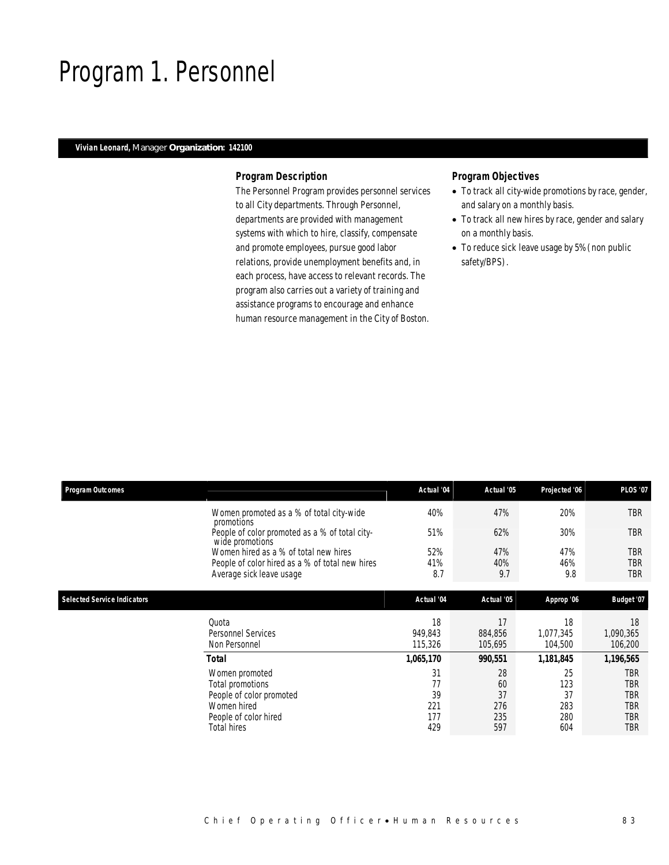## Program 1. Personnel

## *Vivian Leonard, Manager Organization: 142100*

#### *Program Description*

The Personnel Program provides personnel services to all City departments. Through Personnel, departments are provided with management systems with which to hire, classify, compensate and promote employees, pursue good labor relations, provide unemployment benefits and, in each process, have access to relevant records. The program also carries out a variety of training and assistance programs to encourage and enhance human resource management in the City of Boston.

### *Program Objectives*

- To track all city-wide promotions by race, gender, and salary on a monthly basis.
- To track all new hires by race, gender and salary on a monthly basis.
- To reduce sick leave usage by 5% (non public safety/BPS).

| <b>Program Outcomes</b>            |                                                                                                                      | Actual '04                   | Actual '05                   | Projected '06                 | <b>PLOS '07</b>                                      |
|------------------------------------|----------------------------------------------------------------------------------------------------------------------|------------------------------|------------------------------|-------------------------------|------------------------------------------------------|
|                                    | Women promoted as a % of total city-wide<br>promotions                                                               | 40%                          | 47%                          | 20%                           | <b>TBR</b>                                           |
|                                    | People of color promoted as a % of total city-<br>wide promotions                                                    | 51%                          | 62%                          | 30%                           | <b>TBR</b>                                           |
|                                    | Women hired as a % of total new hires<br>People of color hired as a % of total new hires<br>Average sick leave usage | 52%<br>41%<br>8.7            | 47%<br>40%<br>9.7            | 47%<br>46%<br>9.8             | <b>TBR</b><br><b>TBR</b><br><b>TBR</b>               |
| <b>Selected Service Indicators</b> |                                                                                                                      | Actual '04                   | Actual '05                   | Approp '06                    | Budget '07                                           |
|                                    | Quota<br>Personnel Services<br>Non Personnel                                                                         | 18<br>949,843<br>115,326     | 17<br>884,856<br>105,695     | 18<br>1,077,345<br>104,500    | 18<br>1,090,365<br>106,200                           |
|                                    | Total                                                                                                                | 1,065,170                    | 990,551                      | 1,181,845                     | 1,196,565                                            |
|                                    | Women promoted<br>Total promotions<br>People of color promoted<br>Women hired<br>People of color hired               | 31<br>77<br>39<br>221<br>177 | 28<br>60<br>37<br>276<br>235 | 25<br>123<br>37<br>283<br>280 | <b>TBR</b><br><b>TBR</b><br><b>TBR</b><br>TBR<br>TBR |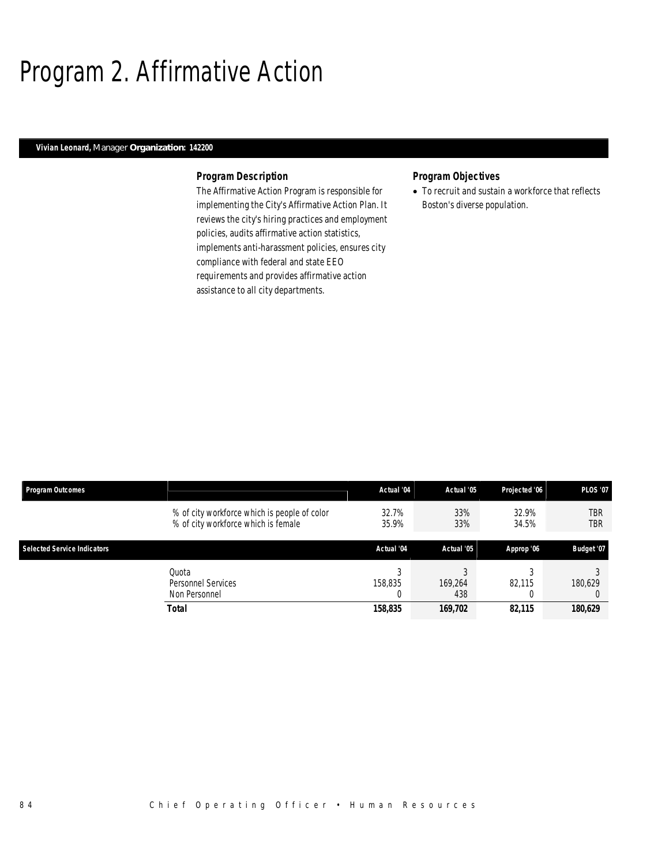# Program 2. Affirmative Action

### *Vivian Leonard, Manager Organization: 142200*

#### *Program Description*

The Affirmative Action Program is responsible for implementing the City's Affirmative Action Plan. It reviews the city's hiring practices and employment policies, audits affirmative action statistics, implements anti-harassment policies, ensures city compliance with federal and state EEO requirements and provides affirmative action assistance to all city departments.

#### *Program Objectives*

• To recruit and sustain a workforce that reflects Boston's diverse population.

| <b>Program Outcomes</b>            |                                                                                     | Actual '04     | Actual '05     | Projected '06  | <b>PLOS '07</b>   |
|------------------------------------|-------------------------------------------------------------------------------------|----------------|----------------|----------------|-------------------|
|                                    | % of city workforce which is people of color<br>% of city workforce which is female | 32.7%<br>35.9% | 33%<br>33%     | 32.9%<br>34.5% | TBR<br><b>TBR</b> |
| <b>Selected Service Indicators</b> |                                                                                     | Actual '04     | Actual '05     | Approp '06     | Budget '07        |
|                                    | Ouota<br>Personnel Services<br>Non Personnel                                        | 158,835        | 169.264<br>438 | 82.115         | 180.629           |
|                                    | Total                                                                               | 158,835        | 169,702        | 82,115         | 180,629           |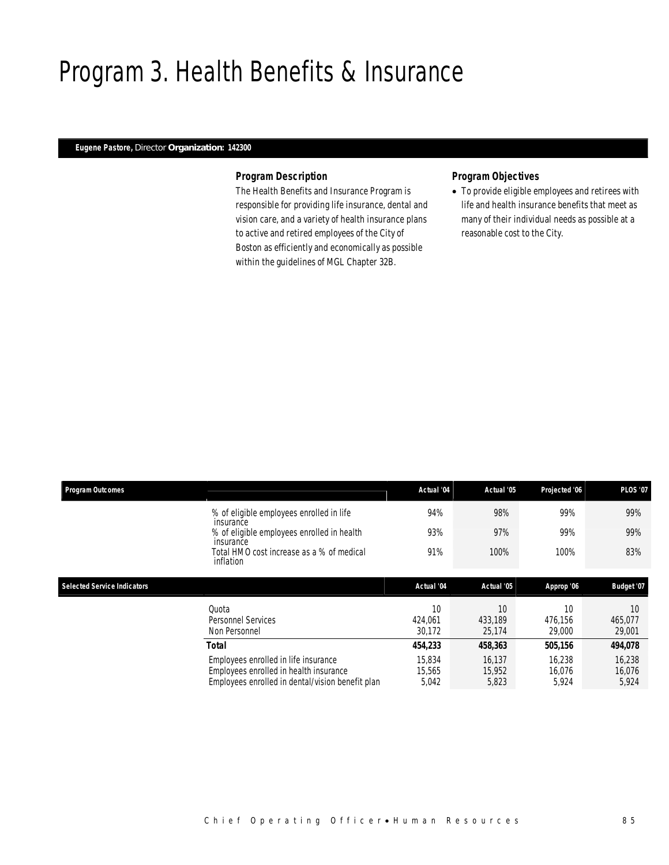## Program 3. Health Benefits & Insurance

## *Eugene Pastore, Director Organization: 142300*

#### *Program Description*

The Health Benefits and Insurance Program is responsible for providing life insurance, dental and vision care, and a variety of health insurance plans to active and retired employees of the City of Boston as efficiently and economically as possible within the guidelines of MGL Chapter 32B.

## *Program Objectives*

• To provide eligible employees and retirees with life and health insurance benefits that meet as many of their individual needs as possible at a reasonable cost to the City.

| <b>Program Outcomes</b>            |                                                                                                                                    | Actual '04                | Actual '05                | Projected '06             | <b>PLOS '07</b>           |
|------------------------------------|------------------------------------------------------------------------------------------------------------------------------------|---------------------------|---------------------------|---------------------------|---------------------------|
|                                    | % of eligible employees enrolled in life<br>insurance                                                                              | 94%                       | 98%                       | 99%                       | 99%                       |
|                                    | % of eligible employees enrolled in health<br>insurance                                                                            | 93%                       | 97%                       | 99%                       | 99%                       |
|                                    | Total HMO cost increase as a % of medical<br>inflation                                                                             | 91%                       | 100%                      | 100%                      | 83%                       |
| <b>Selected Service Indicators</b> |                                                                                                                                    | Actual '04                | Actual '05                | Approp '06                | Budget '07                |
|                                    | Quota<br><b>Personnel Services</b><br>Non Personnel                                                                                | 10<br>424.061<br>30,172   | 10<br>433,189<br>25,174   | 10<br>476,156<br>29,000   | 10<br>465,077<br>29,001   |
|                                    | Total                                                                                                                              | 454,233                   | 458,363                   | 505,156                   | 494,078                   |
|                                    | Employees enrolled in life insurance<br>Employees enrolled in health insurance<br>Employees enrolled in dental/vision benefit plan | 15,834<br>15,565<br>5,042 | 16.137<br>15,952<br>5,823 | 16.238<br>16,076<br>5,924 | 16.238<br>16,076<br>5,924 |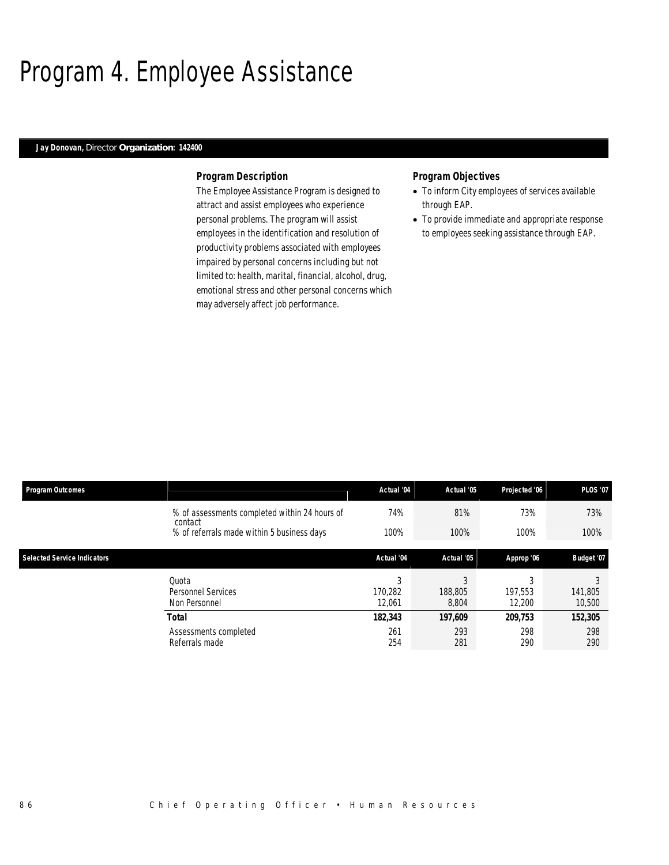# Program 4. Employee Assistance

#### *Jay Donovan, Director Organization: 142400*

#### *Program Description*

The Employee Assistance Program is designed to attract and assist employees who experience personal problems. The program will assist employees in the identification and resolution of productivity problems associated with employees impaired by personal concerns including but not limited to: health, marital, financial, alcohol, drug, emotional stress and other personal concerns which may adversely affect job performance.

#### *Program Objectives*

- To inform City employees of services available through EAP.
- To provide immediate and appropriate response to employees seeking assistance through EAP.

| Program Outcomes                   |                                                          | Actual '04             | Actual '05            | Projected '06     | <b>PLOS '07</b>   |
|------------------------------------|----------------------------------------------------------|------------------------|-----------------------|-------------------|-------------------|
|                                    | % of assessments completed within 24 hours of<br>contact | 74%                    | 81%                   | 73%               | 73%               |
|                                    | % of referrals made within 5 business days               | 100%                   | 100%                  | 100%              | 100%              |
| <b>Selected Service Indicators</b> |                                                          | Actual '04             | Actual '05            | Approp '06        | Budget '07        |
|                                    | Quota<br>Personnel Services<br>Non Personnel             | 3<br>170.282<br>12.061 | 3<br>188,805<br>8,804 | 197.553<br>12,200 | 141,805<br>10,500 |
|                                    | Total                                                    | 182,343                | 197,609               | 209,753           | 152,305           |
|                                    | Assessments completed<br>Referrals made                  | 261<br>254             | 293<br>281            | 298<br>290        | 298<br>290        |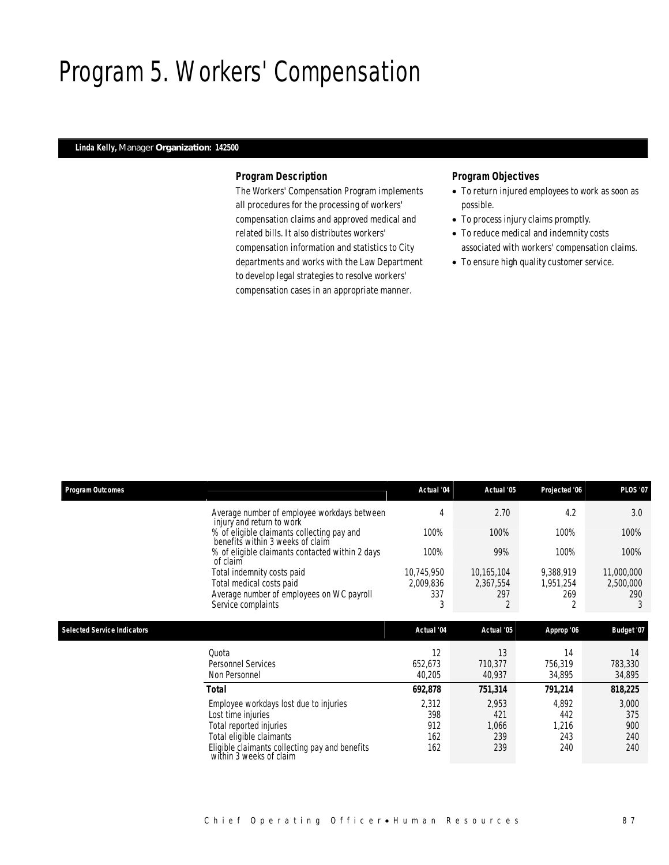# Program 5. Workers' Compensation

## *Linda Kelly, Manager Organization: 142500*

#### *Program Description*

The Workers' Compensation Program implements all procedures for the processing of workers' compensation claims and approved medical and related bills. It also distributes workers' compensation information and statistics to City departments and works with the Law Department to develop legal strategies to resolve workers' compensation cases in an appropriate manner.

## *Program Objectives*

- To return injured employees to work as soon as possible.
- To process injury claims promptly.
- To reduce medical and indemnity costs associated with workers' compensation claims.
- To ensure high quality customer service.

| <b>Program Outcomes</b>            |                                                                                                                                                                                                  | Actual '04                        | Actual '05                          | Projected '06                       | <b>PLOS '07</b>                   |
|------------------------------------|--------------------------------------------------------------------------------------------------------------------------------------------------------------------------------------------------|-----------------------------------|-------------------------------------|-------------------------------------|-----------------------------------|
|                                    | Average number of employee workdays between<br>injury and return to work                                                                                                                         | 4                                 | 2.70                                | 4.2                                 | 3.0                               |
|                                    | % of eligible claimants collecting pay and<br>benefits within 3 weeks of claim                                                                                                                   | 100%                              | 100%                                | 100%                                | 100%                              |
|                                    | % of eligible claimants contacted within 2 days<br>of claim                                                                                                                                      | 100%                              | 99%                                 | 100%                                | 100%                              |
|                                    | Total indemnity costs paid<br>Total medical costs paid<br>Average number of employees on WC payroll                                                                                              | 10,745,950<br>2,009,836<br>337    | 10,165,104<br>2,367,554<br>297      | 9,388,919<br>1,951,254<br>269       | 11,000,000<br>2,500,000<br>290    |
|                                    | Service complaints                                                                                                                                                                               | 3                                 | 2                                   | 2                                   | 3                                 |
| <b>Selected Service Indicators</b> |                                                                                                                                                                                                  | Actual '04                        | Actual '05                          | Approp '06                          | <b>Budget '07</b>                 |
|                                    | Quota<br>Personnel Services<br>Non Personnel                                                                                                                                                     | 12<br>652,673<br>40,205           | 13<br>710,377<br>40,937             | 14<br>756,319<br>34,895             | 14<br>783,330<br>34,895           |
|                                    | Total                                                                                                                                                                                            | 692,878                           | 751,314                             | 791,214                             | 818,225                           |
|                                    | Employee workdays lost due to injuries<br>Lost time injuries<br>Total reported injuries<br>Total eligible claimants<br>Eligible claimants collecting pay and benefits<br>within 3 weeks of claim | 2,312<br>398<br>912<br>162<br>162 | 2,953<br>421<br>1,066<br>239<br>239 | 4,892<br>442<br>1,216<br>243<br>240 | 3,000<br>375<br>900<br>240<br>240 |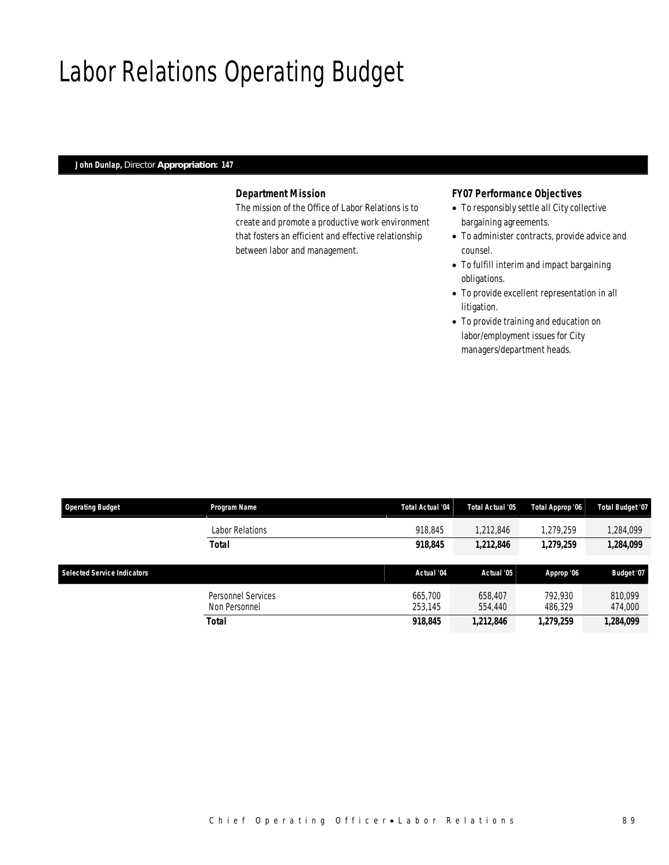# Labor Relations Operating Budget

### *John Dunlap, Director Appropriation: 147*

## *Department Mission*

The mission of the Office of Labor Relations is to create and promote a productive work environment that fosters an efficient and effective relationship between labor and management.

#### *FY07 Performance Objectives*

- To responsibly settle all City collective bargaining agreements.
- To administer contracts, provide advice and counsel.
- To fulfill interim and impact bargaining obligations.
- To provide excellent representation in all litigation.
- To provide training and education on labor/employment issues for City managers/department heads.

| <b>Operating Budget</b>            | Program Name       | Total Actual '04 | Total Actual '05 | Total Approp '06 | <b>Total Budget '07</b> |
|------------------------------------|--------------------|------------------|------------------|------------------|-------------------------|
|                                    | Labor Relations    | 918.845          | 1,212,846        | 1.279.259        | ,284,099                |
|                                    | <b>Total</b>       | 918,845          | 1,212,846        | 1,279,259        | 1,284,099               |
|                                    |                    |                  |                  |                  |                         |
|                                    |                    |                  |                  |                  |                         |
| <b>Selected Service Indicators</b> |                    | Actual '04       | Actual '05       | Approp '06       | Budget '07              |
|                                    | Personnel Services | 665.700          | 658.407          | 792.930          | 810.099                 |
|                                    | Non Personnel      | 253.145          | 554,440          | 486.329          | 474,000                 |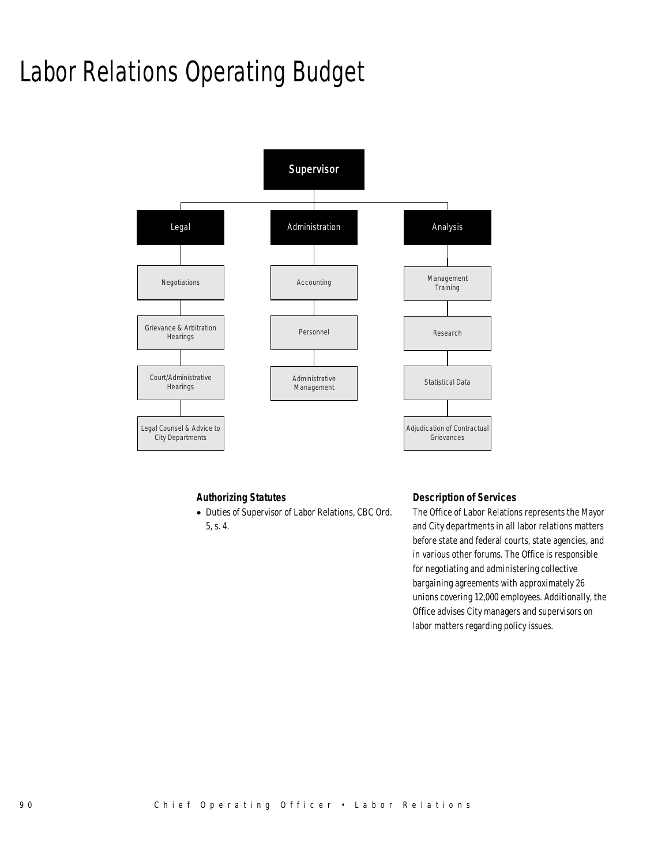# Labor Relations Operating Budget



### *Authorizing Statutes*

• Duties of Supervisor of Labor Relations, CBC Ord. 5, s. 4.

### *Description of Services*

The Office of Labor Relations represents the Mayor and City departments in all labor relations matters before state and federal courts, state agencies, and in various other forums. The Office is responsible for negotiating and administering collective bargaining agreements with approximately 26 unions covering 12,000 employees. Additionally, the Office advises City managers and supervisors on labor matters regarding policy issues.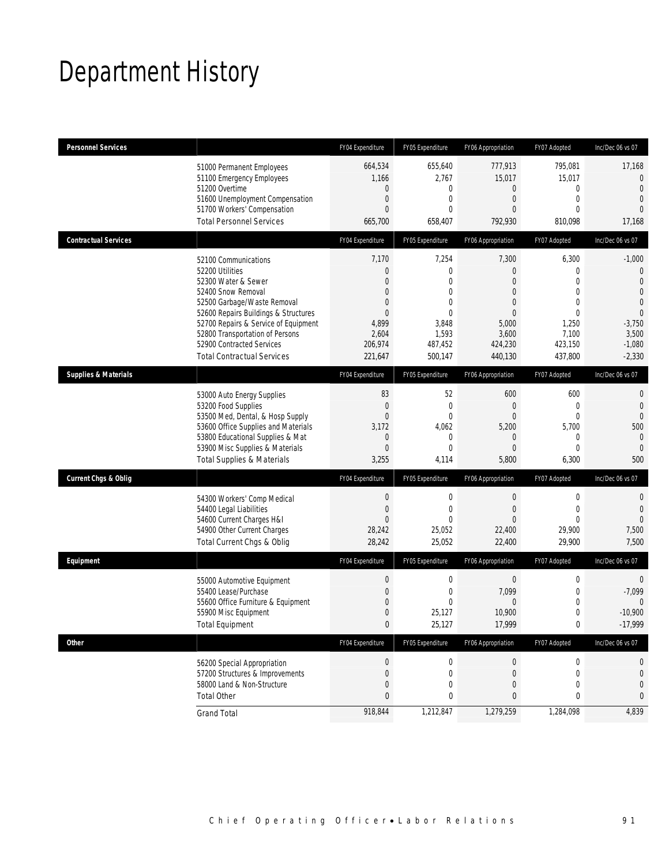# Department History

| <b>Personnel Services</b>       |                                                                                                                                                                                                                                                                                                          | FY04 Expenditure                                                                                                            | FY05 Expenditure                                                                                   | FY06 Appropriation                                                                                                 | FY07 Adopted                                                                                                                | Inc/Dec 06 vs 07                                                                                                     |
|---------------------------------|----------------------------------------------------------------------------------------------------------------------------------------------------------------------------------------------------------------------------------------------------------------------------------------------------------|-----------------------------------------------------------------------------------------------------------------------------|----------------------------------------------------------------------------------------------------|--------------------------------------------------------------------------------------------------------------------|-----------------------------------------------------------------------------------------------------------------------------|----------------------------------------------------------------------------------------------------------------------|
|                                 | 51000 Permanent Employees<br>51100 Emergency Employees<br>51200 Overtime<br>51600 Unemployment Compensation<br>51700 Workers' Compensation<br><b>Total Personnel Services</b>                                                                                                                            | 664,534<br>1,166<br>$\mathbf{0}$<br>$\mathbf{0}$<br>$\Omega$<br>665,700                                                     | 655,640<br>2,767<br>$\mathbf{0}$<br>$\mathbf{0}$<br>$\theta$<br>658,407                            | 777,913<br>15,017<br>0<br>$\overline{0}$<br>$\Omega$<br>792,930                                                    | 795,081<br>15,017<br>0<br>$\mathbf 0$<br>$\Omega$<br>810,098                                                                | 17,168<br>0<br>$\overline{0}$<br>$\overline{0}$<br>$\Omega$<br>17,168                                                |
| <b>Contractual Services</b>     |                                                                                                                                                                                                                                                                                                          | FY04 Expenditure                                                                                                            | FY05 Expenditure                                                                                   | FY06 Appropriation                                                                                                 | FY07 Adopted                                                                                                                | Inc/Dec 06 vs 07                                                                                                     |
|                                 | 52100 Communications<br>52200 Utilities<br>52300 Water & Sewer<br>52400 Snow Removal<br>52500 Garbage/Waste Removal<br>52600 Repairs Buildings & Structures<br>52700 Repairs & Service of Equipment<br>52800 Transportation of Persons<br>52900 Contracted Services<br><b>Total Contractual Services</b> | 7,170<br>$\overline{0}$<br>$\Omega$<br>$\mathbf{0}$<br>$\mathbf{0}$<br>$\mathbf{0}$<br>4,899<br>2,604<br>206,974<br>221,647 | 7,254<br>$\theta$<br>$\theta$<br>0<br>$\theta$<br>$\theta$<br>3,848<br>1,593<br>487,452<br>500,147 | 7,300<br>0<br>$\Omega$<br>$\overline{0}$<br>$\mathbf{0}$<br>$\overline{0}$<br>5,000<br>3,600<br>424,230<br>440,130 | 6,300<br>$\mathbf 0$<br>$\theta$<br>$\overline{0}$<br>$\overline{0}$<br>$\mathbf 0$<br>1,250<br>7,100<br>423,150<br>437,800 | $-1,000$<br>0<br>$\Omega$<br>$\Omega$<br>$\overline{0}$<br>$\mathbf{0}$<br>$-3,750$<br>3,500<br>$-1,080$<br>$-2,330$ |
| <b>Supplies &amp; Materials</b> |                                                                                                                                                                                                                                                                                                          | FY04 Expenditure                                                                                                            | FY05 Expenditure                                                                                   | FY06 Appropriation                                                                                                 | FY07 Adopted                                                                                                                | Inc/Dec 06 vs 07                                                                                                     |
|                                 | 53000 Auto Energy Supplies<br>53200 Food Supplies<br>53500 Med, Dental, & Hosp Supply<br>53600 Office Supplies and Materials<br>53800 Educational Supplies & Mat<br>53900 Misc Supplies & Materials<br><b>Total Supplies &amp; Materials</b>                                                             | 83<br>$\mathbf 0$<br>$\mathbf{0}$<br>3,172<br>$\mathbf{0}$<br>$\mathbf{0}$<br>3,255                                         | 52<br>$\mathbf{0}$<br>$\mathbf{0}$<br>4,062<br>$\mathbf{0}$<br>$\mathbf{0}$<br>4,114               | 600<br>$\mathbf 0$<br>$\boldsymbol{0}$<br>5,200<br>$\overline{0}$<br>$\mathbf{0}$<br>5,800                         | 600<br>$\mathbf 0$<br>$\overline{0}$<br>5,700<br>0<br>$\overline{0}$<br>6,300                                               | 0<br>$\theta$<br>$\mathbf{0}$<br>500<br>$\theta$<br>$\overline{0}$<br>500                                            |
| <b>Current Chgs &amp; Oblig</b> |                                                                                                                                                                                                                                                                                                          | FY04 Expenditure                                                                                                            | FY05 Expenditure                                                                                   | FY06 Appropriation                                                                                                 | FY07 Adopted                                                                                                                | Inc/Dec 06 vs 07                                                                                                     |
|                                 | 54300 Workers' Comp Medical<br>54400 Legal Liabilities<br>54600 Current Charges H&I<br>54900 Other Current Charges<br>Total Current Chgs & Oblig                                                                                                                                                         | $\mathbf 0$<br>$\mathbf{0}$<br>$\mathbf{0}$<br>28,242<br>28,242                                                             | $\mathbf{0}$<br>$\mathbf 0$<br>$\mathbf{0}$<br>25,052<br>25,052                                    | $\boldsymbol{0}$<br>$\boldsymbol{0}$<br>$\overline{0}$<br>22,400<br>22,400                                         | 0<br>0<br>$\overline{0}$<br>29,900<br>29,900                                                                                | 0<br>$\mathbf{0}$<br>$\mathbf 0$<br>7,500<br>7,500                                                                   |
| Equipment                       |                                                                                                                                                                                                                                                                                                          | FY04 Expenditure                                                                                                            | FY05 Expenditure                                                                                   | FY06 Appropriation                                                                                                 | FY07 Adopted                                                                                                                | Inc/Dec 06 vs 07                                                                                                     |
|                                 | 55000 Automotive Equipment<br>55400 Lease/Purchase<br>55600 Office Furniture & Equipment<br>55900 Misc Equipment<br><b>Total Equipment</b>                                                                                                                                                               | $\boldsymbol{0}$<br>$\mathbf{0}$<br>$\mathbf{0}$<br>$\mathbf{0}$<br>0                                                       | $\mathbf 0$<br>$\mathbf{0}$<br>$\theta$<br>25,127<br>25,127                                        | $\boldsymbol{0}$<br>7,099<br>$\Omega$<br>10,900<br>17,999                                                          | 0<br>$\mathbf 0$<br>$\mathbf{0}$<br>0<br>0                                                                                  | $\mathbf 0$<br>$-7,099$<br>$-10,900$<br>$-17,999$                                                                    |
| <b>Other</b>                    |                                                                                                                                                                                                                                                                                                          | FY04 Expenditure                                                                                                            | FY05 Expenditure                                                                                   | FY06 Appropriation                                                                                                 | FY07 Adopted                                                                                                                | Inc/Dec 06 vs 07                                                                                                     |
|                                 | 56200 Special Appropriation<br>57200 Structures & Improvements<br>58000 Land & Non-Structure<br><b>Total Other</b>                                                                                                                                                                                       | $\boldsymbol{0}$<br>$\mathbf 0$<br>$\mathbf{0}$<br>$\mathbf{0}$                                                             | $\mathbf 0$<br>$\mathbf 0$<br>$\mathbf 0$<br>0                                                     | $\mathbf 0$<br>$\mathbf 0$<br>0<br>0                                                                               | $\mathbf 0$<br>$\mathbf 0$<br>0<br>0                                                                                        | 0<br>$\mathbf 0$<br>$\mathbf 0$<br>0                                                                                 |
|                                 | <b>Grand Total</b>                                                                                                                                                                                                                                                                                       | 918,844                                                                                                                     | 1,212,847                                                                                          | 1,279,259                                                                                                          | 1,284,098                                                                                                                   | 4,839                                                                                                                |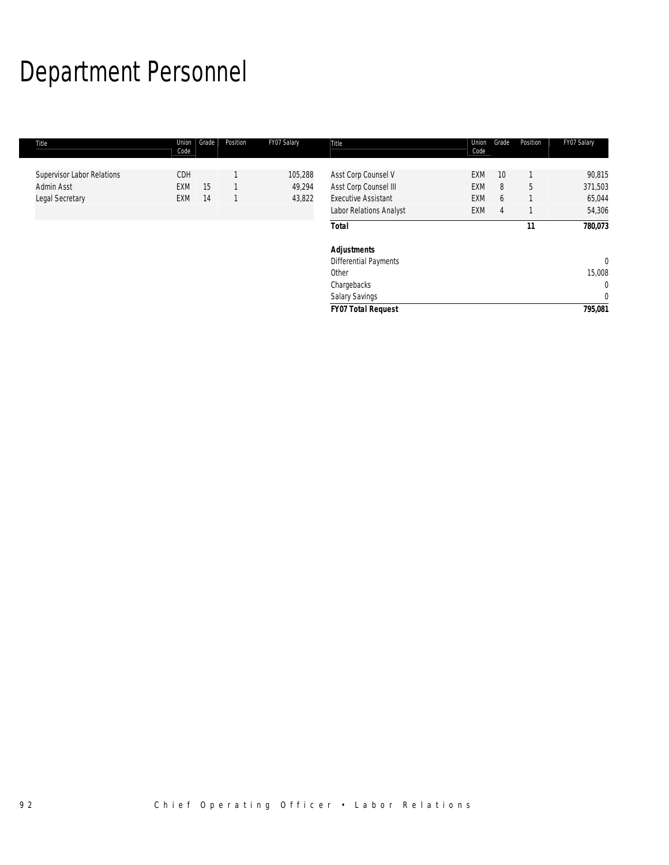# Department Personnel

| Title                      | Union<br>Code | Grade | Position | FY07 Salary | Title                      | Union<br>Code | Grade | Position | FY07 Salary |
|----------------------------|---------------|-------|----------|-------------|----------------------------|---------------|-------|----------|-------------|
| Supervisor Labor Relations | CDH           |       |          | 105,288     | Asst Corp Counsel V        | <b>EXM</b>    | 10    |          | 90,815      |
|                            |               |       |          |             |                            |               |       |          |             |
| <b>Admin Asst</b>          | EXM           | 15    |          | 49,294      | Asst Corp Counsel III      | <b>EXM</b>    | 8     | 5        | 371,503     |
| Legal Secretary            | EXM           | 14    | 1        | 43,822      | <b>Executive Assistant</b> | <b>EXM</b>    | 6     | 1        | 65,044      |
|                            |               |       |          |             | Labor Relations Analyst    | <b>EXM</b>    | 4     |          | 54,306      |
|                            |               |       |          |             | <b>Total</b>               |               |       | 11       | 780,073     |
|                            |               |       |          |             | <b>Adjustments</b>         |               |       |          |             |
|                            |               |       |          |             | Differential Payments      |               |       |          | $\mathbf 0$ |
|                            |               |       |          |             | Other                      |               |       |          | 15,008      |
|                            |               |       |          |             | Chargebacks                |               |       |          | $\mathbf 0$ |
|                            |               |       |          |             | Salary Savings             |               |       |          | $\mathbf 0$ |
|                            |               |       |          |             | <b>FY07 Total Request</b>  |               |       |          | 795,081     |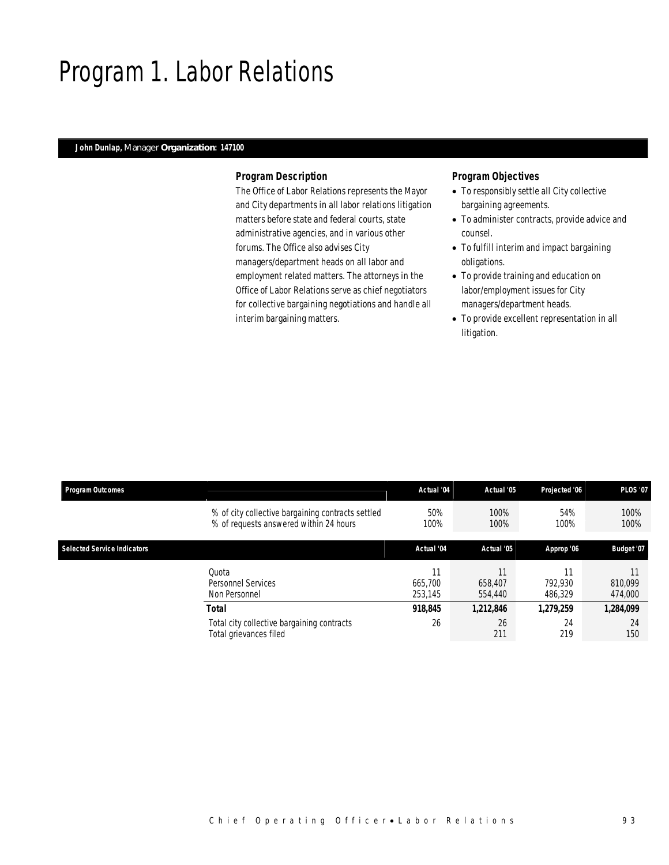## Program 1. Labor Relations

### *John Dunlap, Manager Organization: 147100*

#### *Program Description*

The Office of Labor Relations represents the Mayor and City departments in all labor relations litigation matters before state and federal courts, state administrative agencies, and in various other forums. The Office also advises City managers/department heads on all labor and employment related matters. The attorneys in the Office of Labor Relations serve as chief negotiators for collective bargaining negotiations and handle all interim bargaining matters.

## *Program Objectives*

- To responsibly settle all City collective bargaining agreements.
- To administer contracts, provide advice and counsel.
- To fulfill interim and impact bargaining obligations.
- To provide training and education on labor/employment issues for City managers/department heads.
- To provide excellent representation in all litigation.

| Program Outcomes                   |                                                                                             | Actual '04               | Actual '05         | Projected '06            | <b>PLOS '07</b>    |
|------------------------------------|---------------------------------------------------------------------------------------------|--------------------------|--------------------|--------------------------|--------------------|
|                                    | % of city collective bargaining contracts settled<br>% of requests answered within 24 hours | 50%<br>100%              | 100%<br>100%       | 54%<br>100%              | 100%<br>100%       |
| <b>Selected Service Indicators</b> |                                                                                             | Actual '04               | Actual '05         | Approp '06               | Budget '07         |
|                                    | Ouota<br>Personnel Services<br>Non Personnel                                                | 11<br>665.700<br>253,145 | 658,407<br>554,440 | 11<br>792.930<br>486,329 | 810,099<br>474,000 |
|                                    | Total                                                                                       | 918,845                  | 1,212,846          | 1,279,259                | 1,284,099          |
|                                    | Total city collective bargaining contracts<br>Total grievances filed                        | 26                       | 26<br>211          | 24<br>219                | 24<br>150          |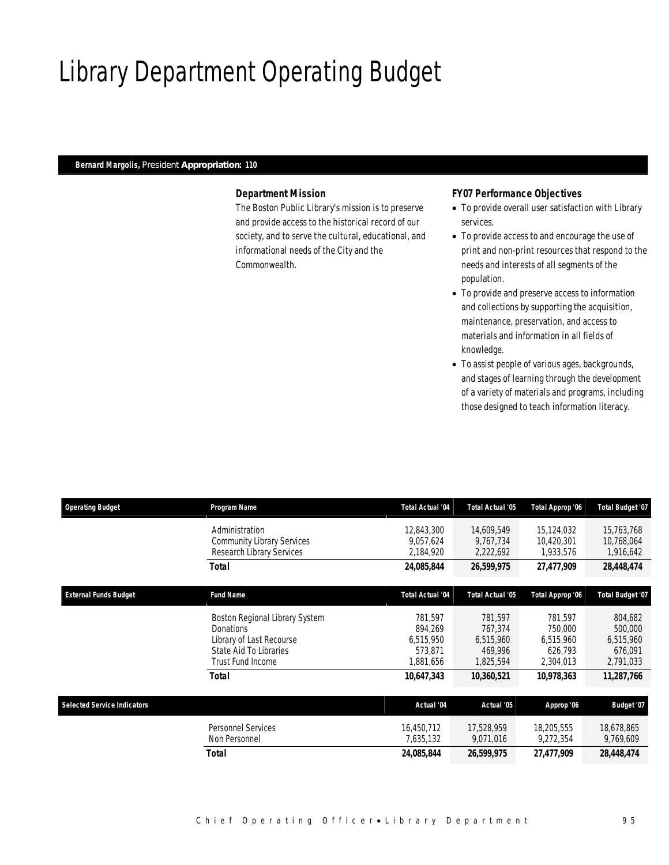# Library Department Operating Budget

#### *Bernard Margolis, President Appropriation: 110*

## *Department Mission*

The Boston Public Library's mission is to preserve and provide access to the historical record of our society, and to serve the cultural, educational, and informational needs of the City and the Commonwealth.

#### *FY07 Performance Objectives*

- To provide overall user satisfaction with Library services.
- To provide access to and encourage the use of print and non-print resources that respond to the needs and interests of all segments of the population.
- To provide and preserve access to information and collections by supporting the acquisition, maintenance, preservation, and access to materials and information in all fields of knowledge.
- To assist people of various ages, backgrounds, and stages of learning through the development of a variety of materials and programs, including those designed to teach information literacy.

| <b>Operating Budget</b>            | Program Name                                                                                                           | <b>Total Actual '04</b>                                 | Total Actual '05                                        | Total Approp '06                                        | Total Budget '07                                        |
|------------------------------------|------------------------------------------------------------------------------------------------------------------------|---------------------------------------------------------|---------------------------------------------------------|---------------------------------------------------------|---------------------------------------------------------|
|                                    | Administration<br><b>Community Library Services</b><br>Research Library Services                                       | 12,843,300<br>9.057.624<br>2,184,920                    | 14,609,549<br>9,767,734<br>2,222,692                    | 15.124.032<br>10,420,301<br>1,933,576                   | 15,763,768<br>10,768,064<br>1,916,642                   |
|                                    | <b>Total</b>                                                                                                           | 24,085,844                                              | 26,599,975                                              | 27,477,909                                              | 28,448,474                                              |
| <b>External Funds Budget</b>       | <b>Fund Name</b>                                                                                                       | <b>Total Actual '04</b>                                 | <b>Total Actual '05</b>                                 | Total Approp '06                                        | <b>Total Budget '07</b>                                 |
|                                    | Boston Regional Library System<br>Donations<br>Library of Last Recourse<br>State Aid To Libraries<br>Trust Fund Income | 781.597<br>894.269<br>6.515.950<br>573,871<br>1,881,656 | 781.597<br>767,374<br>6,515,960<br>469,996<br>1,825,594 | 781.597<br>750,000<br>6,515,960<br>626,793<br>2,304,013 | 804,682<br>500,000<br>6,515,960<br>676,091<br>2,791,033 |
|                                    | Total                                                                                                                  | 10,647,343                                              | 10,360,521                                              | 10,978,363                                              | 11,287,766                                              |
| <b>Selected Service Indicators</b> |                                                                                                                        | Actual '04                                              | Actual '05                                              | Approp '06                                              | Budget '07                                              |
|                                    | <b>Personnel Services</b><br>Non Personnel                                                                             | 16,450,712<br>7,635,132                                 | 17,528,959<br>9,071,016                                 | 18,205,555<br>9,272,354                                 | 18,678,865<br>9,769,609                                 |
|                                    | Total                                                                                                                  | 24,085,844                                              | 26,599,975                                              | 27,477,909                                              | 28,448,474                                              |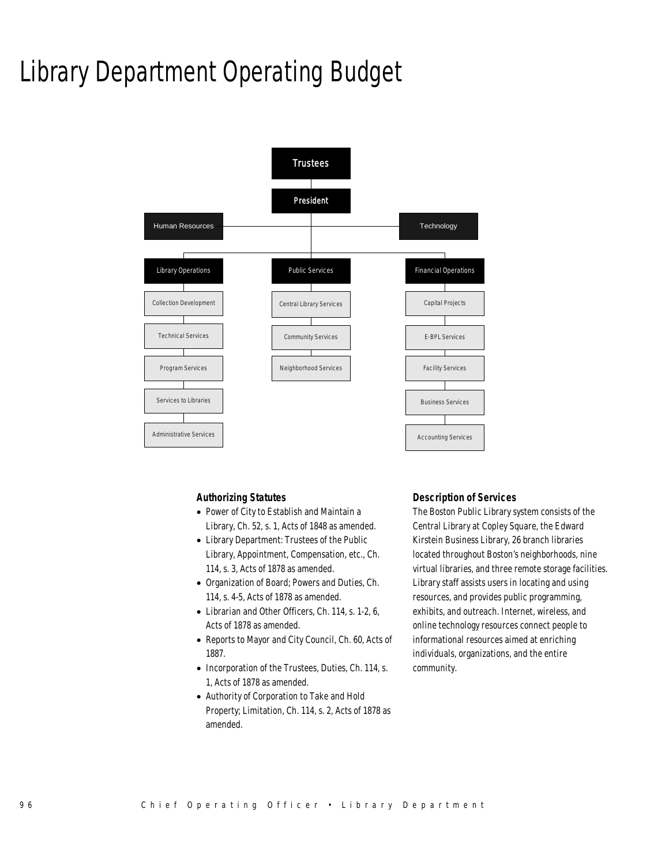# Library Department Operating Budget



#### *Authorizing Statutes*

- Power of City to Establish and Maintain a Library, Ch. 52, s. 1, Acts of 1848 as amended.
- Library Department: Trustees of the Public Library, Appointment, Compensation, etc., Ch. 114, s. 3, Acts of 1878 as amended.
- Organization of Board; Powers and Duties, Ch. 114, s. 4-5, Acts of 1878 as amended.
- Librarian and Other Officers, Ch. 114, s. 1-2, 6, Acts of 1878 as amended.
- Reports to Mayor and City Council, Ch. 60, Acts of 1887.
- Incorporation of the Trustees, Duties, Ch. 114, s. 1, Acts of 1878 as amended.
- Authority of Corporation to Take and Hold Property; Limitation, Ch. 114, s. 2, Acts of 1878 as amended.

#### *Description of Services*

The Boston Public Library system consists of the Central Library at Copley Square, the Edward Kirstein Business Library, 26 branch libraries located throughout Boston's neighborhoods, nine virtual libraries, and three remote storage facilities. Library staff assists users in locating and using resources, and provides public programming, exhibits, and outreach. Internet, wireless, and online technology resources connect people to informational resources aimed at enriching individuals, organizations, and the entire community.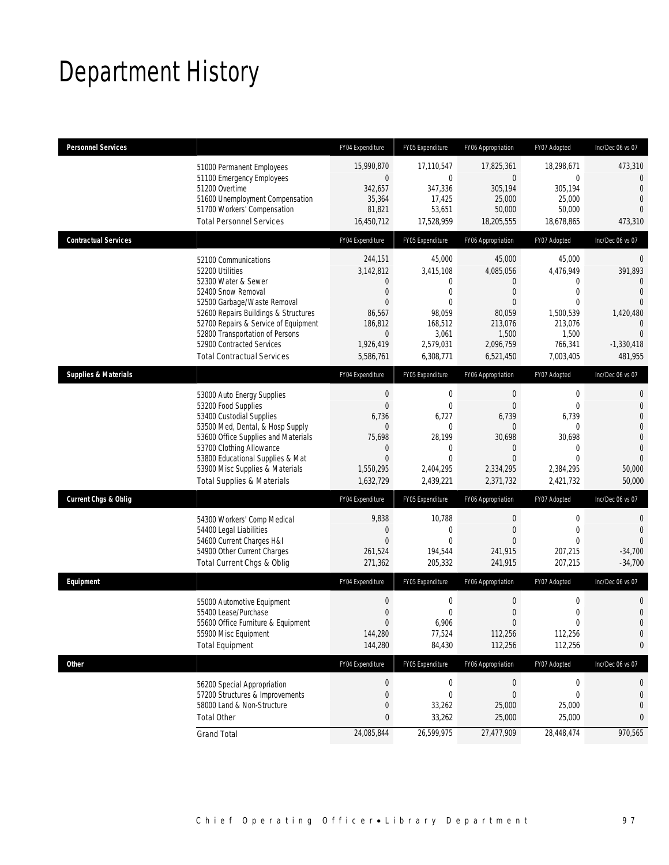# Department History

| <b>Personnel Services</b>       |                                                                                                                                                                                                                                                                                                          | FY04 Expenditure                                                                                                      | FY05 Expenditure                                                                                                      | FY06 Appropriation                                                                                          | FY07 Adopted                                                                                                    | Inc/Dec 06 vs 07                                                                                                                |
|---------------------------------|----------------------------------------------------------------------------------------------------------------------------------------------------------------------------------------------------------------------------------------------------------------------------------------------------------|-----------------------------------------------------------------------------------------------------------------------|-----------------------------------------------------------------------------------------------------------------------|-------------------------------------------------------------------------------------------------------------|-----------------------------------------------------------------------------------------------------------------|---------------------------------------------------------------------------------------------------------------------------------|
|                                 | 51000 Permanent Employees<br>51100 Emergency Employees<br>51200 Overtime<br>51600 Unemployment Compensation<br>51700 Workers' Compensation<br><b>Total Personnel Services</b>                                                                                                                            | 15,990,870<br>$\overline{0}$<br>342,657<br>35,364<br>81,821<br>16,450,712                                             | 17.110.547<br>$\mathbf{0}$<br>347,336<br>17,425<br>53,651<br>17,528,959                                               | 17,825,361<br>$\mathbf{0}$<br>305,194<br>25,000<br>50,000<br>18,205,555                                     | 18,298,671<br>0<br>305,194<br>25,000<br>50,000<br>18,678,865                                                    | 473,310<br>$\overline{0}$<br>$\Omega$<br>$\overline{0}$<br>$\Omega$<br>473,310                                                  |
| <b>Contractual Services</b>     |                                                                                                                                                                                                                                                                                                          | FY04 Expenditure                                                                                                      | FY05 Expenditure                                                                                                      | FY06 Appropriation                                                                                          | FY07 Adopted                                                                                                    | Inc/Dec 06 vs 07                                                                                                                |
|                                 | 52100 Communications<br>52200 Utilities<br>52300 Water & Sewer<br>52400 Snow Removal<br>52500 Garbage/Waste Removal<br>52600 Repairs Buildings & Structures<br>52700 Repairs & Service of Equipment<br>52800 Transportation of Persons<br>52900 Contracted Services<br><b>Total Contractual Services</b> | 244,151<br>3,142,812<br>0<br>$\overline{0}$<br>$\Omega$<br>86,567<br>186,812<br>$\mathbf 0$<br>1,926,419<br>5,586,761 | 45,000<br>3,415,108<br>$\theta$<br>$\overline{0}$<br>$\theta$<br>98,059<br>168,512<br>3,061<br>2,579,031<br>6,308,771 | 45,000<br>4,085,056<br>0<br>$\mathbf 0$<br>$\Omega$<br>80,059<br>213,076<br>1,500<br>2,096,759<br>6,521,450 | 45,000<br>4,476,949<br>0<br>$\overline{0}$<br>$\Omega$<br>1,500,539<br>213,076<br>1,500<br>766,341<br>7,003,405 | $\mathbf{0}$<br>391,893<br>$\Omega$<br>$\Omega$<br>$\mathbf{0}$<br>1,420,480<br>$\Omega$<br>$\Omega$<br>$-1,330,418$<br>481,955 |
| <b>Supplies &amp; Materials</b> |                                                                                                                                                                                                                                                                                                          | FY04 Expenditure                                                                                                      | FY05 Expenditure                                                                                                      | FY06 Appropriation                                                                                          | FY07 Adopted                                                                                                    | Inc/Dec 06 vs 07                                                                                                                |
|                                 | 53000 Auto Energy Supplies<br>53200 Food Supplies<br>53400 Custodial Supplies<br>53500 Med, Dental, & Hosp Supply<br>53600 Office Supplies and Materials<br>53700 Clothing Allowance<br>53800 Educational Supplies & Mat<br>53900 Misc Supplies & Materials<br><b>Total Supplies &amp; Materials</b>     | $\mathbf 0$<br>$\mathbf{0}$<br>6,736<br>$\theta$<br>75,698<br>$\overline{0}$<br>$\Omega$<br>1,550,295<br>1,632,729    | $\mathbf 0$<br>$\mathbf{0}$<br>6,727<br>$\mathbf{0}$<br>28,199<br>$\mathbf{0}$<br>$\Omega$<br>2,404,295<br>2,439,221  | $\mathbf 0$<br>$\mathbf{0}$<br>6,739<br>0<br>30,698<br>$\mathbf 0$<br>$\Omega$<br>2,334,295<br>2,371,732    | 0<br>$\overline{0}$<br>6,739<br>0<br>30,698<br>$\mathbf{0}$<br>$\Omega$<br>2,384,295<br>2,421,732               | 0<br>$\overline{0}$<br>$\Omega$<br>$\overline{0}$<br>$\Omega$<br>$\overline{0}$<br>$\Omega$<br>50,000<br>50,000                 |
| <b>Current Chgs &amp; Oblig</b> |                                                                                                                                                                                                                                                                                                          | FY04 Expenditure                                                                                                      | FY05 Expenditure                                                                                                      | FY06 Appropriation                                                                                          | FY07 Adopted                                                                                                    | Inc/Dec 06 vs 07                                                                                                                |
|                                 | 54300 Workers' Comp Medical<br>54400 Legal Liabilities<br>54600 Current Charges H&I<br>54900 Other Current Charges<br>Total Current Chgs & Oblig                                                                                                                                                         | 9,838<br>$\theta$<br>$\theta$<br>261,524<br>271,362                                                                   | 10,788<br>$\mathbf{0}$<br>$\theta$<br>194,544<br>205,332                                                              | $\boldsymbol{0}$<br>$\mathbf{0}$<br>$\Omega$<br>241,915<br>241,915                                          | $\mathbf 0$<br>$\mathbf 0$<br>$\Omega$<br>207,215<br>207,215                                                    | 0<br>$\mathbf{0}$<br>$\Omega$<br>$-34,700$<br>$-34,700$                                                                         |
| Equipment                       |                                                                                                                                                                                                                                                                                                          | FY04 Expenditure                                                                                                      | FY05 Expenditure                                                                                                      | FY06 Appropriation                                                                                          | FY07 Adopted                                                                                                    | Inc/Dec 06 vs 07                                                                                                                |
|                                 | 55000 Automotive Equipment<br>55400 Lease/Purchase<br>55600 Office Furniture & Equipment<br>55900 Misc Equipment<br><b>Total Equipment</b>                                                                                                                                                               | $\theta$<br>$\mathbf 0$<br>$\Omega$<br>144,280<br>144,280                                                             | $\mathbf 0$<br>$\mathbf{0}$<br>6,906<br>77,524<br>84,430                                                              | $\boldsymbol{0}$<br>$\boldsymbol{0}$<br>$\Omega$<br>112,256<br>112,256                                      | $\boldsymbol{0}$<br>$\overline{0}$<br>$\Omega$<br>112,256<br>112,256                                            | 0<br>$\overline{0}$<br>$\overline{0}$<br>$\mathbf{0}$<br>0                                                                      |
| <b>Other</b>                    |                                                                                                                                                                                                                                                                                                          | FY04 Expenditure                                                                                                      | FY05 Expenditure                                                                                                      | FY06 Appropriation                                                                                          | FY07 Adopted                                                                                                    | Inc/Dec 06 vs 07                                                                                                                |
|                                 | 56200 Special Appropriation<br>57200 Structures & Improvements<br>58000 Land & Non-Structure<br><b>Total Other</b>                                                                                                                                                                                       | $\theta$<br>$\mathbf 0$<br>$\mathbf 0$<br>$\bf{0}$                                                                    | $\mathbf 0$<br>$\mathbf{0}$<br>33,262<br>33,262                                                                       | $\boldsymbol{0}$<br>0<br>25,000<br>25,000                                                                   | $\boldsymbol{0}$<br>0<br>25,000<br>25,000                                                                       | $\boldsymbol{0}$<br>0<br>$\mathbf{0}$<br>$\mathbf{0}$                                                                           |
|                                 | <b>Grand Total</b>                                                                                                                                                                                                                                                                                       | 24,085,844                                                                                                            | 26,599,975                                                                                                            | 27,477,909                                                                                                  | 28,448,474                                                                                                      | 970,565                                                                                                                         |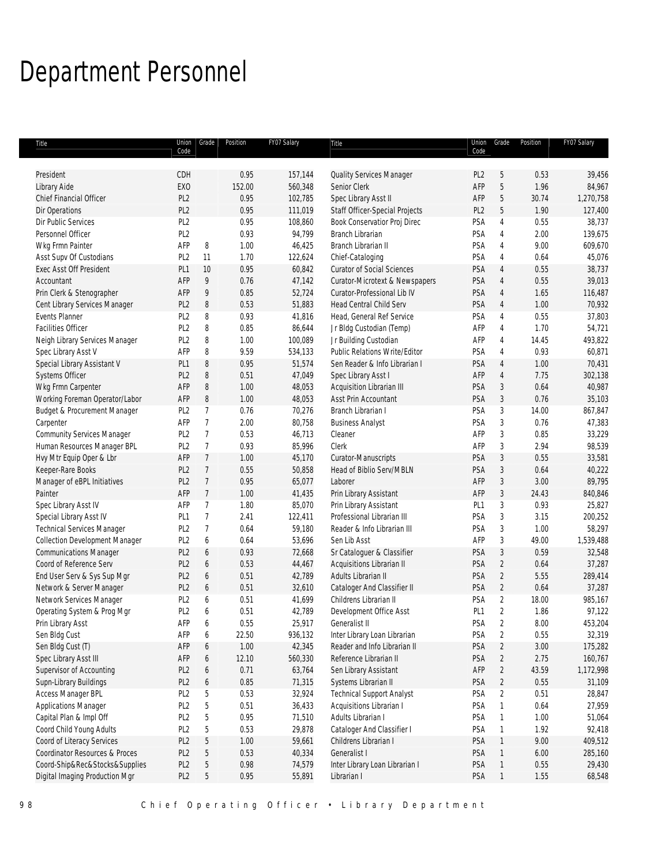## Department Personnel

| Title                                              |                 | Union Grade      | Position | FY07 Salary | Title                                                 |                 | Union Grade             | Position | FY07 Salary |
|----------------------------------------------------|-----------------|------------------|----------|-------------|-------------------------------------------------------|-----------------|-------------------------|----------|-------------|
|                                                    | Code            |                  |          |             |                                                       | Code            |                         |          |             |
| President                                          | CDH             |                  | 0.95     | 157,144     | Quality Services Manager                              | PL <sub>2</sub> | 5                       | 0.53     | 39,456      |
| Library Aide                                       | EXO             |                  | 152.00   | 560,348     | Senior Clerk                                          | AFP             | 5                       | 1.96     | 84,967      |
| <b>Chief Financial Officer</b>                     | PL <sub>2</sub> |                  | 0.95     | 102,785     | Spec Library Asst II                                  | AFP             | 5                       | 30.74    | 1,270,758   |
| <b>Dir Operations</b>                              | PL <sub>2</sub> |                  | 0.95     | 111,019     | Staff Officer-Special Projects                        | PL <sub>2</sub> | 5                       | 1.90     | 127,400     |
| Dir Public Services                                | PL <sub>2</sub> |                  | 0.95     | 108,860     | Book Conservatior Proj Direc                          | PSA             | 4                       | 0.55     | 38,737      |
| Personnel Officer                                  | PL <sub>2</sub> |                  | 0.93     | 94,799      | Branch Librarian                                      | PSA             | 4                       | 2.00     | 139,675     |
| Wkg Frmn Painter                                   | AFP             | 8                | 1.00     | 46,425      | Branch Librarian II                                   | PSA             | 4                       | 9.00     | 609,670     |
|                                                    | PL <sub>2</sub> | 11               | 1.70     | 122,624     |                                                       | PSA             | 4                       | 0.64     | 45,076      |
| Asst Supv Of Custodians<br>Exec Asst Off President | PL <sub>1</sub> | 10               | 0.95     | 60,842      | Chief-Cataloging<br><b>Curator of Social Sciences</b> | PSA             | $\overline{4}$          | 0.55     | 38,737      |
|                                                    | AFP             | 9                | 0.76     |             |                                                       |                 | 4                       |          |             |
| Accountant                                         | AFP             | 9                |          | 47,142      | Curator-Microtext & Newspapers                        | PSA             |                         | 0.55     | 39,013      |
| Prin Clerk & Stenographer                          |                 |                  | 0.85     | 52,724      | Curator-Professional Lib IV                           | PSA             | $\overline{4}$          | 1.65     | 116,487     |
| Cent Library Services Manager                      | PL <sub>2</sub> | 8                | 0.53     | 51,883      | <b>Head Central Child Serv</b>                        | PSA             | $\overline{4}$          | 1.00     | 70,932      |
| <b>Events Planner</b>                              | PL <sub>2</sub> | 8                | 0.93     | 41,816      | Head, General Ref Service                             | PSA             | 4                       | 0.55     | 37,803      |
| <b>Facilities Officer</b>                          | PL <sub>2</sub> | 8                | 0.85     | 86,644      | Jr Bldg Custodian (Temp)                              | AFP             | 4                       | 1.70     | 54,721      |
| Neigh Library Services Manager                     | PL <sub>2</sub> | 8                | 1.00     | 100,089     | Jr Building Custodian                                 | AFP             | 4                       | 14.45    | 493,822     |
| Spec Library Asst V                                | AFP             | 8                | 9.59     | 534,133     | Public Relations Write/Editor                         | PSA             | 4                       | 0.93     | 60,871      |
| Special Library Assistant V                        | PL <sub>1</sub> | 8                | 0.95     | 51,574      | Sen Reader & Info Librarian I                         | PSA             | $\overline{4}$          | 1.00     | 70,431      |
| <b>Systems Officer</b>                             | PL <sub>2</sub> | 8                | 0.51     | 47,049      | Spec Library Asst I                                   | AFP             | $\overline{4}$          | 7.75     | 302,138     |
| Wkg Frmn Carpenter                                 | AFP             | 8                | 1.00     | 48,053      | Acquisition Librarian III                             | PSA             | 3                       | 0.64     | 40,987      |
| Working Foreman Operator/Labor                     | AFP             | 8                | 1.00     | 48,053      | Asst Prin Accountant                                  | PSA             | 3                       | 0.76     | 35,103      |
| Budget & Procurement Manager                       | PL <sub>2</sub> | $\overline{7}$   | 0.76     | 70,276      | Branch Librarian I                                    | PSA             | 3                       | 14.00    | 867,847     |
| Carpenter                                          | AFP             | $\overline{7}$   | 2.00     | 80,758      | <b>Business Analyst</b>                               | PSA             | 3                       | 0.76     | 47,383      |
| <b>Community Services Manager</b>                  | PL <sub>2</sub> | $\boldsymbol{7}$ | 0.53     | 46,713      | Cleaner                                               | AFP             | 3                       | 0.85     | 33,229      |
| Human Resources Manager BPL                        | PL <sub>2</sub> | $\overline{7}$   | 0.93     | 85,996      | Clerk                                                 | AFP             | 3                       | 2.94     | 98,539      |
| Hvy Mtr Equip Oper & Lbr                           | AFP             | $\overline{7}$   | 1.00     | 45,170      | Curator-Manuscripts                                   | PSA             | $\overline{3}$          | 0.55     | 33,581      |
| Keeper-Rare Books                                  | PL <sub>2</sub> | $\overline{7}$   | 0.55     | 50,858      | Head of Biblio Serv/MBLN                              | PSA             | 3                       | 0.64     | 40,222      |
| Manager of eBPL Initiatives                        | PL <sub>2</sub> | $\overline{7}$   | 0.95     | 65,077      | Laborer                                               | AFP             | 3                       | 3.00     | 89,795      |
| Painter                                            | AFP             | $\overline{7}$   | 1.00     | 41,435      | Prin Library Assistant                                | AFP             | $\mathfrak{Z}$          | 24.43    | 840,846     |
| Spec Library Asst IV                               | AFP             | 7                | 1.80     | 85,070      | Prin Library Assistant                                | PL <sub>1</sub> | 3                       | 0.93     | 25,827      |
| Special Library Asst IV                            | PL <sub>1</sub> | $\overline{7}$   | 2.41     | 122,411     | Professional Librarian III                            | PSA             | 3                       | 3.15     | 200,252     |
| <b>Technical Services Manager</b>                  | PL <sub>2</sub> | $\overline{7}$   | 0.64     | 59,180      | Reader & Info Librarian III                           | PSA             | 3                       | 1.00     | 58,297      |
| <b>Collection Development Manager</b>              | PL <sub>2</sub> | 6                | 0.64     | 53,696      | Sen Lib Asst                                          | AFP             | 3                       | 49.00    | 1,539,488   |
| <b>Communications Manager</b>                      | PL <sub>2</sub> | 6                | 0.93     | 72,668      | Sr Cataloguer & Classifier                            | <b>PSA</b>      | $\mathfrak{Z}$          | 0.59     | 32,548      |
| Coord of Reference Serv                            | PL <sub>2</sub> | 6                | 0.53     | 44,467      | Acquisitions Librarian II                             | PSA             | $\overline{2}$          | 0.64     | 37,287      |
| End User Serv & Sys Sup Mgr                        | PL <sub>2</sub> | 6                | 0.51     | 42,789      | Adults Librarian II                                   | PSA             | $\overline{2}$          | 5.55     | 289,414     |
| Network & Server Manager                           | PL <sub>2</sub> | 6                | 0.51     | 32,610      | Cataloger And Classifier II                           | PSA             | $\overline{2}$          | 0.64     | 37,287      |
| Network Services Manager                           | PL <sub>2</sub> | 6                | 0.51     | 41,699      | Childrens Librarian II                                | PSA             | $\overline{2}$          | 18.00    | 985,167     |
| Operating System & Prog Mgr                        | PL <sub>2</sub> | 6                | 0.51     | 42,789      | Development Office Asst                               | PL <sub>1</sub> | $\overline{2}$          | 1.86     | 97,122      |
| Prin Library Asst                                  | AFP             | 6                | 0.55     | 25,917      | Generalist II                                         | PSA             | $\overline{\mathbf{c}}$ | 8.00     | 453,204     |
| Sen Bldg Cust                                      | AFP             | 6                | 22.50    | 936,132     | Inter Library Loan Librarian                          | PSA             | $\overline{c}$          | $0.55\,$ | 32,319      |
| Sen Bldg Cust (T)                                  | AFP             | 6                | 1.00     | 42,345      | Reader and Info Librarian II                          | PSA             | $\sqrt{2}$              | 3.00     | 175,282     |
| Spec Library Asst III                              | AFP             | 6                | 12.10    | 560,330     | Reference Librarian II                                | PSA             | $\overline{c}$          | 2.75     | 160,767     |
| Supervisor of Accounting                           | PL <sub>2</sub> | 6                | 0.71     | 63,764      | Sen Library Assistant                                 | AFP             | $\overline{c}$          | 43.59    | 1,172,998   |
| Supn-Library Buildings                             | PL <sub>2</sub> | 6                | 0.85     | 71,315      | Systems Librarian II                                  | PSA             | $\overline{c}$          | 0.55     | 31,109      |
| Access Manager BPL                                 | PL <sub>2</sub> | 5                | 0.53     | 32,924      | <b>Technical Support Analyst</b>                      | PSA             | $\overline{c}$          | 0.51     | 28,847      |
| <b>Applications Manager</b>                        | PL <sub>2</sub> | 5                | 0.51     | 36,433      | Acquisitions Librarian I                              | PSA             | $\mathbf{1}$            | 0.64     | 27,959      |
| Capital Plan & Impl Off                            | PL <sub>2</sub> | 5                | 0.95     | 71,510      | Adults Librarian I                                    | PSA             | $\mathbf{1}$            | 1.00     | 51,064      |
| Coord Child Young Adults                           | PL <sub>2</sub> | 5                | 0.53     | 29,878      | Cataloger And Classifier I                            | PSA             | $\mathbf{1}$            | 1.92     | 92,418      |
| Coord of Literacy Services                         | PL <sub>2</sub> | 5                | 1.00     | 59,661      | Childrens Librarian I                                 | PSA             | $\mathbf{1}$            | 9.00     | 409,512     |
| Coordinator Resources & Proces                     | PL <sub>2</sub> | 5                | 0.53     | 40,334      | Generalist I                                          | PSA             | $\mathbf{1}$            | 6.00     | 285,160     |
| Coord-Ship&Rec&Stocks&Supplies                     | PL <sub>2</sub> | 5                | 0.98     | 74,579      | Inter Library Loan Librarian I                        | PSA             | $\mathbf{1}$            | 0.55     | 29,430      |
| Digital Imaging Production Mgr                     | PL <sub>2</sub> | 5                | 0.95     | 55,891      | Librarian I                                           | PSA             | $\mathbf{1}$            | 1.55     | 68,548      |
|                                                    |                 |                  |          |             |                                                       |                 |                         |          |             |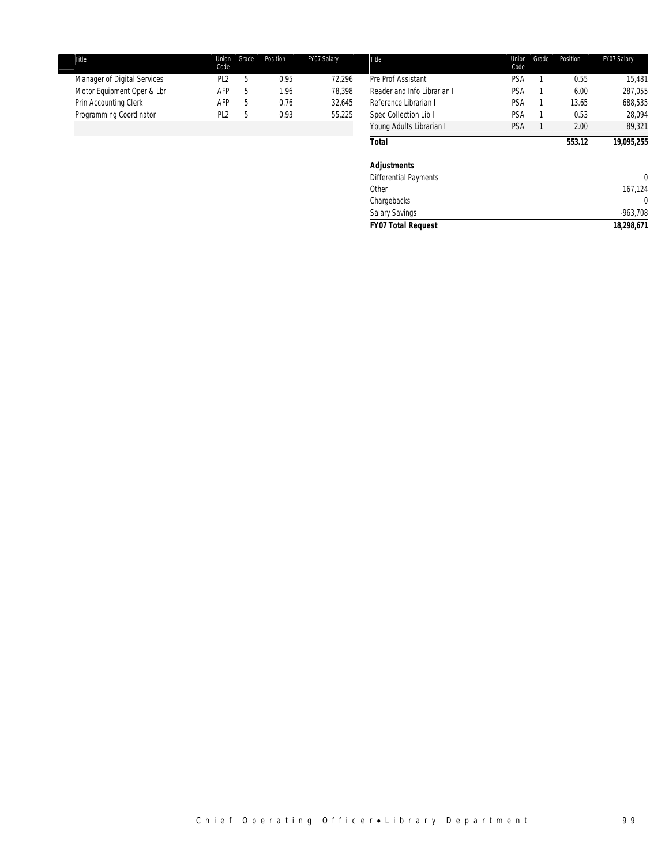| <b>Title</b>                | Code            | Union Grade | Position | FY07 Salary | <b>Title</b>                | Code | Union Grade | Position | FY07 Salary |
|-----------------------------|-----------------|-------------|----------|-------------|-----------------------------|------|-------------|----------|-------------|
| Manager of Digital Services | PI2             |             | 0.95     | 72.296      | Pre Prof Assistant          | PSA  |             | 0.55     | 15,481      |
| Motor Equipment Oper & Lbr  | AFP             |             | 1.96     | 78.398      | Reader and Info Librarian I | PSA  |             | 6.00     | 287,055     |
| Prin Accounting Clerk       | AFP             |             | 0.76     | 32.645      | Reference Librarian I       | PSA  |             | 13.65    | 688,535     |
| Programming Coordinator     | PL <sub>2</sub> |             | 0.93     | 55.225      | Spec Collection Lib I       | PSA  |             | 0.53     | 28,094      |
|                             |                 |             |          |             | Young Adults Librarian I    | PSA  |             | 2.00     | 89,321      |

| <b>Total</b>                 | 19,095,255<br>553.12 |
|------------------------------|----------------------|
| Adjustments                  |                      |
| <b>Differential Payments</b> | $\theta$             |
| Other                        | 167,124              |
| Chargebacks                  | $\Omega$             |
| Salary Savings               | $-963,708$           |
| <b>FY07 Total Request</b>    | 18,298,671           |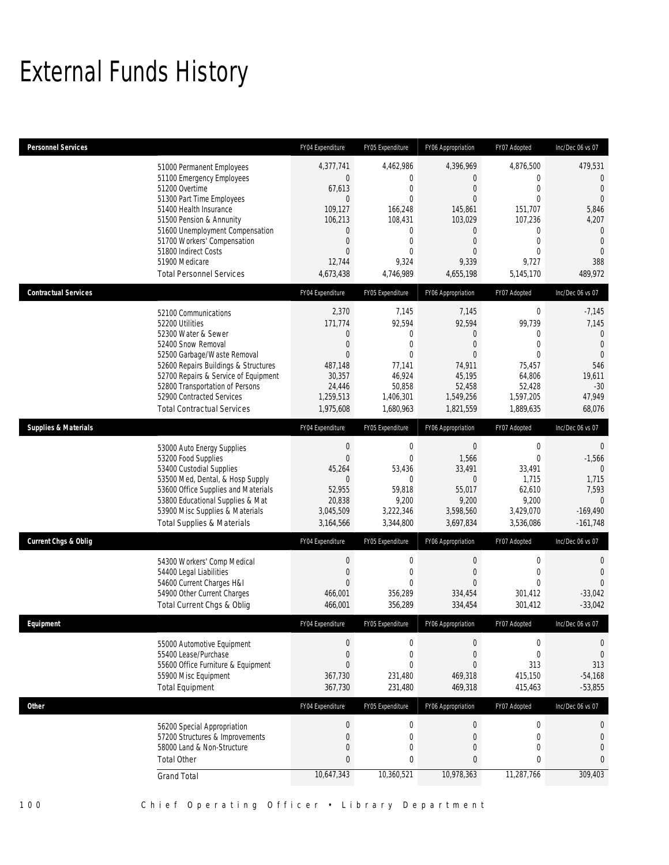# External Funds History

| <b>Personnel Services</b>       |                                                                                                                                                                                                                                                                                                            | FY04 Expenditure                                                                                                                              | FY05 Expenditure                                                                                                                  | FY06 Appropriation                                                                                                                     | FY07 Adopted                                                                                                                              | Inc/Dec 06 vs 07                                                                                                     |
|---------------------------------|------------------------------------------------------------------------------------------------------------------------------------------------------------------------------------------------------------------------------------------------------------------------------------------------------------|-----------------------------------------------------------------------------------------------------------------------------------------------|-----------------------------------------------------------------------------------------------------------------------------------|----------------------------------------------------------------------------------------------------------------------------------------|-------------------------------------------------------------------------------------------------------------------------------------------|----------------------------------------------------------------------------------------------------------------------|
|                                 | 51000 Permanent Employees<br>51100 Emergency Employees<br>51200 Overtime<br>51300 Part Time Employees<br>51400 Health Insurance<br>51500 Pension & Annunity<br>51600 Unemployment Compensation<br>51700 Workers' Compensation<br>51800 Indirect Costs<br>51900 Medicare<br><b>Total Personnel Services</b> | 4,377,741<br>$\mathbf 0$<br>67,613<br>$\overline{0}$<br>109,127<br>106,213<br>$\mathbf{0}$<br>$\Omega$<br>$\mathbf{0}$<br>12,744<br>4,673,438 | 4,462,986<br>$\theta$<br>$\theta$<br>$\theta$<br>166.248<br>108,431<br>$\mathbf{0}$<br>$\theta$<br>$\theta$<br>9,324<br>4,746,989 | 4,396,969<br>0<br>$\Omega$<br>$\overline{0}$<br>145,861<br>103,029<br>$\overline{0}$<br>$\mathbf{0}$<br>$\Omega$<br>9,339<br>4,655,198 | 4,876,500<br>$\mathbf 0$<br>$\Omega$<br>$\overline{0}$<br>151,707<br>107,236<br>$\mathbf 0$<br>$\Omega$<br>$\Omega$<br>9,727<br>5,145,170 | 479,531<br>0<br>$\Omega$<br>$\mathbf{0}$<br>5,846<br>4,207<br>$\mathbf{0}$<br>$\Omega$<br>$\Omega$<br>388<br>489,972 |
| <b>Contractual Services</b>     |                                                                                                                                                                                                                                                                                                            | FY04 Expenditure                                                                                                                              | FY05 Expenditure                                                                                                                  | FY06 Appropriation                                                                                                                     | FY07 Adopted                                                                                                                              | Inc/Dec 06 vs 07                                                                                                     |
|                                 | 52100 Communications<br>52200 Utilities<br>52300 Water & Sewer<br>52400 Snow Removal<br>52500 Garbage/Waste Removal<br>52600 Repairs Buildings & Structures<br>52700 Repairs & Service of Equipment<br>52800 Transportation of Persons<br>52900 Contracted Services<br><b>Total Contractual Services</b>   | 2,370<br>171,774<br>$\mathbf{0}$<br>$\mathbf{0}$<br>$\overline{0}$<br>487,148<br>30,357<br>24,446<br>1,259,513<br>1,975,608                   | 7,145<br>92,594<br>$\mathbf{0}$<br>$\mathbf{0}$<br>$\theta$<br>77,141<br>46,924<br>50,858<br>1,406,301<br>1,680,963               | 7,145<br>92,594<br>$\overline{0}$<br>$\overline{0}$<br>$\Omega$<br>74,911<br>45,195<br>52,458<br>1,549,256<br>1,821,559                | $\boldsymbol{0}$<br>99,739<br>0<br>$\mathbf{0}$<br>$\mathbf 0$<br>75,457<br>64,806<br>52,428<br>1,597,205<br>1,889,635                    | $-7,145$<br>7,145<br>$\mathbf 0$<br>$\overline{0}$<br>$\overline{0}$<br>546<br>19,611<br>$-30$<br>47,949<br>68,076   |
| <b>Supplies &amp; Materials</b> |                                                                                                                                                                                                                                                                                                            | FY04 Expenditure                                                                                                                              | FY05 Expenditure                                                                                                                  | FY06 Appropriation                                                                                                                     | FY07 Adopted                                                                                                                              | Inc/Dec 06 vs 07                                                                                                     |
|                                 | 53000 Auto Energy Supplies<br>53200 Food Supplies<br>53400 Custodial Supplies<br>53500 Med, Dental, & Hosp Supply<br>53600 Office Supplies and Materials<br>53800 Educational Supplies & Mat<br>53900 Misc Supplies & Materials<br><b>Total Supplies &amp; Materials</b>                                   | $\mathbf 0$<br>$\Omega$<br>45,264<br>$\overline{0}$<br>52,955<br>20,838<br>3,045,509<br>3,164,566                                             | $\mathbf{0}$<br>$\theta$<br>53,436<br>$\theta$<br>59,818<br>9,200<br>3,222,346<br>3,344,800                                       | $\overline{0}$<br>1,566<br>33,491<br>$\mathbf{0}$<br>55,017<br>9,200<br>3,598,560<br>3,697,834                                         | 0<br>$\mathbf{0}$<br>33,491<br>1,715<br>62,610<br>9,200<br>3,429,070<br>3,536,086                                                         | $\mathbf 0$<br>$-1,566$<br>$\theta$<br>1,715<br>7,593<br>$\mathbf{0}$<br>$-169,490$<br>$-161,748$                    |
| <b>Current Chgs &amp; Oblig</b> |                                                                                                                                                                                                                                                                                                            | FY04 Expenditure                                                                                                                              | FY05 Expenditure                                                                                                                  | FY06 Appropriation                                                                                                                     | FY07 Adopted                                                                                                                              | Inc/Dec 06 vs 07                                                                                                     |
|                                 | 54300 Workers' Comp Medical<br>54400 Legal Liabilities<br>54600 Current Charges H&I<br>54900 Other Current Charges<br>Total Current Chgs & Oblig                                                                                                                                                           | $\mathbf 0$<br>$\mathbf{0}$<br>$\overline{0}$<br>466,001<br>466,001                                                                           | $\mathbf 0$<br>$\mathbf{0}$<br>$\theta$<br>356,289<br>356,289                                                                     | $\boldsymbol{0}$<br>$\mathbf{0}$<br>$\Omega$<br>334,454<br>334,454                                                                     | $\mathbf 0$<br>$\mathbf 0$<br>$\Omega$<br>301,412<br>301,412                                                                              | 0<br>$\overline{0}$<br>0<br>$-33,042$<br>$-33,042$                                                                   |
| <b>Equipment</b>                |                                                                                                                                                                                                                                                                                                            | FY04 Expenditure                                                                                                                              | FY05 Expenditure                                                                                                                  | FY06 Appropriation                                                                                                                     | FY07 Adopted                                                                                                                              | Inc/Dec 06 vs 07                                                                                                     |
|                                 | 55000 Automotive Equipment<br>55400 Lease/Purchase<br>55600 Office Furniture & Equipment<br>55900 Misc Equipment<br><b>Total Equipment</b>                                                                                                                                                                 | $\mathbf 0$<br>$\mathbf{0}$<br>$\mathbf{0}$<br>367,730<br>367,730                                                                             | $\mathbf 0$<br>$\mathbf{0}$<br>$\mathbf{0}$<br>231,480<br>231,480                                                                 | $\boldsymbol{0}$<br>$\boldsymbol{0}$<br>$\overline{0}$<br>469,318<br>469,318                                                           | $\boldsymbol{0}$<br>$\mathbf{0}$<br>313<br>415,150<br>415,463                                                                             | 0<br>$\mathbf 0$<br>313<br>$-54,168$<br>$-53,855$                                                                    |
| Other                           |                                                                                                                                                                                                                                                                                                            | FY04 Expenditure                                                                                                                              | FY05 Expenditure                                                                                                                  | FY06 Appropriation                                                                                                                     | FY07 Adopted                                                                                                                              | Inc/Dec 06 vs 07                                                                                                     |
|                                 | 56200 Special Appropriation<br>57200 Structures & Improvements<br>58000 Land & Non-Structure<br><b>Total Other</b>                                                                                                                                                                                         | $\boldsymbol{0}$<br>$\boldsymbol{0}$<br>$\mathbf 0$<br>$\bf{0}$<br>10,647,343                                                                 | $\mathbf 0$<br>$\mathbf 0$<br>$\mathbf 0$<br>0<br>10,360,521                                                                      | 0<br>$\boldsymbol{0}$<br>$\boldsymbol{0}$<br>$\pmb{0}$<br>10,978,363                                                                   | $\boldsymbol{0}$<br>$\mathbf 0$<br>$\mathbf 0$<br>$\bf{0}$<br>11,287,766                                                                  | 0<br>$\mathbf 0$<br>0<br>0<br>309,403                                                                                |
|                                 | <b>Grand Total</b>                                                                                                                                                                                                                                                                                         |                                                                                                                                               |                                                                                                                                   |                                                                                                                                        |                                                                                                                                           |                                                                                                                      |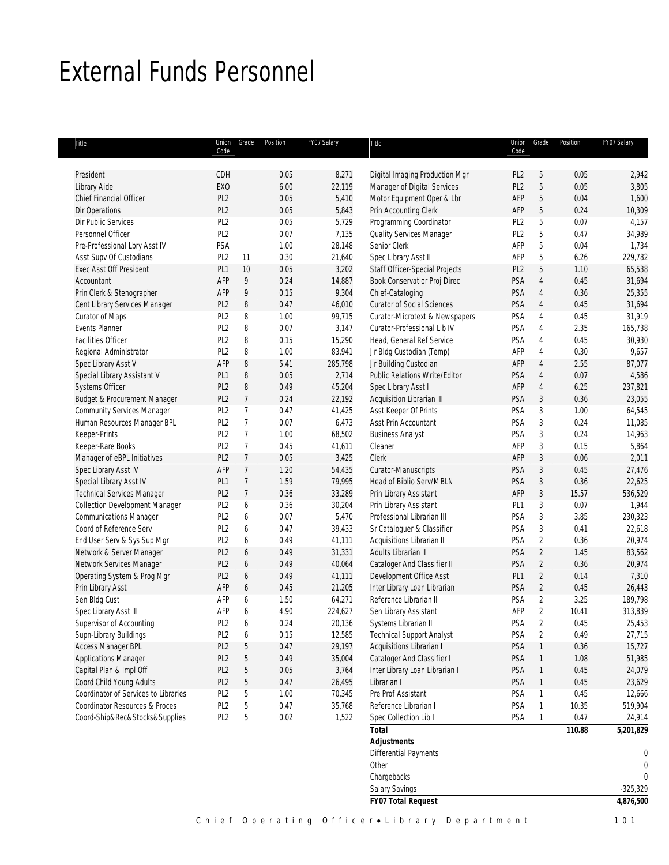## External Funds Personnel

| Title                                 | Union           | Grade          | Position | FY07 Salary | Title                                | Union           | Grade          | Position | FY07 Salary  |
|---------------------------------------|-----------------|----------------|----------|-------------|--------------------------------------|-----------------|----------------|----------|--------------|
|                                       | Code            |                |          |             |                                      | Code            |                |          |              |
| President                             | CDH             |                | 0.05     | 8,271       | Digital Imaging Production Mgr       | PL <sub>2</sub> | 5              | 0.05     | 2,942        |
| Library Aide                          | EX <sub>O</sub> |                | 6.00     | 22,119      | Manager of Digital Services          | PL <sub>2</sub> | 5              | 0.05     | 3,805        |
| <b>Chief Financial Officer</b>        | PL <sub>2</sub> |                | 0.05     | 5,410       | Motor Equipment Oper & Lbr           | AFP             | 5              | 0.04     | 1,600        |
| Dir Operations                        | PL <sub>2</sub> |                | 0.05     | 5,843       | Prin Accounting Clerk                | AFP             | $\mathbf 5$    | 0.24     | 10,309       |
| Dir Public Services                   | PL <sub>2</sub> |                | 0.05     | 5,729       | Programming Coordinator              | PL <sub>2</sub> | 5              | 0.07     | 4,157        |
| Personnel Officer                     | PL <sub>2</sub> |                | 0.07     | 7,135       | Quality Services Manager             | PL <sub>2</sub> | 5              | 0.47     | 34,989       |
| Pre-Professional Lbry Asst IV         | PSA             |                | 1.00     | 28,148      | Senior Clerk                         | AFP             | 5              | 0.04     | 1,734        |
| Asst Supv Of Custodians               | PL <sub>2</sub> | 11             | 0.30     | 21,640      | Spec Library Asst II                 | AFP             | 5              | 6.26     | 229,782      |
| Exec Asst Off President               | PL <sub>1</sub> | 10             | 0.05     | 3,202       | Staff Officer-Special Projects       | PL <sub>2</sub> | 5              | 1.10     | 65,538       |
| Accountant                            | AFP             | 9              | 0.24     | 14,887      | Book Conservatior Proj Direc         | <b>PSA</b>      | $\overline{4}$ | 0.45     | 31,694       |
| Prin Clerk & Stenographer             | AFP             | 9              | 0.15     | 9,304       | Chief-Cataloging                     | PSA             | $\overline{4}$ | 0.36     | 25,355       |
| Cent Library Services Manager         | PL <sub>2</sub> | 8              | 0.47     | 46,010      | <b>Curator of Social Sciences</b>    | PSA             | $\overline{4}$ | 0.45     | 31,694       |
| Curator of Maps                       | PL <sub>2</sub> | 8              | 1.00     | 99,715      | Curator-Microtext & Newspapers       | PSA             | $\overline{4}$ | 0.45     | 31,919       |
| Events Planner                        | PL <sub>2</sub> | 8              | 0.07     | 3,147       | Curator-Professional Lib IV          | PSA             | $\overline{4}$ | 2.35     | 165,738      |
| <b>Facilities Officer</b>             | PL <sub>2</sub> | 8              | 0.15     | 15,290      | Head, General Ref Service            | PSA             | $\overline{4}$ | 0.45     | 30,930       |
| Regional Administrator                | PL <sub>2</sub> | 8              | 1.00     | 83,941      | Jr Bldg Custodian (Temp)             | AFP             | $\overline{4}$ | 0.30     | 9,657        |
| Spec Library Asst V                   | AFP             | 8              | 5.41     | 285,798     | Jr Building Custodian                | AFP             | $\overline{4}$ | 2.55     | 87,077       |
| Special Library Assistant V           | PL <sub>1</sub> | 8              | 0.05     | 2,714       | <b>Public Relations Write/Editor</b> | PSA             | $\overline{4}$ | 0.07     | 4,586        |
| <b>Systems Officer</b>                | PL <sub>2</sub> | 8              | 0.49     | 45,204      | Spec Library Asst I                  | AFP             | $\overline{4}$ | 6.25     | 237,821      |
| Budget & Procurement Manager          | PL <sub>2</sub> | $\overline{7}$ | 0.24     | 22,192      | Acquisition Librarian III            | PSA             | 3              | 0.36     | 23,055       |
| <b>Community Services Manager</b>     | PL <sub>2</sub> | 7              | 0.47     | 41,425      | Asst Keeper Of Prints                | PSA             | $\overline{3}$ | 1.00     | 64,545       |
| Human Resources Manager BPL           | PL <sub>2</sub> | $\overline{7}$ | 0.07     | 6,473       | Asst Prin Accountant                 | PSA             | $\overline{3}$ | 0.24     | 11,085       |
| Keeper-Prints                         | PL <sub>2</sub> | 7              | 1.00     | 68,502      | <b>Business Analyst</b>              | PSA             | 3              | 0.24     | 14,963       |
| Keeper-Rare Books                     | PL <sub>2</sub> | $\overline{7}$ | 0.45     | 41,611      | Cleaner                              | AFP             | 3              | 0.15     | 5,864        |
| Manager of eBPL Initiatives           | PL <sub>2</sub> | 7              | 0.05     | 3,425       | Clerk                                | AFP             | 3              | 0.06     | 2,011        |
| Spec Library Asst IV                  | AFP             | 7              | 1.20     | 54,435      | Curator-Manuscripts                  | PSA             | $\sqrt{3}$     | 0.45     | 27,476       |
| Special Library Asst IV               | PL <sub>1</sub> | $\overline{7}$ | 1.59     | 79,995      | Head of Biblio Serv/MBLN             | PSA             | $\sqrt{3}$     | 0.36     | 22,625       |
| <b>Technical Services Manager</b>     | PL <sub>2</sub> | 7              | 0.36     | 33,289      | Prin Library Assistant               | AFP             | $\mathfrak{Z}$ | 15.57    | 536,529      |
| <b>Collection Development Manager</b> | PL <sub>2</sub> | 6              | 0.36     | 30,204      | Prin Library Assistant               | PL <sub>1</sub> | 3              | 0.07     | 1,944        |
| <b>Communications Manager</b>         | PL <sub>2</sub> | 6              | 0.07     | 5,470       | Professional Librarian III           | PSA             | 3              | 3.85     | 230,323      |
| Coord of Reference Serv               | PL <sub>2</sub> | 6              | 0.47     | 39,433      | Sr Cataloguer & Classifier           | PSA             | $\sqrt{3}$     | 0.41     | 22,618       |
| End User Serv & Sys Sup Mgr           | PL <sub>2</sub> | 6              | 0.49     | 41,111      | Acquisitions Librarian II            | PSA             | $\overline{2}$ | 0.36     | 20,974       |
| Network & Server Manager              | PL <sub>2</sub> | 6              | 0.49     | 31,331      | Adults Librarian II                  | PSA             | $\overline{2}$ | 1.45     | 83,562       |
| Network Services Manager              | PL <sub>2</sub> | 6              | 0.49     | 40,064      | Cataloger And Classifier II          | PSA             | $\overline{2}$ | 0.36     | 20,974       |
| Operating System & Prog Mgr           | PL <sub>2</sub> | 6              | 0.49     | 41,111      | Development Office Asst              | PL <sub>1</sub> | $\overline{2}$ | 0.14     | 7,310        |
| Prin Library Asst                     | AFP             | 6              | 0.45     | 21,205      | Inter Library Loan Librarian         | PSA             | $\overline{2}$ | 0.45     | 26,443       |
| Sen Bldg Cust                         | AFP             | 6              | 1.50     | 64,271      | Reference Librarian II               | PSA             | $\overline{2}$ | 3.25     | 189,798      |
| Spec Library Asst III                 | AFP             | 6              | 4.90     | 224,627     | Sen Library Assistant                | AFP             | $\overline{2}$ | 10.41    | 313,839      |
| Supervisor of Accounting              | PL <sub>2</sub> | 6              | 0.24     | 20,136      | Systems Librarian II                 | PSA             | $\overline{2}$ | 0.45     | 25.453       |
| Supn-Library Buildings                | PL <sub>2</sub> | 6              | 0.15     | 12,585      | <b>Technical Support Analyst</b>     | PSA             | $\overline{c}$ | 0.49     | 27,715       |
| Access Manager BPL                    | PL <sub>2</sub> | 5              | 0.47     | 29,197      | Acquisitions Librarian I             | PSA             | $\mathbf{1}$   | 0.36     | 15,727       |
| <b>Applications Manager</b>           | PL <sub>2</sub> | 5              | 0.49     | 35,004      | Cataloger And Classifier I           | PSA             | $\mathbf{1}$   | 1.08     | 51,985       |
| Capital Plan & Impl Off               | PL <sub>2</sub> | 5              | 0.05     | 3,764       | Inter Library Loan Librarian I       | PSA             | $\mathbf{1}$   | 0.45     | 24,079       |
| Coord Child Young Adults              | PL <sub>2</sub> | 5              | 0.47     | 26,495      | Librarian I                          | PSA             | $\mathbf{1}$   | 0.45     | 23,629       |
| Coordinator of Services to Libraries  | PL <sub>2</sub> | 5              | 1.00     | 70,345      | Pre Prof Assistant                   | PSA             | 1              | 0.45     | 12,666       |
| Coordinator Resources & Proces        | PL <sub>2</sub> | 5              | 0.47     | 35,768      | Reference Librarian I                | PSA             | 1              | 10.35    | 519,904      |
| Coord-Ship&Rec&Stocks&Supplies        | PL <sub>2</sub> | 5              | 0.02     | 1,522       | Spec Collection Lib I                | PSA             | $\mathbf{1}$   | 0.47     | 24,914       |
|                                       |                 |                |          |             | <b>Total</b>                         |                 |                | 110.88   | 5,201,829    |
|                                       |                 |                |          |             | <b>Adjustments</b>                   |                 |                |          |              |
|                                       |                 |                |          |             | <b>Differential Payments</b>         |                 |                |          | 0            |
|                                       |                 |                |          |             | Other                                |                 |                |          | $\mathbf{0}$ |
|                                       |                 |                |          |             | Chargebacks                          |                 |                |          | $\Omega$     |
|                                       |                 |                |          |             | Salary Savings                       |                 |                |          | $-325,329$   |

*FY07 Total Request 4,876,500*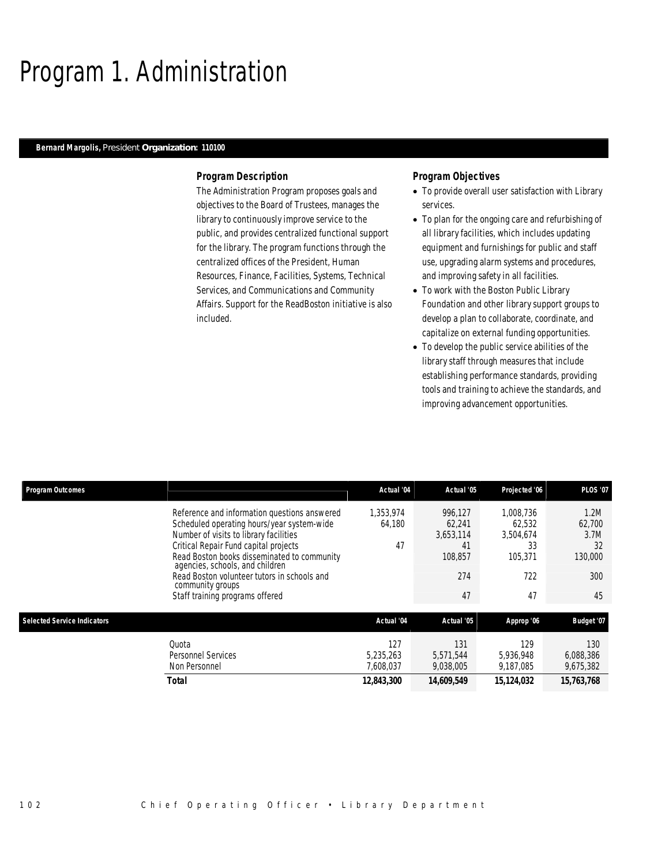## Program 1. Administration

#### *Bernard Margolis, President Organization: 110100*

#### *Program Description*

The Administration Program proposes goals and objectives to the Board of Trustees, manages the library to continuously improve service to the public, and provides centralized functional support for the library. The program functions through the centralized offices of the President, Human Resources, Finance, Facilities, Systems, Technical Services, and Communications and Community Affairs. Support for the ReadBoston initiative is also included.

- To provide overall user satisfaction with Library services.
- To plan for the ongoing care and refurbishing of all library facilities, which includes updating equipment and furnishings for public and staff use, upgrading alarm systems and procedures, and improving safety in all facilities.
- To work with the Boston Public Library Foundation and other library support groups to develop a plan to collaborate, coordinate, and capitalize on external funding opportunities.
- To develop the public service abilities of the library staff through measures that include establishing performance standards, providing tools and training to achieve the standards, and improving advancement opportunities.

|                                             | Actual '04                                                                                                                                                              | Actual '05              | Projected '06                        | <b>PLOS '07</b>                        |
|---------------------------------------------|-------------------------------------------------------------------------------------------------------------------------------------------------------------------------|-------------------------|--------------------------------------|----------------------------------------|
|                                             | 1.353.974                                                                                                                                                               | 996.127                 | 1.008.736                            | 1.2M                                   |
| Scheduled operating hours/year system-wide  | 64,180                                                                                                                                                                  | 62,241                  | 62,532                               | 62,700<br>3.7M                         |
| Critical Repair Fund capital projects       | 47                                                                                                                                                                      | 41                      | 33                                   | 32                                     |
| Read Boston books disseminated to community |                                                                                                                                                                         | 108.857                 | 105.371                              | 130,000                                |
| Read Boston volunteer tutors in schools and |                                                                                                                                                                         | 274                     | 722                                  | 300                                    |
| Staff training programs offered             |                                                                                                                                                                         | 47                      | 47                                   | 45                                     |
|                                             | Actual '04                                                                                                                                                              | Actual '05              | Approp '06                           | Budget '07                             |
| Quota                                       | 127                                                                                                                                                                     | 131                     | 129                                  | 130                                    |
| Personnel Services                          | 5,235,263                                                                                                                                                               | 5.571.544               | 5,936,948                            | 6,088,386                              |
|                                             |                                                                                                                                                                         |                         |                                      | 9,675,382<br>15,763,768                |
|                                             | Reference and information questions answered<br>Number of visits to library facilities<br>agencies, schools, and children<br>community groups<br>Non Personnel<br>Total | 7,608,037<br>12,843,300 | 3,653,114<br>9,038,005<br>14,609,549 | 3,504,674<br>9,187,085<br>15, 124, 032 |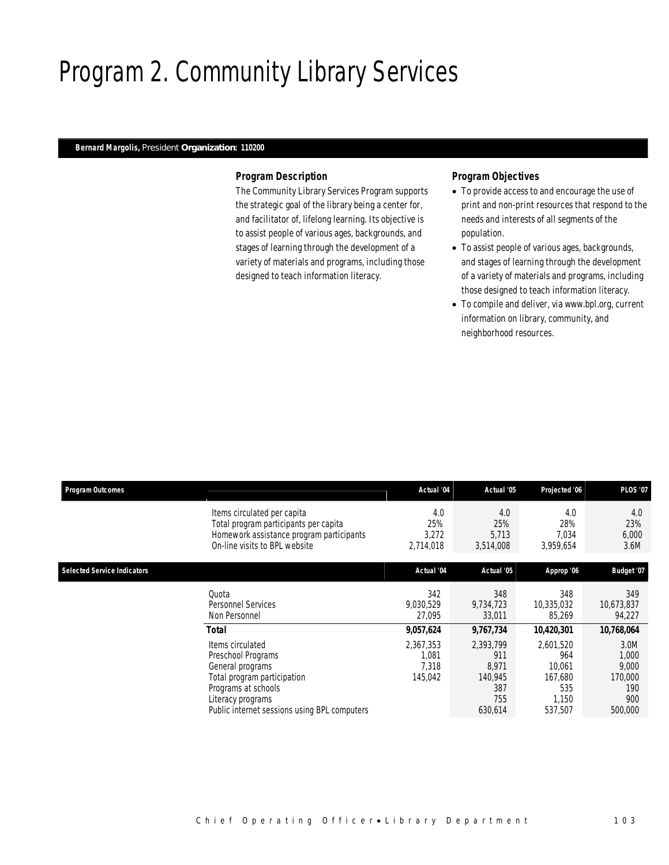## Program 2. Community Library Services

#### *Bernard Margolis, President Organization: 110200*

#### *Program Description*

The Community Library Services Program supports the strategic goal of the library being a center for, and facilitator of, lifelong learning. Its objective is to assist people of various ages, backgrounds, and stages of learning through the development of a variety of materials and programs, including those designed to teach information literacy.

- To provide access to and encourage the use of print and non-print resources that respond to the needs and interests of all segments of the population.
- To assist people of various ages, backgrounds, and stages of learning through the development of a variety of materials and programs, including those designed to teach information literacy.
- To compile and deliver, via www.bpl.org, current information on library, community, and neighborhood resources.

| <b>Program Outcomes</b>            |                                                                                                                                                                                       | Actual '04                             | Actual '05                                                    | Projected '06                                                    | <b>PLOS '07</b>                                            |
|------------------------------------|---------------------------------------------------------------------------------------------------------------------------------------------------------------------------------------|----------------------------------------|---------------------------------------------------------------|------------------------------------------------------------------|------------------------------------------------------------|
|                                    | Items circulated per capita<br>Total program participants per capita<br>Homework assistance program participants<br>On-line visits to BPL website                                     | 4.0<br>25%<br>3,272<br>2,714,018       | 4.0<br>25%<br>5,713<br>3,514,008                              | 4.0<br>28%<br>7.034<br>3,959,654                                 | 4.0<br>23%<br>6,000<br>3.6M                                |
| <b>Selected Service Indicators</b> |                                                                                                                                                                                       | Actual '04                             | Actual '05                                                    | Approp '06                                                       | <b>Budget '07</b>                                          |
|                                    | Quota<br><b>Personnel Services</b><br>Non Personnel                                                                                                                                   | 342<br>9,030,529<br>27,095             | 348<br>9,734,723<br>33,011                                    | 348<br>10,335,032<br>85,269                                      | 349<br>10,673,837<br>94,227                                |
|                                    | Total                                                                                                                                                                                 | 9,057,624                              | 9,767,734                                                     | 10,420,301                                                       | 10,768,064                                                 |
|                                    | Items circulated<br>Preschool Programs<br>General programs<br>Total program participation<br>Programs at schools<br>Literacy programs<br>Public internet sessions using BPL computers | 2,367,353<br>1,081<br>7,318<br>145,042 | 2,393,799<br>911<br>8,971<br>140,945<br>387<br>755<br>630,614 | 2,601,520<br>964<br>10,061<br>167.680<br>535<br>1,150<br>537,507 | 3.0M<br>1,000<br>9,000<br>170,000<br>190<br>900<br>500,000 |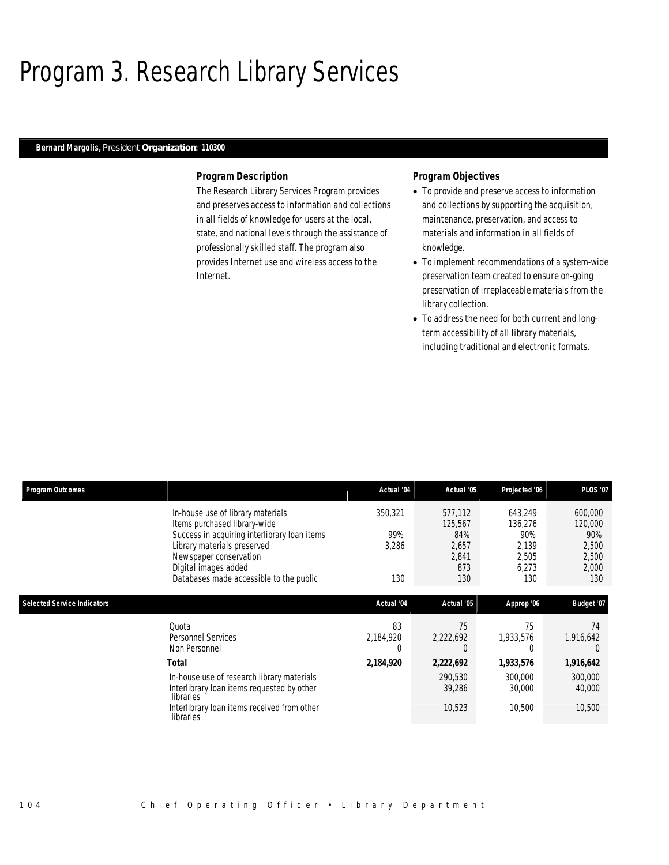## Program 3. Research Library Services

#### *Bernard Margolis, President Organization: 110300*

#### *Program Description*

The Research Library Services Program provides and preserves access to information and collections in all fields of knowledge for users at the local, state, and national levels through the assistance of professionally skilled staff. The program also provides Internet use and wireless access to the Internet.

- To provide and preserve access to information and collections by supporting the acquisition, maintenance, preservation, and access to materials and information in all fields of knowledge.
- To implement recommendations of a system-wide preservation team created to ensure on-going preservation of irreplaceable materials from the library collection.
- To address the need for both current and longterm accessibility of all library materials, including traditional and electronic formats.

| <b>Program Outcomes</b>            |                                                         | Actual '04 | Actual '05 | Projected '06 | <b>PLOS '07</b> |
|------------------------------------|---------------------------------------------------------|------------|------------|---------------|-----------------|
|                                    | In-house use of library materials                       | 350,321    | 577,112    | 643,249       | 600,000         |
|                                    | Items purchased library-wide                            |            | 125,567    | 136,276       | 120,000         |
|                                    | Success in acquiring interlibrary loan items            | 99%        | 84%        | 90%           | 90%             |
|                                    | Library materials preserved                             | 3,286      | 2,657      | 2,139         | 2,500           |
|                                    | Newspaper conservation                                  |            | 2,841      | 2,505         | 2,500           |
|                                    | Digital images added                                    |            | 873        | 6.273         | 2,000           |
|                                    | Databases made accessible to the public                 | 130        | 130        | 130           | 130             |
| <b>Selected Service Indicators</b> |                                                         | Actual '04 | Actual '05 | Approp '06    | Budget '07      |
|                                    |                                                         |            |            |               |                 |
|                                    | Ouota                                                   | 83         | 75         | 75            | 74              |
|                                    | <b>Personnel Services</b>                               | 2,184,920  | 2,222,692  | 1,933,576     | 1,916,642       |
|                                    | Non Personnel                                           | 0          | 0          |               | $\cup$          |
|                                    | <b>Total</b>                                            | 2,184,920  | 2,222,692  | 1,933,576     | 1,916,642       |
|                                    | In-house use of research library materials              |            | 290,530    | 300,000       | 300,000         |
|                                    | Interlibrary loan items requested by other<br>libraries |            | 39,286     | 30,000        | 40,000          |
|                                    | Interlibrary loan items received from other             |            | 10,523     | 10,500        | 10,500          |
|                                    | libraries                                               |            |            |               |                 |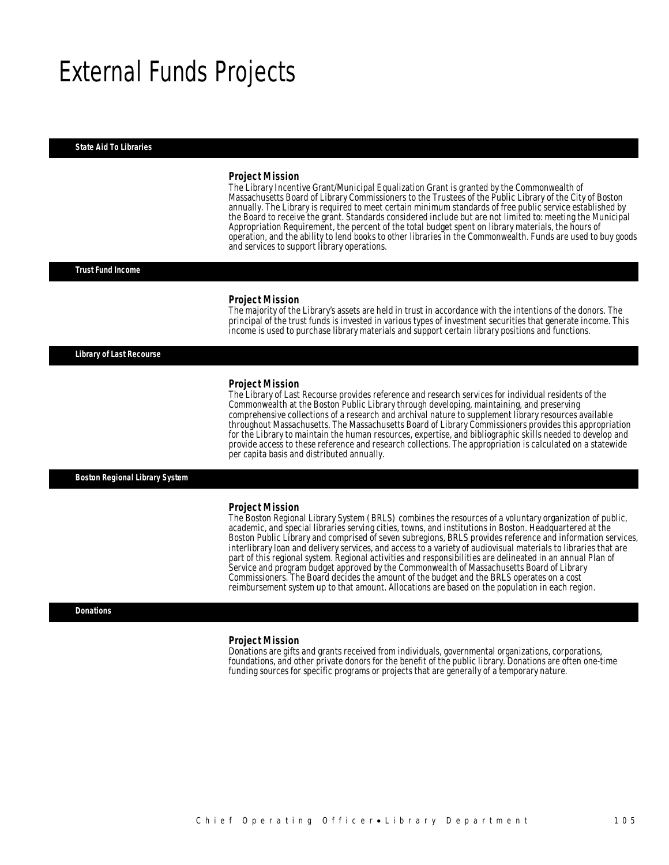## External Funds Projects

*State Aid To Libraries* 

#### *Project Mission*

The Library Incentive Grant/Municipal Equalization Grant is granted by the Commonwealth of Massachusetts Board of Library Commissioners to the Trustees of the Public Library of the City of Boston annually. The Library is required to meet certain minimum standards of free public service established by the Board to receive the grant. Standards considered include but are not limited to: meeting the Municipal Appropriation Requirement, the percent of the total budget spent on library materials, the hours of operation, and the ability to lend books to other libraries in the Commonwealth. Funds are used to buy goods and services to support library operations.

#### *Trust Fund Income*

#### *Project Mission*

The majority of the Library's assets are held in trust in accordance with the intentions of the donors. The principal of the trust funds is invested in various types of investment securities that generate income. This income is used to purchase library materials and support certain library positions and functions.

*Library of Last Recourse* 

#### *Project Mission*

The Library of Last Recourse provides reference and research services for individual residents of the Commonwealth at the Boston Public Library through developing, maintaining, and preserving comprehensive collections of a research and archival nature to supplement library resources available throughout Massachusetts. The Massachusetts Board of Library Commissioners provides this appropriation for the Library to maintain the human resources, expertise, and bibliographic skills needed to develop and provide access to these reference and research collections. The appropriation is calculated on a statewide per capita basis and distributed annually.

*Boston Regional Library System* 

#### *Project Mission*

Î

The Boston Regional Library System (BRLS) combines the resources of a voluntary organization of public, academic, and special libraries serving cities, towns, and institutions in Boston. Headquartered at the Boston Public Library and comprised of seven subregions, BRLS provides reference and information services, interlibrary loan and delivery services, and access to a variety of audiovisual materials to libraries that are part of this regional system. Regional activities and responsibilities are delineated in an annual Plan of Service and program budget approved by the Commonwealth of Massachusetts Board of Library Commissioners. The Board decides the amount of the budget and the BRLS operates on a cost reimbursement system up to that amount. Allocations are based on the population in each region.

#### *Donations*

#### *Project Mission*

Donations are gifts and grants received from individuals, governmental organizations, corporations, foundations, and other private donors for the benefit of the public library. Donations are often one-time funding sources for specific programs or projects that are generally of a temporary nature.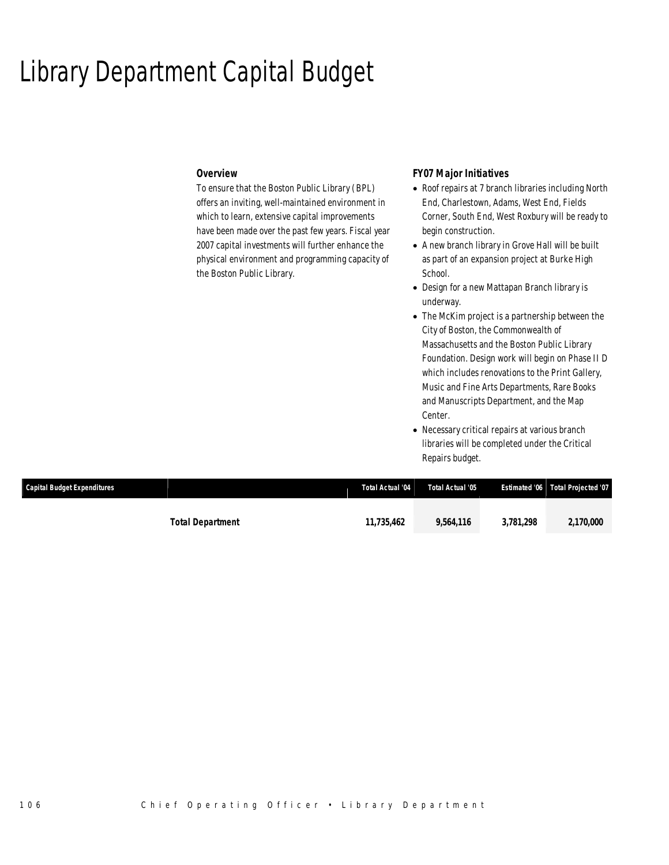## Library Department Capital Budget

## *Overview*

To ensure that the Boston Public Library (BPL) offers an inviting, well-maintained environment in which to learn, extensive capital improvements have been made over the past few years. Fiscal year 2007 capital investments will further enhance the physical environment and programming capacity of the Boston Public Library.

## *FY07 Major Initiatives*

- Roof repairs at 7 branch libraries including North End, Charlestown, Adams, West End, Fields Corner, South End, West Roxbury will be ready to begin construction.
- A new branch library in Grove Hall will be built as part of an expansion project at Burke High School.
- Design for a new Mattapan Branch library is underway.
- The McKim project is a partnership between the City of Boston, the Commonwealth of Massachusetts and the Boston Public Library Foundation. Design work will begin on Phase II D which includes renovations to the Print Gallery, Music and Fine Arts Departments, Rare Books and Manuscripts Department, and the Map Center.
- Necessary critical repairs at various branch libraries will be completed under the Critical Repairs budget.

| <b>Capital Budget Expenditures</b> |                         | Total Actual '04 | Total Actual '05 |           | Estimated '06 Total Projected '07 |
|------------------------------------|-------------------------|------------------|------------------|-----------|-----------------------------------|
|                                    |                         |                  |                  |           |                                   |
|                                    | <b>Total Department</b> | 11.735.462       | 9,564,116        | 3.781.298 | 2,170,000                         |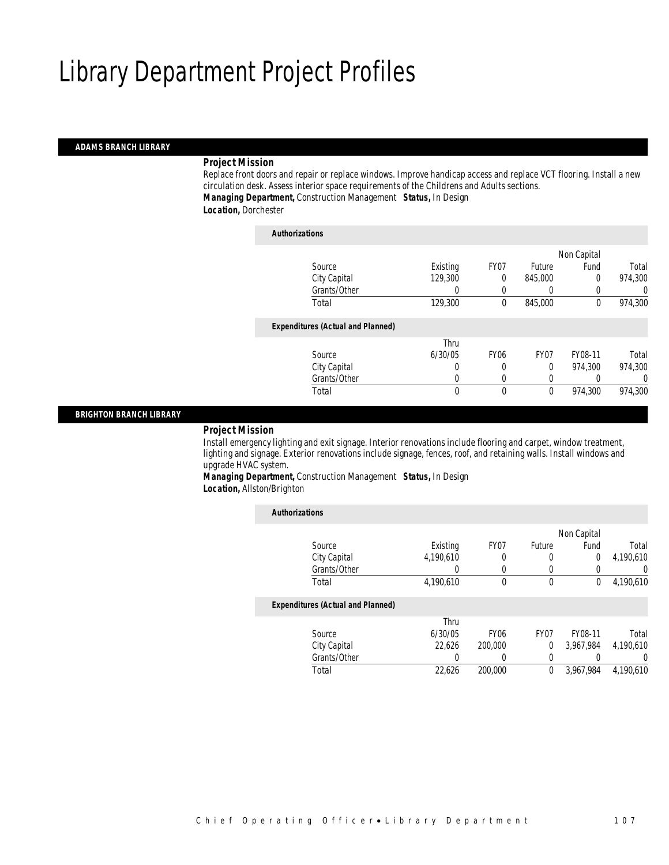#### *ADAMS BRANCH LIBRARY*

#### *Project Mission*

Replace front doors and repair or replace windows. Improve handicap access and replace VCT flooring. Install a new circulation desk. Assess interior space requirements of the Childrens and Adults sections. *Managing Department,* Construction Management *Status,* In Design

*Location,* Dorchester

| <b>Authorizations</b>                    |          |             |                  |             |         |
|------------------------------------------|----------|-------------|------------------|-------------|---------|
|                                          |          |             |                  | Non Capital |         |
| Source                                   | Existing | FY07        | Future           | Fund        | Total   |
| City Capital                             | 129,300  | 0           | 845,000          | 0           | 974,300 |
| Grants/Other                             | $\Omega$ | 0           | $\Omega$         |             | 0       |
| Total                                    | 129,300  | $\theta$    | 845,000          | $\theta$    | 974,300 |
| <b>Expenditures (Actual and Planned)</b> |          |             |                  |             |         |
|                                          | Thru     |             |                  |             |         |
| Source                                   | 6/30/05  | <b>FY06</b> | FY <sub>07</sub> | FY08-11     | Total   |
| City Capital                             | 0        | 0           | $\Omega$         | 974.300     | 974,300 |
| Grants/Other                             | 0        | 0           | 0                |             | 0       |
| Total                                    | 0        | $\theta$    | $\mathbf{0}$     | 974,300     | 974,300 |
|                                          |          |             |                  |             |         |

### *BRIGHTON BRANCH LIBRARY*

#### *Project Mission*

Install emergency lighting and exit signage. Interior renovations include flooring and carpet, window treatment, lighting and signage. Exterior renovations include signage, fences, roof, and retaining walls. Install windows and upgrade HVAC system.

*Managing Department,* Construction Management *Status,* In Design *Location,* Allston/Brighton

| <b>Authorizations</b>                    |           |                  |                  |             |           |
|------------------------------------------|-----------|------------------|------------------|-------------|-----------|
|                                          |           |                  |                  | Non Capital |           |
| Source                                   | Existing  | FY07             | Future           | Fund        | Total     |
| City Capital                             | 4.190.610 | 0                | 0                | 0           | 4.190.610 |
| Grants/Other                             | 0         | 0                | 0                | 0           | 0         |
| Total                                    | 4,190,610 | 0                | 0                | 0           | 4,190,610 |
| <b>Expenditures (Actual and Planned)</b> |           |                  |                  |             |           |
|                                          | Thru      |                  |                  |             |           |
| Source                                   | 6/30/05   | FY <sub>06</sub> | FY <sub>07</sub> | FY08-11     | Total     |
| City Capital                             | 22,626    | 200,000          | 0                | 3.967.984   | 4,190,610 |
| Grants/Other                             | 0         | 0                | 0                |             | 0         |
| Total                                    | 22,626    | 200,000          | 0                | 3.967.984   | 4.190.610 |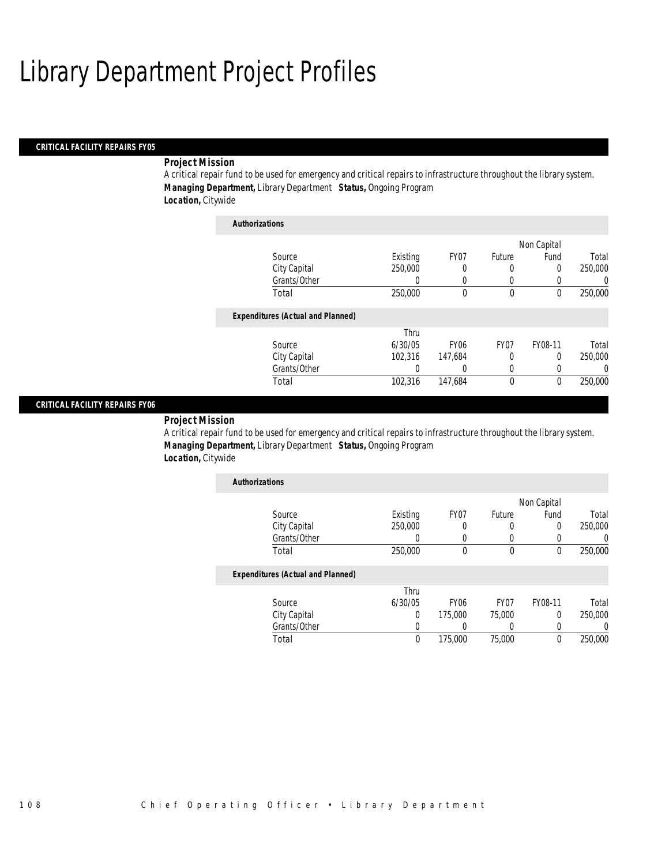#### *CRITICAL FACILITY REPAIRS FY05*

#### *Project Mission*

A critical repair fund to be used for emergency and critical repairs to infrastructure throughout the library system. *Managing Department,* Library Department *Status,* Ongoing Program *Location,* Citywide

| <b>Authorizations</b>                    |          |                  |                  |                  |         |
|------------------------------------------|----------|------------------|------------------|------------------|---------|
|                                          |          |                  |                  | Non Capital      |         |
| Source                                   | Existing | FY07             | Future           | Fund             | Total   |
| City Capital                             | 250,000  | 0                | 0                | 0                | 250,000 |
| Grants/Other                             | 0        | 0                | 0                | $\left( \right)$ | 0       |
| Total                                    | 250,000  | 0                | 0                | $\theta$         | 250,000 |
| <b>Expenditures (Actual and Planned)</b> |          |                  |                  |                  |         |
|                                          | Thru     |                  |                  |                  |         |
| Source                                   | 6/30/05  | FY <sub>06</sub> | FY <sub>07</sub> | FY08-11          | Total   |
| City Capital                             | 102,316  | 147.684          | 0                | 0                | 250,000 |
| Grants/Other                             | 0        | 0                | 0                | 0                | 0       |
| Total                                    | 102,316  | 147.684          | $\theta$         | 0                | 250,000 |

#### *CRITICAL FACILITY REPAIRS FY06*

### *Project Mission*

A critical repair fund to be used for emergency and critical repairs to infrastructure throughout the library system. *Managing Department,* Library Department *Status,* Ongoing Program *Location,* Citywide

| <b>Authorizations</b> |          |      |        |             |         |
|-----------------------|----------|------|--------|-------------|---------|
|                       |          |      |        | Non Capital |         |
| Source                | Existing | FY07 | Future | Fund        | Total   |
| City Capital          | 250,000  |      |        |             | 250,000 |
| Grants/Other          |          |      |        |             |         |
| Total                 | 250,000  |      |        |             | 250,000 |

#### *Expenditures (Actual and Planned)*

|              | Thru    |                  |        |         |         |
|--------------|---------|------------------|--------|---------|---------|
| Source       | 6/30/05 | FY <sub>06</sub> | FY07   | FY08-11 | Total   |
| City Capital |         | 175.000          | 75.000 |         | 250,000 |
| Grants/Other |         |                  |        |         |         |
| Total        |         | 175,000          | 75,000 |         | 250,000 |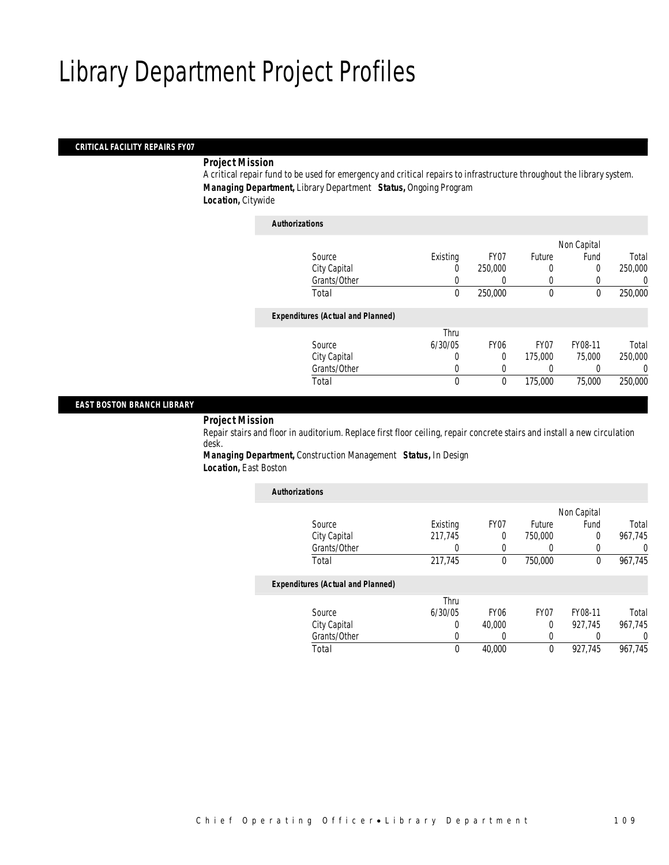#### *CRITICAL FACILITY REPAIRS FY07*

#### *Project Mission*

A critical repair fund to be used for emergency and critical repairs to infrastructure throughout the library system. *Managing Department,* Library Department *Status,* Ongoing Program *Location,* Citywide

| <b>Authorizations</b>                    |          |             |                  |             |         |
|------------------------------------------|----------|-------------|------------------|-------------|---------|
|                                          |          |             |                  | Non Capital |         |
| Source                                   | Existing | FY07        | Future           | Fund        | Total   |
| City Capital                             | 0        | 250,000     | 0                | 0           | 250,000 |
| Grants/Other                             |          |             | 0                |             | 0       |
| Total                                    | 0        | 250,000     | $\mathbf 0$      | $\theta$    | 250,000 |
| <b>Expenditures (Actual and Planned)</b> |          |             |                  |             |         |
|                                          | Thru     |             |                  |             |         |
| Source                                   | 6/30/05  | <b>FY06</b> | FY <sub>07</sub> | FY08-11     | Total   |
| City Capital                             | 0        | $\Omega$    | 175,000          | 75,000      | 250,000 |
| Grants/Other                             | 0        |             | $\left($         |             | 0       |
| Total                                    | 0        | 0           | 175,000          | 75,000      | 250,000 |
|                                          |          |             |                  |             |         |

#### *EAST BOSTON BRANCH LIBRARY*

### *Project Mission*

Repair stairs and floor in auditorium. Replace first floor ceiling, repair concrete stairs and install a new circulation desk.

*Managing Department,* Construction Management *Status,* In Design *Location,* East Boston

| <b>Authorizations</b>                    |          |                  |                  |             |         |
|------------------------------------------|----------|------------------|------------------|-------------|---------|
|                                          |          |                  |                  | Non Capital |         |
| Source                                   | Existing | FY07             | Future           | Fund        | Total   |
| City Capital                             | 217,745  | 0                | 750,000          | $\theta$    | 967,745 |
| Grants/Other                             | 0        | 0                | 0                | 0           | 0       |
| Total                                    | 217,745  | 0                | 750,000          | $\theta$    | 967,745 |
| <b>Expenditures (Actual and Planned)</b> |          |                  |                  |             |         |
|                                          | Thru     |                  |                  |             |         |
| Source                                   | 6/30/05  | FY <sub>06</sub> | FY <sub>07</sub> | FY08-11     | Total   |
| City Capital                             | 0        | 40,000           | 0                | 927.745     | 967.745 |
| Grants/Other                             | 0        |                  | 0                |             | 0       |
| Total                                    | 0        | 40,000           | $\theta$         | 927,745     | 967.745 |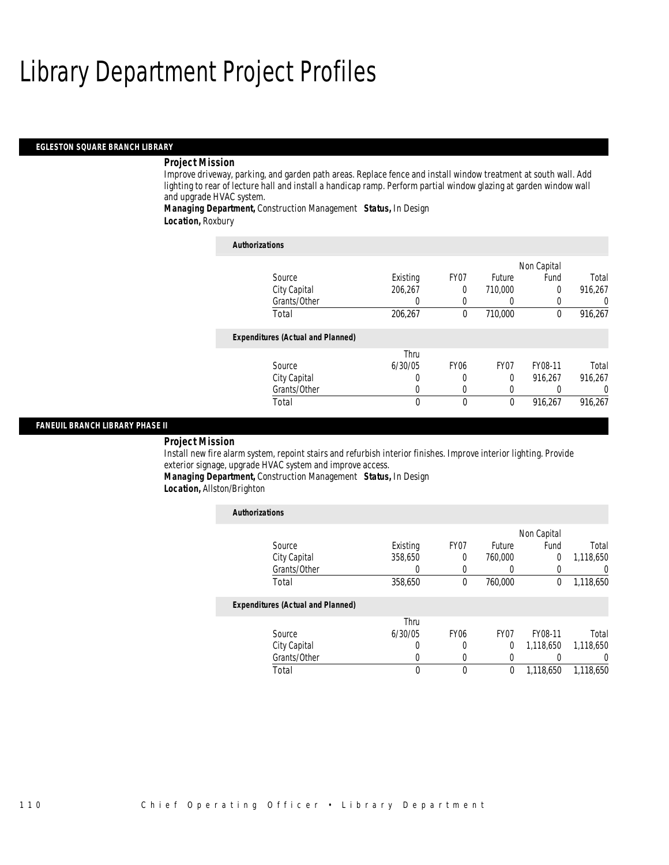#### *EGLESTON SQUARE BRANCH LIBRARY*

#### *Project Mission*

Improve driveway, parking, and garden path areas. Replace fence and install window treatment at south wall. Add lighting to rear of lecture hall and install a handicap ramp. Perform partial window glazing at garden window wall and upgrade HVAC system.

*Managing Department,* Construction Management *Status,* In Design *Location,* Roxbury

| <b>Authorizations</b>                    |                  |                  |                  |             |                  |
|------------------------------------------|------------------|------------------|------------------|-------------|------------------|
|                                          |                  |                  |                  | Non Capital |                  |
| Source                                   | Existing         | FY07             | Future           | Fund        | Total            |
| City Capital                             | 206.267          | $\Omega$         | 710.000          | 0           | 916.267          |
| Grants/Other                             | $\left( \right)$ | 0                | 0                | 0           | $\left( \right)$ |
| Total                                    | 206,267          | $\theta$         | 710,000          | 0           | 916,267          |
| <b>Expenditures (Actual and Planned)</b> |                  |                  |                  |             |                  |
|                                          | Thru             |                  |                  |             |                  |
| Source                                   | 6/30/05          | FY <sub>06</sub> | FY <sub>07</sub> | FY08-11     | Total            |
| City Capital                             |                  | 0                | $\theta$         | 916,267     | 916,267          |
| Grants/Other                             |                  | 0                |                  |             | 0                |
| Total                                    | $\Omega$         | $\theta$         | $\theta$         | 916,267     | 916.267          |

#### *FANEUIL BRANCH LIBRARY PHASE II*

*Project Mission* 

Install new fire alarm system, repoint stairs and refurbish interior finishes. Improve interior lighting. Provide exterior signage, upgrade HVAC system and improve access.

*Managing Department,* Construction Management *Status,* In Design

*Location,* Allston/Brighton

| <b>Authorizations</b>                    |          |                  |                  |             |           |
|------------------------------------------|----------|------------------|------------------|-------------|-----------|
|                                          |          |                  |                  | Non Capital |           |
| Source                                   | Existing | FY07             | <b>Future</b>    | Fund        | Total     |
| City Capital                             | 358.650  | 0                | 760.000          | 0           | 1.118.650 |
| Grants/Other                             | 0        | 0                | $\left( \right)$ |             | $\Omega$  |
| Total                                    | 358,650  | 0                | 760,000          | 0           | 1,118,650 |
| <b>Expenditures (Actual and Planned)</b> |          |                  |                  |             |           |
|                                          | Thru     |                  |                  |             |           |
| Source                                   | 6/30/05  | FY <sub>06</sub> | FY <sub>07</sub> | FY08-11     | Total     |
| City Capital                             | 0        | 0                | 0                | 1,118,650   | 1.118.650 |
| Grants/Other                             | 0        | 0                | 0                |             | $\Omega$  |
| Total                                    | 0        | 0                | 0                | 1.118.650   | 1.118.650 |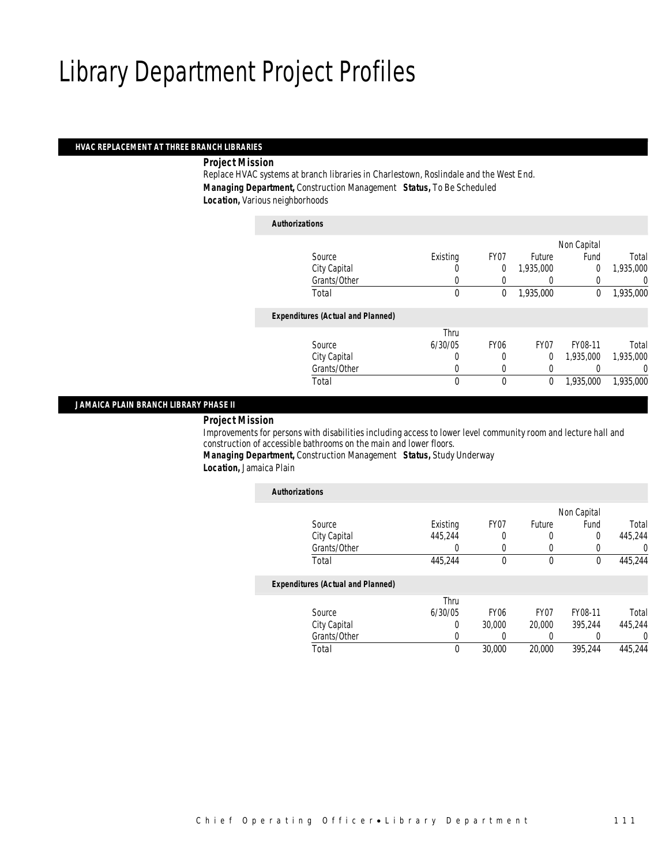#### *HVAC REPLACEMENT AT THREE BRANCH LIBRARIES*

*Project Mission* 

Replace HVAC systems at branch libraries in Charlestown, Roslindale and the West End. *Managing Department,* Construction Management *Status,* To Be Scheduled *Location,* Various neighborhoods

*Authorizations*

|                                          |          |             |                  | Non Capital |           |
|------------------------------------------|----------|-------------|------------------|-------------|-----------|
| Source                                   | Existing | FY07        | Future           | Fund        | Total     |
| City Capital                             | 0        | 0           | 1,935,000        | $\Omega$    | 1,935,000 |
| Grants/Other                             | 0        |             |                  |             | 0         |
| Total                                    | 0        | 0           | 1,935,000        | 0           | 1,935,000 |
|                                          |          |             |                  |             |           |
| <b>Expenditures (Actual and Planned)</b> |          |             |                  |             |           |
|                                          | Thru     |             |                  |             |           |
| Source                                   | 6/30/05  | <b>FY06</b> | FY <sub>07</sub> | FY08-11     | Total     |
| City Capital                             | 0        | 0           | $\Omega$         | 1,935,000   | 1,935,000 |
| Grants/Other                             | 0        | 0           | 0                |             | 0         |
| Total                                    | 0        | 0           | 0                | 1,935,000   | 1,935,000 |
|                                          |          |             |                  |             |           |

#### *JAMAICA PLAIN BRANCH LIBRARY PHASE II*

*Project Mission* 

Improvements for persons with disabilities including access to lower level community room and lecture hall and construction of accessible bathrooms on the main and lower floors.

*Managing Department,* Construction Management *Status,* Study Underway *Location,* Jamaica Plain

| <b>Authorizations</b>                    |          |                  |        |             |         |
|------------------------------------------|----------|------------------|--------|-------------|---------|
|                                          |          |                  |        | Non Capital |         |
| Source                                   | Existing | FY07             | Future | Fund        | Total   |
| City Capital                             | 445.244  | 0                | 0      | 0           | 445.244 |
| Grants/Other                             | 0        | 0                | 0      |             | 0       |
| Total                                    | 445,244  | 0                | 0      | $\theta$    | 445,244 |
| <b>Expenditures (Actual and Planned)</b> |          |                  |        |             |         |
|                                          | Thru     |                  |        |             |         |
| Source                                   | 6/30/05  | FY <sub>06</sub> | FY07   | FY08-11     | Total   |
| City Capital                             | 0        | 30,000           | 20,000 | 395.244     | 445.244 |
| Grants/Other                             | 0        | 0                | 0      |             | 0       |
| Total                                    | 0        | 30,000           | 20,000 | 395.244     | 445.244 |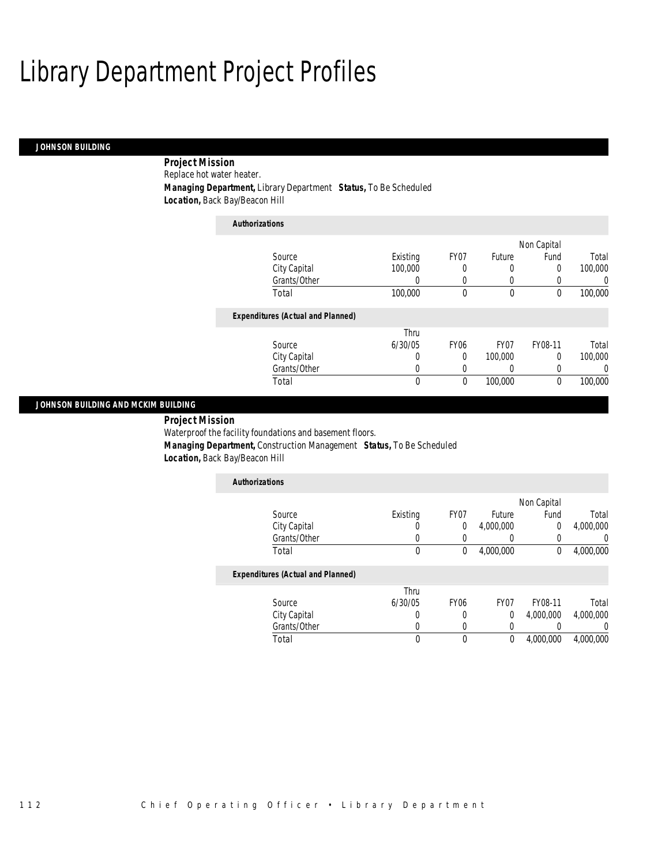#### *JOHNSON BUILDING*

 *Project Mission* Replace hot water heater. *Managing Department,* Library Department *Status,* To Be Scheduled *Location,* Back Bay/Beacon Hill

*Authorizations*

| <b>Authorizations</b>                    |          |                  |                  |             |          |
|------------------------------------------|----------|------------------|------------------|-------------|----------|
|                                          |          |                  |                  | Non Capital |          |
| Source                                   | Existing | FY07             | Future           | Fund        | Total    |
| City Capital                             | 100,000  | 0                | 0                | 0           | 100,000  |
| Grants/Other                             | 0        | 0                | 0                |             | 0        |
| Total                                    | 100,000  | 0                | $\mathbf 0$      | $\theta$    | 100,000  |
| <b>Expenditures (Actual and Planned)</b> |          |                  |                  |             |          |
|                                          | Thru     |                  |                  |             |          |
| Source                                   | 6/30/05  | FY <sub>06</sub> | FY <sub>07</sub> | FY08-11     | Total    |
| City Capital                             | 0        | 0                | 100,000          | 0           | 100,000  |
| Grants/Other                             | 0        | 0                | 0                |             | $\Omega$ |
| Total                                    | 0        | 0                | 100,000          | $\mathbf 0$ | 100,000  |

#### *JOHNSON BUILDING AND MCKIM BUILDING*

*Project Mission* 

Waterproof the facility foundations and basement floors.

*Managing Department,* Construction Management *Status,* To Be Scheduled

*Location,* Back Bay/Beacon Hill

| <b>Authorizations</b> |          |      |           |             |           |
|-----------------------|----------|------|-----------|-------------|-----------|
|                       |          |      |           | Non Capital |           |
| Source                | Existing | FY07 | Future    | Fund        | Total     |
| City Capital          |          |      | 4,000,000 |             | 4,000,000 |
| Grants/Other          |          |      |           |             |           |
| Total                 |          |      | 4,000,000 |             | 4,000,000 |

#### *Expenditures (Actual and Planned)*

|              | Thru    |      |      |           |           |
|--------------|---------|------|------|-----------|-----------|
| Source       | 6/30/05 | FY06 | FY07 | FY08-11   | Total     |
| City Capital |         |      |      | 4.000.000 | 4,000,000 |
| Grants/Other |         |      |      |           |           |
| Total        |         |      |      | 4.000.000 | 4.000.000 |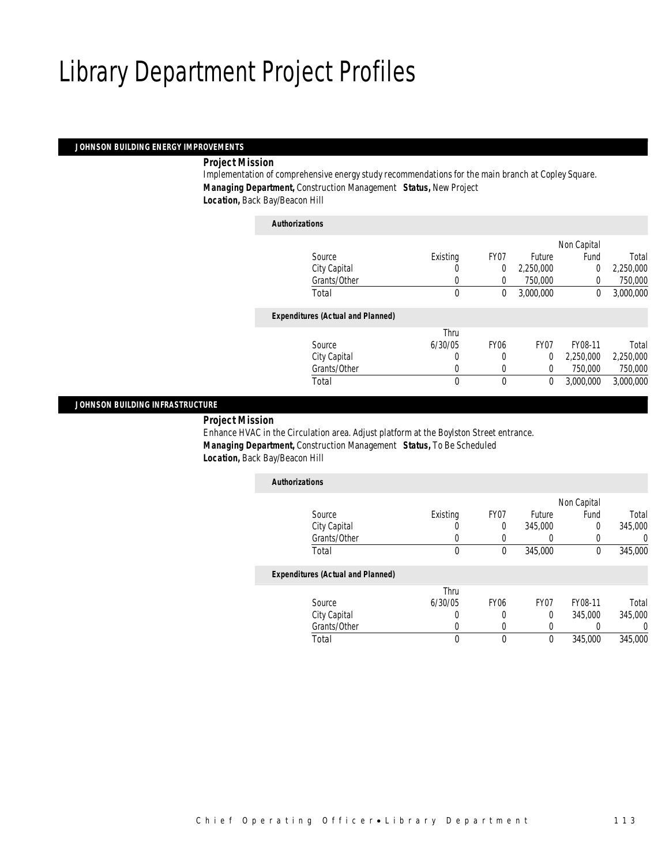#### *JOHNSON BUILDING ENERGY IMPROVEMENTS*

#### *Project Mission*

Implementation of comprehensive energy study recommendations for the main branch at Copley Square. *Managing Department,* Construction Management *Status,* New Project *Location,* Back Bay/Beacon Hill

## *Authorizations*

|                                          |             |             |                  | Non Capital |           |
|------------------------------------------|-------------|-------------|------------------|-------------|-----------|
| Source                                   | Existing    | FY07        | Future           | Fund        | Total     |
| City Capital                             | 0           | 0           | 2,250,000        | 0           | 2,250,000 |
| Grants/Other                             | 0           | 0           | 750,000          | 0           | 750,000   |
| Total                                    | $\mathbf 0$ | 0           | 3,000,000        | 0           | 3,000,000 |
|                                          |             |             |                  |             |           |
| <b>Expenditures (Actual and Planned)</b> |             |             |                  |             |           |
|                                          | Thru        |             |                  |             |           |
| Source                                   | 6/30/05     | <b>FY06</b> | FY <sub>07</sub> | FY08-11     | Total     |
| City Capital                             | 0           | 0           | $\Omega$         | 2,250,000   | 2,250,000 |
| Grants/Other                             | $\Omega$    | $\Omega$    | $\Omega$         | 750,000     | 750,000   |
| Total                                    | 0           | 0           | 0                | 3,000,000   | 3,000,000 |
|                                          |             |             |                  |             |           |

#### *JOHNSON BUILDING INFRASTRUCTURE*

*Project Mission* 

Enhance HVAC in the Circulation area. Adjust platform at the Boylston Street entrance. *Managing Department,* Construction Management *Status,* To Be Scheduled *Location,* Back Bay/Beacon Hill

| <b>Authorizations</b> |                                          |          |                  |                  |             |         |
|-----------------------|------------------------------------------|----------|------------------|------------------|-------------|---------|
|                       |                                          |          |                  |                  | Non Capital |         |
|                       | Source                                   | Existing | FY07             | Future           | Fund        | Total   |
|                       | City Capital                             | U        | 0                | 345,000          | 0           | 345,000 |
|                       | Grants/Other                             |          |                  |                  |             |         |
|                       | Total                                    | 0        | 0                | 345,000          | 0           | 345,000 |
|                       | <b>Expenditures (Actual and Planned)</b> |          |                  |                  |             |         |
|                       |                                          | Thru     |                  |                  |             |         |
|                       | Source                                   | 6/30/05  | FY <sub>06</sub> | FY <sub>07</sub> | FY08-11     | Total   |
|                       | City Capital                             |          |                  | $\Omega$         | 345,000     | 345,000 |
|                       | Grants/Other                             | U        |                  | U                |             | 0       |

Total 0 0 0 345,000 345,000

Grants/Other 0 0 0 0 0 0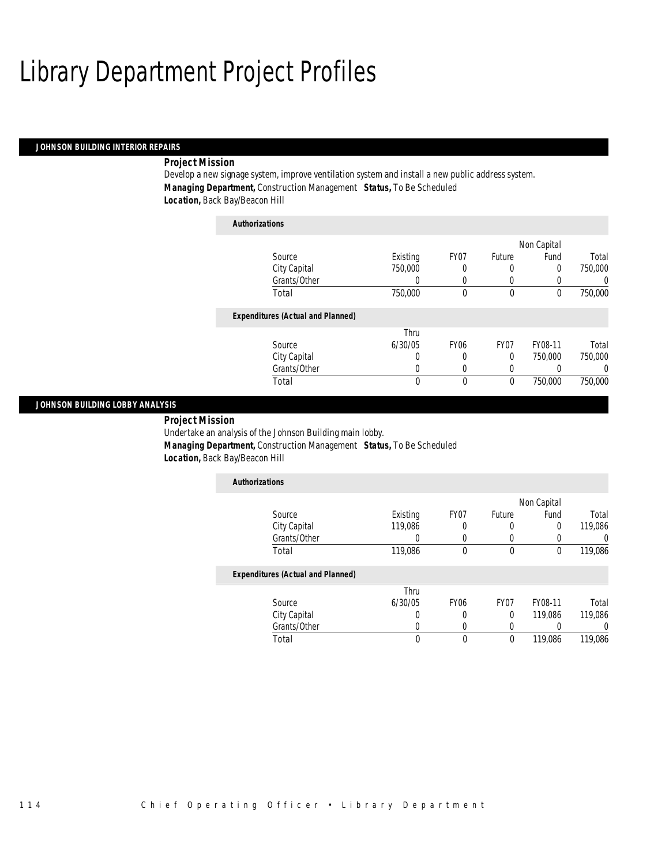#### *JOHNSON BUILDING INTERIOR REPAIRS*

## *Project Mission*

Develop a new signage system, improve ventilation system and install a new public address system. *Managing Department,* Construction Management *Status,* To Be Scheduled *Location,* Back Bay/Beacon Hill

| AUUDULLAUVUS                             |          |                  |          |             |          |
|------------------------------------------|----------|------------------|----------|-------------|----------|
|                                          |          |                  |          | Non Capital |          |
| Source                                   | Existing | FY07             | Future   | Fund        | Total    |
| City Capital                             | 750,000  | 0                | 0        | 0           | 750,000  |
| Grants/Other                             | 0        |                  | 0        |             | 0        |
| Total                                    | 750,000  | 0                | $\theta$ | $\bf{0}$    | 750,000  |
| <b>Expenditures (Actual and Planned)</b> |          |                  |          |             |          |
|                                          | Thru     |                  |          |             |          |
| Source                                   | 6/30/05  | FY <sub>06</sub> | FY07     | FY08-11     | Total    |
| City Capital                             | 0        | 0                | 0        | 750,000     | 750,000  |
| Grants/Other                             | 0        | 0                | 0        |             | $\Omega$ |
| Total                                    | 0        | 0                | 0        | 750,000     | 750,000  |
|                                          |          |                  |          |             |          |

#### *JOHNSON BUILDING LOBBY ANALYSIS*

*Project Mission* 

Undertake an analysis of the Johnson Building main lobby.

*Authorizations*

*Managing Department,* Construction Management *Status,* To Be Scheduled

*Location,* Back Bay/Beacon Hill

| <b>Authorizations</b> |          |      |        |             |         |
|-----------------------|----------|------|--------|-------------|---------|
|                       |          |      |        | Non Capital |         |
| Source                | Existing | FY07 | Future | Fund        | Total   |
| City Capital          | 119,086  | 0    | O      |             | 119,086 |
| Grants/Other          |          |      |        |             |         |
| Total                 | 119,086  |      | 0      |             | 119,086 |
|                       |          |      |        |             |         |

### *Expenditures (Actual and Planned)*

|              | Thru    |      |      |         |         |
|--------------|---------|------|------|---------|---------|
| Source       | 6/30/05 | FY06 | FY07 | FY08-11 | Total   |
| City Capital |         |      |      | 119.086 | 119,086 |
| Grants/Other |         |      |      |         |         |
| Total        |         |      |      | 119,086 | 119,086 |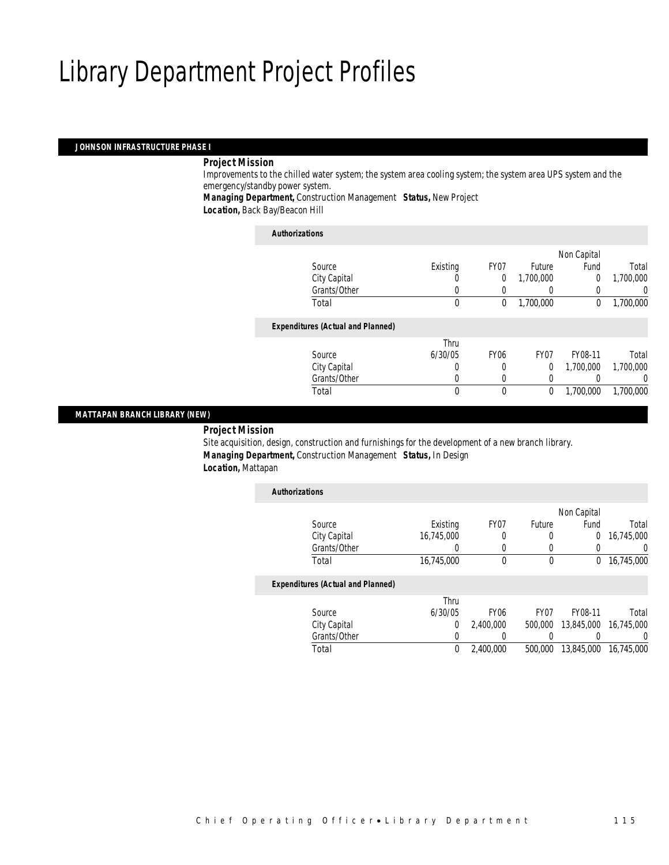#### *JOHNSON INFRASTRUCTURE PHASE I*

#### *Project Mission*

Improvements to the chilled water system; the system area cooling system; the system area UPS system and the emergency/standby power system.

*Managing Department,* Construction Management *Status,* New Project

*Location,* Back Bay/Beacon Hill

#### *Authorizations*

|                                          |          |                |                  | Non Capital |           |
|------------------------------------------|----------|----------------|------------------|-------------|-----------|
| Source                                   | Existing | FY07           | Future           | Fund        | Total     |
| City Capital                             | U        | $\overline{0}$ | 1,700,000        | $\mathbf 0$ | 1,700,000 |
| Grants/Other                             |          |                |                  |             | 0         |
| Total                                    | 0        | 0              | 1,700,000        | 0           | 1,700,000 |
| <b>Expenditures (Actual and Planned)</b> |          |                |                  |             |           |
|                                          | Thru     |                |                  |             |           |
| Source                                   | 6/30/05  | <b>FY06</b>    | FY <sub>07</sub> | FY08-11     | Total     |
| City Capital                             | 0        | 0              | $\overline{0}$   | 1,700,000   | 1,700,000 |
| Grants/Other                             | 0        | 0              | 0                |             | 0         |
| Total                                    | 0        | 0              | 0                | 1,700,000   | 1,700,000 |
|                                          |          |                |                  |             |           |

#### *MATTAPAN BRANCH LIBRARY (NEW)*

*Project Mission* 

Site acquisition, design, construction and furnishings for the development of a new branch library. *Managing Department,* Construction Management *Status,* In Design *Location,* Mattapan

| <b>Authorizations</b>                    |            |                  |                  |             |            |
|------------------------------------------|------------|------------------|------------------|-------------|------------|
|                                          |            |                  |                  | Non Capital |            |
| Source                                   | Existing   | FY07             | Future           | Fund        | Total      |
| City Capital                             | 16,745,000 | 0                | 0                | 0           | 16,745,000 |
| Grants/Other                             |            | 0                | 0                |             | U          |
| Total                                    | 16,745,000 | 0                | 0                | 0           | 16,745,000 |
| <b>Expenditures (Actual and Planned)</b> |            |                  |                  |             |            |
|                                          | Thru       |                  |                  |             |            |
| Source                                   | 6/30/05    | FY <sub>06</sub> | FY <sub>07</sub> | FY08-11     | Total      |
| City Capital                             | $\Omega$   | 2,400,000        | 500,000          | 13,845,000  | 16.745.000 |
| Grants/Other                             | 0          | 0                |                  |             | 0          |
| Total                                    | 0          | 2.400.000        | 500,000          | 13,845,000  | 16.745.000 |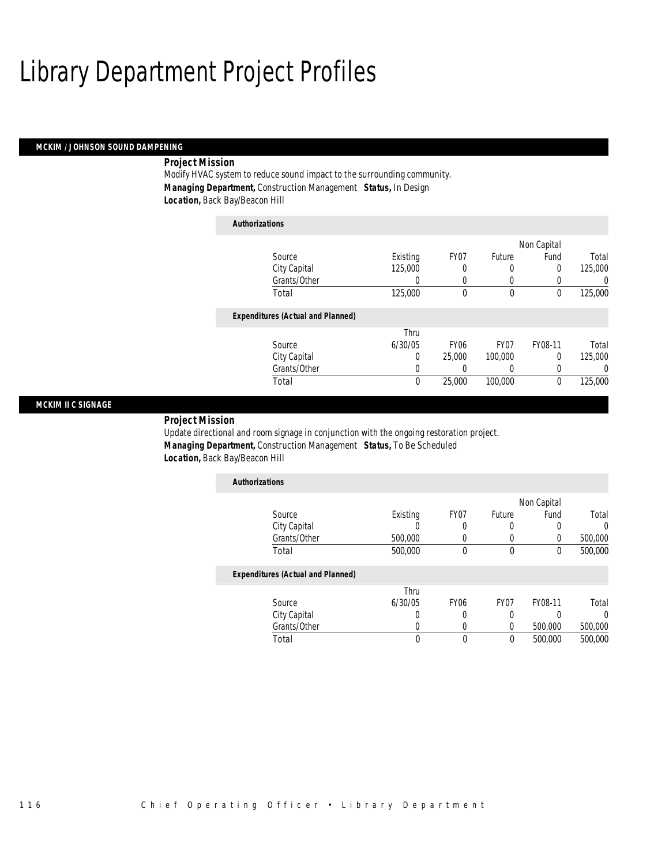#### *MCKIM / JOHNSON SOUND DAMPENING*

### *Project Mission*

Modify HVAC system to reduce sound impact to the surrounding community. *Managing Department,* Construction Management *Status,* In Design *Location,* Back Bay/Beacon Hill

| <b>Authorizations</b>                    |          |                  |                  |             |         |
|------------------------------------------|----------|------------------|------------------|-------------|---------|
|                                          |          |                  |                  | Non Capital |         |
| Source                                   | Existing | FY07             | Future           | Fund        | Total   |
| City Capital                             | 125,000  | 0                | 0                | 0           | 125,000 |
| Grants/Other                             | 0        | 0                | 0                |             | 0       |
| Total                                    | 125,000  | 0                | $\theta$         | $\theta$    | 125,000 |
| <b>Expenditures (Actual and Planned)</b> |          |                  |                  |             |         |
|                                          | Thru     |                  |                  |             |         |
| Source                                   | 6/30/05  | FY <sub>06</sub> | FY <sub>07</sub> | FY08-11     | Total   |
| City Capital                             | 0        | 25,000           | 100,000          | $\theta$    | 125,000 |
| Grants/Other                             | 0        | 0                | 0                | 0           | 0       |
| Total                                    | 0        | 25,000           | 100,000          | 0           | 125,000 |

#### *MCKIM II C SIGNAGE*

*Project Mission* 

Update directional and room signage in conjunction with the ongoing restoration project. *Managing Department,* Construction Management *Status,* To Be Scheduled *Location,* Back Bay/Beacon Hill

| <b>Authorizations</b> |          |      |        |             |          |
|-----------------------|----------|------|--------|-------------|----------|
|                       |          |      |        | Non Capital |          |
| Source                | Existing | FY07 | Future | Fund        | Total    |
| City Capital          |          |      |        |             | $\Omega$ |
| Grants/Other          | 500,000  |      |        |             | 500,000  |
| Total                 | 500,000  |      |        |             | 500,000  |
|                       |          |      |        |             |          |

### *Expenditures (Actual and Planned)*

|              | Thru    |             |      |         |         |
|--------------|---------|-------------|------|---------|---------|
| Source       | 6/30/05 | <b>FY06</b> | FY07 | FY08-11 | Total   |
| City Capital |         |             |      |         |         |
| Grants/Other |         |             |      | 500,000 | 500,000 |
| Total        |         |             |      | 500,000 | 500,000 |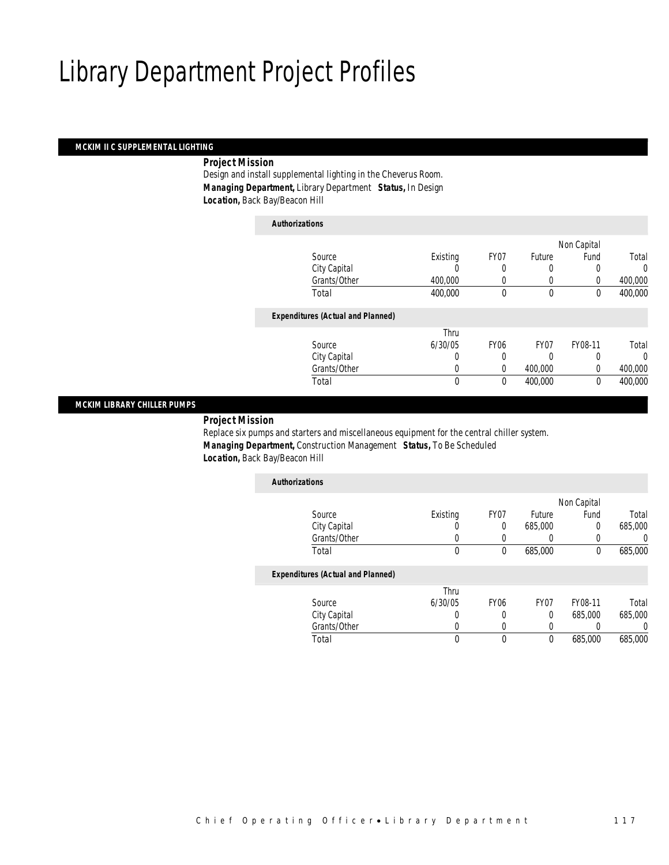#### *MCKIM II C SUPPLEMENTAL LIGHTING*

### *Project Mission*

Design and install supplemental lighting in the Cheverus Room. *Managing Department,* Library Department *Status,* In Design *Location,* Back Bay/Beacon Hill

| <b>Authorizations</b>                    |          |                  |         |             |         |
|------------------------------------------|----------|------------------|---------|-------------|---------|
|                                          |          |                  |         | Non Capital |         |
| Source                                   | Existing | FY <sub>07</sub> | Future  | Fund        | Total   |
| City Capital                             | U        | 0                | 0       | 0           | 0       |
| Grants/Other                             | 400,000  | 0                | 0       | 0           | 400,000 |
| Total                                    | 400,000  | 0                | 0       | 0           | 400.000 |
| <b>Expenditures (Actual and Planned)</b> |          |                  |         |             |         |
|                                          | Thru     |                  |         |             |         |
| Source                                   | 6/30/05  | FY <sub>06</sub> | FY07    | FY08-11     | Total   |
| City Capital                             | 0        | 0                | 0       | 0           | 0       |
| Grants/Other                             | 0        | 0                | 400,000 | 0           | 400,000 |
| Total                                    | 0        | 0                | 400,000 | 0           | 400.000 |

#### *MCKIM LIBRARY CHILLER PUMPS*

*Project Mission* 

Replace six pumps and starters and miscellaneous equipment for the central chiller system. *Managing Department,* Construction Management *Status,* To Be Scheduled *Location,* Back Bay/Beacon Hill

| <b>Authorizations</b>                    |             |                  |                  |         |         |  |  |  |
|------------------------------------------|-------------|------------------|------------------|---------|---------|--|--|--|
|                                          | Non Capital |                  |                  |         |         |  |  |  |
| Source                                   | Existing    | FY07             | Future           | Fund    | Total   |  |  |  |
| City Capital                             |             | 0                | 685,000          | 0       | 685,000 |  |  |  |
| Grants/Other                             |             |                  | 0                | 0       |         |  |  |  |
| Total                                    | $\theta$    | 0                | 685,000          | 0       | 685,000 |  |  |  |
| <b>Expenditures (Actual and Planned)</b> |             |                  |                  |         |         |  |  |  |
|                                          | Thru        |                  |                  |         |         |  |  |  |
| Source                                   | 6/30/05     | FY <sub>06</sub> | FY <sub>07</sub> | FY08-11 | Total   |  |  |  |
| City Capital                             | 0           | 0                | 0                | 685,000 | 685,000 |  |  |  |
| Grants/Other                             |             |                  | 0                | 0       |         |  |  |  |

Total 0 0 0 685,000 685,000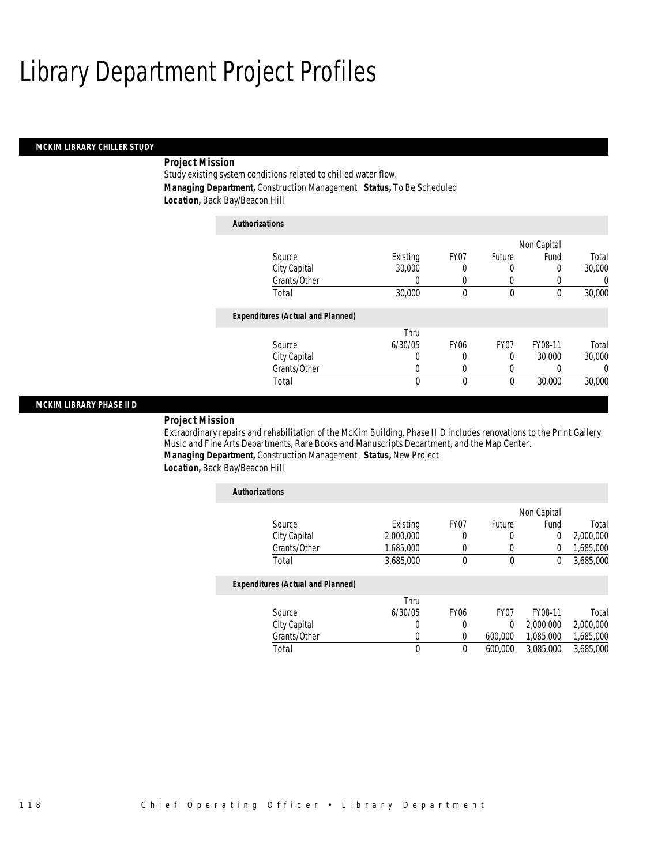#### *MCKIM LIBRARY CHILLER STUDY*

### *Project Mission*

Study existing system conditions related to chilled water flow. *Managing Department,* Construction Management *Status,* To Be Scheduled *Location,* Back Bay/Beacon Hill

| <b>Authorizations</b>                    |          |             |                  |             |          |
|------------------------------------------|----------|-------------|------------------|-------------|----------|
|                                          |          |             |                  | Non Capital |          |
| Source                                   | Existing | FY07        | Future           | Fund        | Total    |
| City Capital                             | 30,000   | 0           | 0                | 0           | 30,000   |
| Grants/Other                             | 0        | 0           | $\left( \right)$ | 0           | 0        |
| Total                                    | 30,000   | 0           | 0                | 0           | 30,000   |
| <b>Expenditures (Actual and Planned)</b> |          |             |                  |             |          |
|                                          | Thru     |             |                  |             |          |
| Source                                   | 6/30/05  | <b>FY06</b> | FY <sub>07</sub> | FY08-11     | Total    |
| City Capital                             | 0        | 0           | 0                | 30,000      | 30,000   |
| Grants/Other                             | 0        | 0           | 0                | 0           | $\Omega$ |
| Total                                    | 0        | 0           | 0                | 30,000      | 30,000   |

#### *MCKIM LIBRARY PHASE II D*

### *Project Mission*

Extraordinary repairs and rehabilitation of the McKim Building. Phase II D includes renovations to the Print Gallery, Music and Fine Arts Departments, Rare Books and Manuscripts Department, and the Map Center. *Managing Department,* Construction Management *Status,* New Project

*Location,* Back Bay/Beacon Hill

| <b>Authorizations</b>                    |           |                  |                  |             |           |
|------------------------------------------|-----------|------------------|------------------|-------------|-----------|
|                                          |           |                  |                  | Non Capital |           |
| Source                                   | Existing  | FY07             | Future           | Fund        | Total     |
| City Capital                             | 2,000,000 | 0                | 0                | 0           | 2,000,000 |
| Grants/Other                             | 1,685,000 | 0                | 0                | 0           | 1,685,000 |
| Total                                    | 3,685,000 | $\theta$         | $\mathbf 0$      | 0           | 3,685,000 |
| <b>Expenditures (Actual and Planned)</b> |           |                  |                  |             |           |
|                                          | Thru      |                  |                  |             |           |
| Source                                   | 6/30/05   | FY <sub>06</sub> | FY <sub>07</sub> | FY08-11     | Total     |
| City Capital                             | 0         | 0                | $\theta$         | 2,000,000   | 2,000,000 |
| Grants/Other                             | 0         | 0                | 600,000          | 1,085,000   | 1,685,000 |
| Total                                    | 0         | $\theta$         | 600.000          | 3.085.000   | 3.685.000 |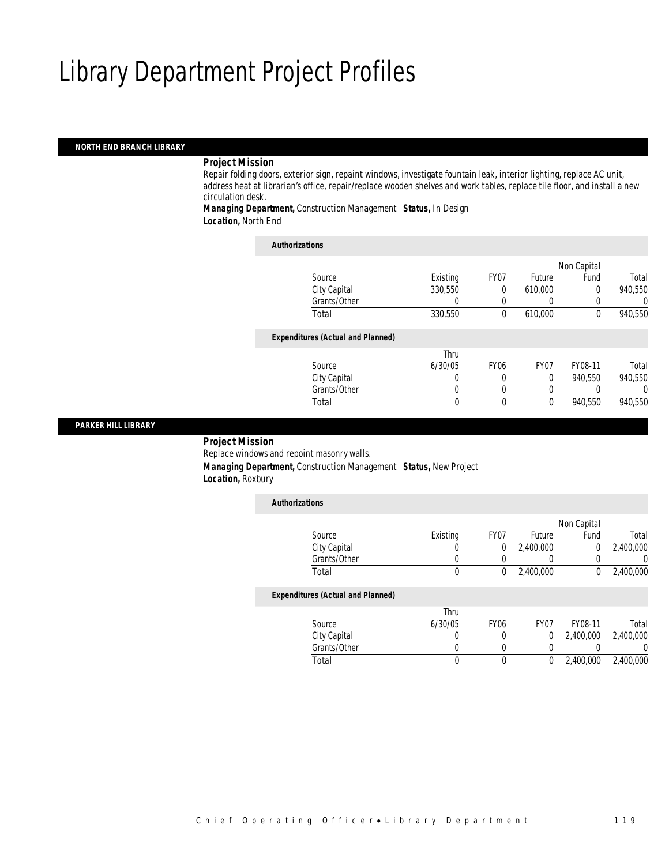#### *NORTH END BRANCH LIBRARY*

#### *Project Mission*

Repair folding doors, exterior sign, repaint windows, investigate fountain leak, interior lighting, replace AC unit, address heat at librarian's office, repair/replace wooden shelves and work tables, replace tile floor, and install a new circulation desk.

*Managing Department,* Construction Management *Status,* In Design *Location,* North End

| <b>Authorizations</b>                    |             |             |                  |          |          |  |  |
|------------------------------------------|-------------|-------------|------------------|----------|----------|--|--|
|                                          | Non Capital |             |                  |          |          |  |  |
| Source                                   | Existing    | FY07        | Future           | Fund     | Total    |  |  |
| City Capital                             | 330.550     | 0           | 610,000          | 0        | 940,550  |  |  |
| Grants/Other                             | 0           | 0           | $\left( \right)$ |          | $\Omega$ |  |  |
| Total                                    | 330,550     | $\theta$    | 610,000          | $\Omega$ | 940,550  |  |  |
| <b>Expenditures (Actual and Planned)</b> |             |             |                  |          |          |  |  |
|                                          | Thru        |             |                  |          |          |  |  |
| Source                                   | 6/30/05     | <b>FY06</b> | FY <sub>07</sub> | FY08-11  | Total    |  |  |
| City Capital                             | 0           | 0           | $\Omega$         | 940.550  | 940.550  |  |  |
| Grants/Other                             | 0           | 0           | 0                |          | $\Omega$ |  |  |
| Total                                    | 0           | $\theta$    | $\theta$         | 940.550  | 940.550  |  |  |

#### *PARKER HILL LIBRARY*

*Project Mission* 

Replace windows and repoint masonry walls.

 *Managing Department,* Construction Management *Status,* New Project *Location,* Roxbury

| <b>Authorizations</b>                    |          |                  |                  |             |           |
|------------------------------------------|----------|------------------|------------------|-------------|-----------|
|                                          |          |                  |                  | Non Capital |           |
| Source                                   | Existing | FY07             | Future           | Fund        | Total     |
| City Capital                             | U        | 0                | 2,400,000        | 0           | 2,400,000 |
| Grants/Other                             | 0        | 0                | 0                | 0           | 0         |
| Total                                    | 0        | $\theta$         | 2,400,000        | $\bf{0}$    | 2,400,000 |
| <b>Expenditures (Actual and Planned)</b> |          |                  |                  |             |           |
|                                          | Thru     |                  |                  |             |           |
| Source                                   | 6/30/05  | FY <sub>06</sub> | FY <sub>07</sub> | FY08-11     | Total     |
| City Capital                             | 0        | 0                | 0                | 2.400.000   | 2,400,000 |
| Grants/Other                             | 0        | 0                | 0                |             | 0         |
| Total                                    | 0        | 0                | 0                | 2.400.000   | 2.400.000 |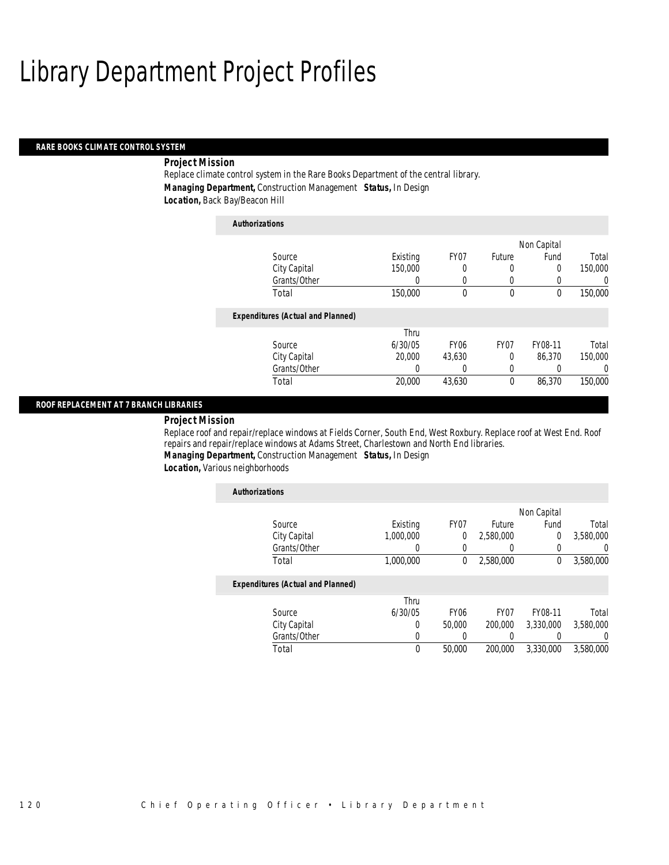#### *RARE BOOKS CLIMATE CONTROL SYSTEM*

## *Project Mission*

Replace climate control system in the Rare Books Department of the central library. *Managing Department,* Construction Management *Status,* In Design *Location,* Back Bay/Beacon Hill

| <b>Authorizations</b>                    |          |                  |                  |             |          |
|------------------------------------------|----------|------------------|------------------|-------------|----------|
|                                          |          |                  |                  | Non Capital |          |
| Source                                   | Existing | FY <sub>07</sub> | Future           | Fund        | Total    |
| City Capital                             | 150,000  | 0                | 0                | 0           | 150,000  |
| Grants/Other                             | 0        | 0                | 0                |             | 0        |
| Total                                    | 150,000  | 0                | 0                | $\theta$    | 150,000  |
| <b>Expenditures (Actual and Planned)</b> |          |                  |                  |             |          |
|                                          | Thru     |                  |                  |             |          |
| Source                                   | 6/30/05  | FY <sub>06</sub> | FY <sub>07</sub> | FY08-11     | Total    |
| City Capital                             | 20,000   | 43.630           | 0                | 86.370      | 150,000  |
| Grants/Other                             | 0        | 0                | 0                | 0           | $\Omega$ |
| Total                                    | 20,000   | 43,630           | $\mathbf 0$      | 86,370      | 150,000  |

#### *ROOF REPLACEMENT AT 7 BRANCH LIBRARIES*

### *Project Mission*

Replace roof and repair/replace windows at Fields Corner, South End, West Roxbury. Replace roof at West End. Roof repairs and repair/replace windows at Adams Street, Charlestown and North End libraries. *Managing Department,* Construction Management *Status,* In Design

*Location,* Various neighborhoods

| <b>Authorizations</b>                    |           |                  |                  |             |           |
|------------------------------------------|-----------|------------------|------------------|-------------|-----------|
|                                          |           |                  |                  | Non Capital |           |
| Source                                   | Existing  | FY07             | Future           | Fund        | Total     |
| City Capital                             | 1,000,000 | 0                | 2,580,000        | $\theta$    | 3,580,000 |
| Grants/Other                             |           | $\left($         |                  | 0           | 0         |
| Total                                    | 1.000.000 | $\theta$         | 2.580.000        | 0           | 3,580,000 |
| <b>Expenditures (Actual and Planned)</b> |           |                  |                  |             |           |
|                                          | Thru      |                  |                  |             |           |
| Source                                   | 6/30/05   | FY <sub>06</sub> | FY <sub>07</sub> | FY08-11     | Total     |
| City Capital                             | 0         | 50,000           | 200,000          | 3,330,000   | 3,580,000 |
| Grants/Other                             | 0         | 0                |                  |             | $\left($  |
| Total                                    | 0         | 50,000           | 200,000          | 3,330,000   | 3,580,000 |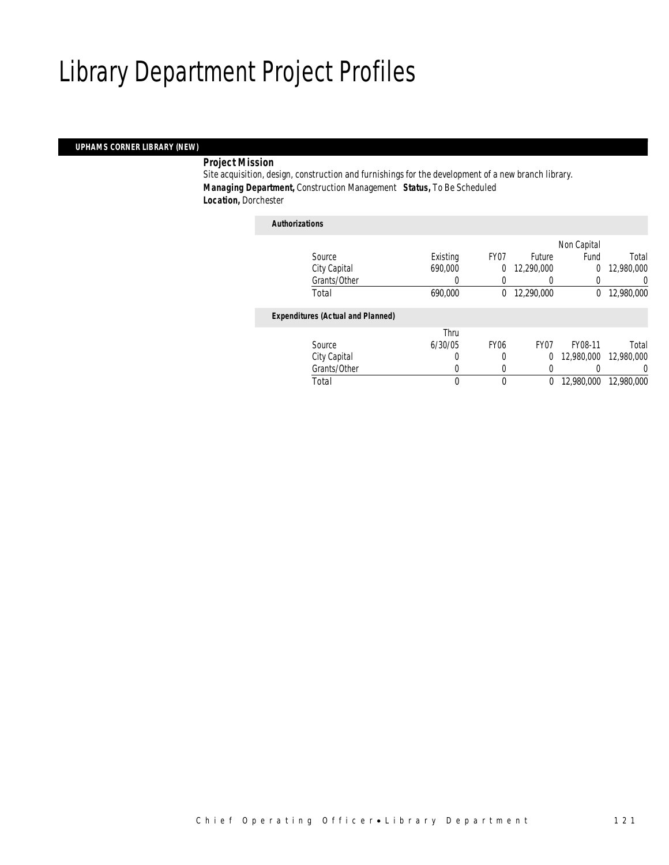#### *UPHAMS CORNER LIBRARY (NEW)*

### *Project Mission*

Site acquisition, design, construction and furnishings for the development of a new branch library. *Managing Department,* Construction Management *Status,* To Be Scheduled *Location,* Dorchester

## *Authorizations* Source **Existing** FY07 Future Non Capital Fund Total City Capital 690,000 0 12,290,000 0 12,980,000 Grants/Other 0 0 0 0 0 0 Total 690,000 0 12,290,000 0 12,980,000 *Expenditures (Actual and Planned)* Source Thru 6/30/05 FY06 FY07 FY08-11 Total City Capital 0 0 0 0 12,980,000 12,980,000 Grants/Other 0 0 0 0 0 0 Total 0 0 0 0 12,980,000 12,980,000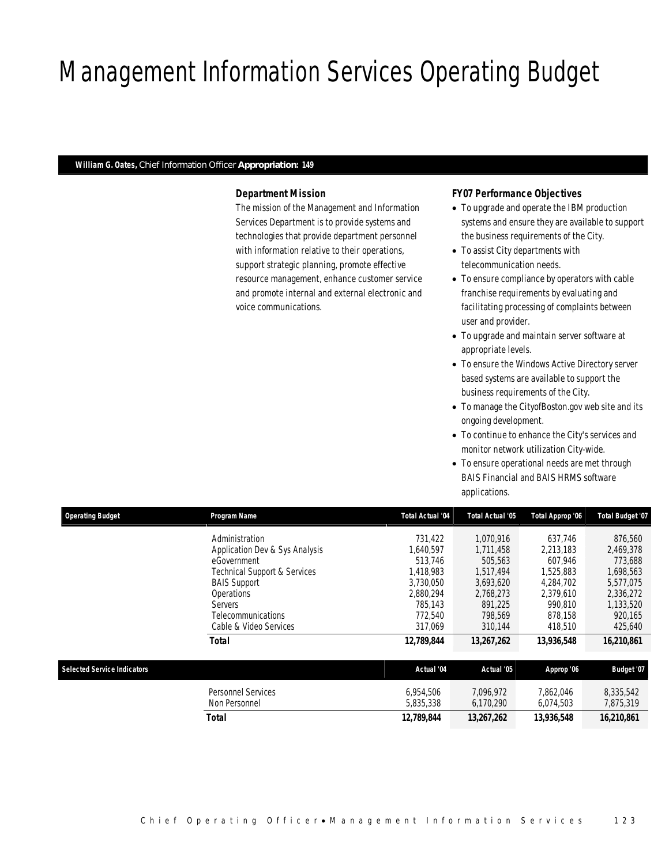# Management Information Services Operating Budget

#### *William G. Oates, Chief Information Officer Appropriation: 149*

### *Department Mission*

The mission of the Management and Information Services Department is to provide systems and technologies that provide department personnel with information relative to their operations, support strategic planning, promote effective resource management, enhance customer service and promote internal and external electronic and voice communications.

#### *FY07 Performance Objectives*

- To upgrade and operate the IBM production systems and ensure they are available to support the business requirements of the City.
- To assist City departments with telecommunication needs.
- To ensure compliance by operators with cable franchise requirements by evaluating and facilitating processing of complaints between user and provider.
- To upgrade and maintain server software at appropriate levels.
- To ensure the Windows Active Directory server based systems are available to support the business requirements of the City.
- To manage the CityofBoston.gov web site and its ongoing development.
- To continue to enhance the City's services and monitor network utilization City-wide.
- To ensure operational needs are met through BAIS Financial and BAIS HRMS software applications.

| <b>Operating Budget</b>            | Program Name                            | <b>Total Actual '04</b>       | <b>Total Actual '05</b>                      | Total Approp '06                           | Total Budget '07                  |
|------------------------------------|-----------------------------------------|-------------------------------|----------------------------------------------|--------------------------------------------|-----------------------------------|
|                                    | Administration                          | 731.422                       | 1.070.916                                    | 637.746                                    | 876,560                           |
|                                    | Application Dev & Sys Analysis          | 1.640.597                     | 1,711,458                                    | 2,213,183                                  | 2,469,378                         |
|                                    | eGovernment                             | 513.746                       | 505.563                                      | 607.946                                    | 773.688                           |
|                                    | <b>Technical Support &amp; Services</b> | 1.418.983                     | 1.517.494                                    | 1.525.883                                  | 1,698,563                         |
|                                    | <b>BAIS Support</b>                     | 3.730.050                     | 3,693,620<br>2,768,273<br>891.225<br>798,569 | 4,284,702                                  | 5,577,075                         |
|                                    | Operations                              | 2.880.294                     |                                              | 2,379,610<br>990,810<br>878,158<br>418,510 | 2,336,272<br>1,133,520<br>920,165 |
|                                    | <b>Servers</b>                          | 785.143<br>772,540<br>317.069 |                                              |                                            |                                   |
|                                    | Telecommunications                      |                               |                                              |                                            |                                   |
|                                    | Cable & Video Services                  |                               | 310,144                                      |                                            | 425,640                           |
|                                    | Total                                   | 12,789,844                    | 13,267,262                                   | 13,936,548                                 | 16,210,861                        |
|                                    |                                         |                               |                                              |                                            |                                   |
| <b>Selected Service Indicators</b> |                                         | Actual '04                    | Actual '05                                   | Approp '06                                 | Budget '07                        |
|                                    | Personnel Services                      | 6,954,506                     | 7.096.972                                    | 7.862.046                                  | 8,335,542                         |
|                                    | Non Personnel                           | 5,835,338                     | 6,170,290                                    | 6,074,503                                  | 7,875,319                         |
|                                    | Total                                   | 12,789,844                    | 13,267,262                                   | 13,936,548                                 | 16.210.861                        |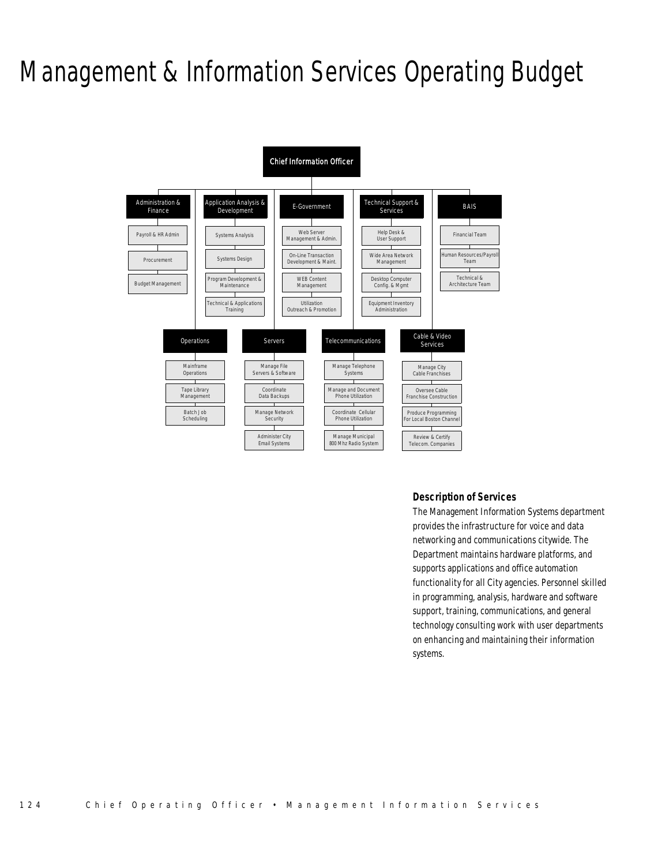# Management & Information Services Operating Budget



### *Description of Services*

The Management Information Systems department provides the infrastructure for voice and data networking and communications citywide. The Department maintains hardware platforms, and supports applications and office automation functionality for all City agencies. Personnel skilled in programming, analysis, hardware and software support, training, communications, and general technology consulting work with user departments on enhancing and maintaining their information systems.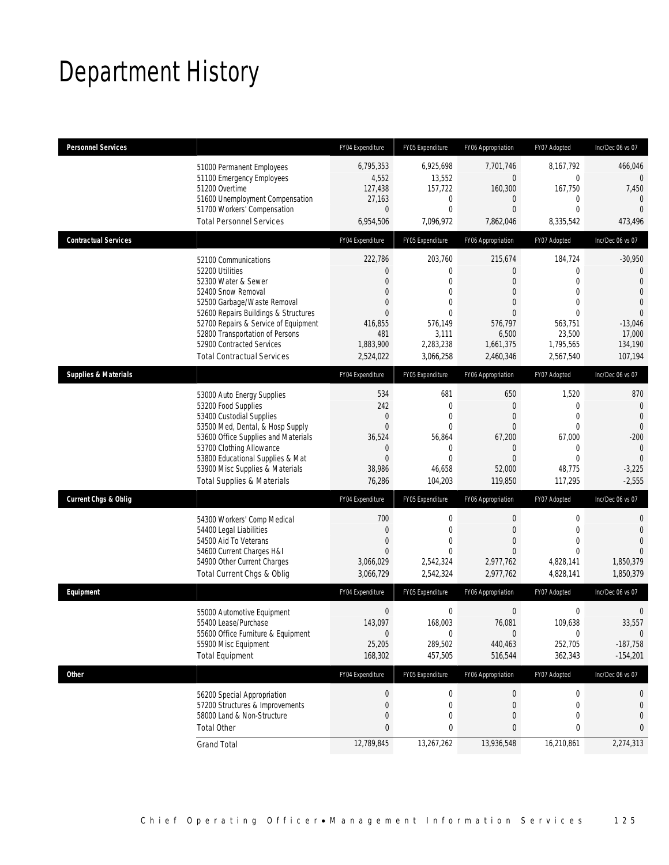# Department History

| <b>Personnel Services</b>       |                                                                                                                                                                                                                                                                                                          | FY04 Expenditure                                                                                                            | FY05 Expenditure                                                                                           | FY06 Appropriation                                                                                                     | FY07 Adopted                                                                                                               | Inc/Dec 06 vs 07                                                                                                        |
|---------------------------------|----------------------------------------------------------------------------------------------------------------------------------------------------------------------------------------------------------------------------------------------------------------------------------------------------------|-----------------------------------------------------------------------------------------------------------------------------|------------------------------------------------------------------------------------------------------------|------------------------------------------------------------------------------------------------------------------------|----------------------------------------------------------------------------------------------------------------------------|-------------------------------------------------------------------------------------------------------------------------|
|                                 | 51000 Permanent Employees<br>51100 Emergency Employees<br>51200 Overtime<br>51600 Unemployment Compensation<br>51700 Workers' Compensation<br><b>Total Personnel Services</b>                                                                                                                            | 6,795,353<br>4,552<br>127,438<br>27,163<br>$\mathbf 0$<br>6,954,506                                                         | 6,925,698<br>13,552<br>157,722<br>$\mathbf{0}$<br>$\mathbf{0}$<br>7,096,972                                | 7,701,746<br>$\mathbf{0}$<br>160,300<br>$\overline{0}$<br>$\overline{0}$<br>7,862,046                                  | 8,167,792<br>$\overline{0}$<br>167,750<br>$\mathbf 0$<br>$\overline{0}$<br>8,335,542                                       | 466,046<br>0<br>7,450<br>$\overline{0}$<br>$\Omega$<br>473,496                                                          |
| <b>Contractual Services</b>     |                                                                                                                                                                                                                                                                                                          | FY04 Expenditure                                                                                                            | FY05 Expenditure                                                                                           | FY06 Appropriation                                                                                                     | FY07 Adopted                                                                                                               | Inc/Dec 06 vs 07                                                                                                        |
|                                 | 52100 Communications<br>52200 Utilities<br>52300 Water & Sewer<br>52400 Snow Removal<br>52500 Garbage/Waste Removal<br>52600 Repairs Buildings & Structures<br>52700 Repairs & Service of Equipment<br>52800 Transportation of Persons<br>52900 Contracted Services<br><b>Total Contractual Services</b> | 222,786<br>$\mathbf{0}$<br>$\Omega$<br>$\mathbf{0}$<br>$\mathbf{0}$<br>$\Omega$<br>416,855<br>481<br>1,883,900<br>2,524,022 | 203,760<br>0<br>$\theta$<br>0<br>$\mathbf{0}$<br>$\theta$<br>576,149<br>3,111<br>2,283,238<br>3,066,258    | 215,674<br>0<br>$\Omega$<br>$\overline{0}$<br>$\overline{0}$<br>$\Omega$<br>576,797<br>6,500<br>1,661,375<br>2,460,346 | 184,724<br>0<br>$\overline{0}$<br>$\overline{0}$<br>$\mathbf 0$<br>$\Omega$<br>563,751<br>23,500<br>1,795,565<br>2,567,540 | $-30,950$<br>0<br>$\overline{0}$<br>$\Omega$<br>$\overline{0}$<br>$\Omega$<br>$-13,046$<br>17,000<br>134,190<br>107,194 |
| <b>Supplies &amp; Materials</b> |                                                                                                                                                                                                                                                                                                          | FY04 Expenditure                                                                                                            | FY05 Expenditure                                                                                           | FY06 Appropriation                                                                                                     | FY07 Adopted                                                                                                               | Inc/Dec 06 vs 07                                                                                                        |
|                                 | 53000 Auto Energy Supplies<br>53200 Food Supplies<br>53400 Custodial Supplies<br>53500 Med, Dental, & Hosp Supply<br>53600 Office Supplies and Materials<br>53700 Clothing Allowance<br>53800 Educational Supplies & Mat<br>53900 Misc Supplies & Materials<br><b>Total Supplies &amp; Materials</b>     | 534<br>242<br>$\mathbf 0$<br>$\mathbf{0}$<br>36,524<br>$\mathbf{0}$<br>$\Omega$<br>38,986<br>76,286                         | 681<br>$\mathbf{0}$<br>$\mathbf{0}$<br>$\theta$<br>56,864<br>$\mathbf{0}$<br>$\Omega$<br>46,658<br>104,203 | 650<br>$\mathbf{0}$<br>$\mathbf{0}$<br>$\overline{0}$<br>67,200<br>$\overline{0}$<br>$\Omega$<br>52,000<br>119,850     | 1,520<br>$\mathbf 0$<br>$\mathbf 0$<br>0<br>67,000<br>$\mathbf 0$<br>$\Omega$<br>48,775<br>117,295                         | 870<br>$\overline{0}$<br>$\theta$<br>$\theta$<br>$-200$<br>$\theta$<br>$\Omega$<br>$-3,225$<br>$-2,555$                 |
| <b>Current Chgs &amp; Oblig</b> |                                                                                                                                                                                                                                                                                                          | FY04 Expenditure                                                                                                            | FY05 Expenditure                                                                                           | FY06 Appropriation                                                                                                     | FY07 Adopted                                                                                                               | Inc/Dec 06 vs 07                                                                                                        |
|                                 | 54300 Workers' Comp Medical<br>54400 Legal Liabilities<br>54500 Aid To Veterans<br>54600 Current Charges H&I<br>54900 Other Current Charges<br>Total Current Chgs & Oblig                                                                                                                                | 700<br>$\mathbf{0}$<br>$\mathbf{0}$<br>$\Omega$<br>3,066,029<br>3,066,729                                                   | $\mathbf 0$<br>$\theta$<br>0<br>$\theta$<br>2,542,324<br>2,542,324                                         | 0<br>$\mathbf{0}$<br>$\overline{0}$<br>$\Omega$<br>2,977,762<br>2,977,762                                              | 0<br>$\overline{0}$<br>$\overline{0}$<br>$\Omega$<br>4,828,141<br>4,828,141                                                | 0<br>$\overline{0}$<br>$\Omega$<br>0<br>1,850,379<br>1,850,379                                                          |
| Equipment                       |                                                                                                                                                                                                                                                                                                          | FY04 Expenditure                                                                                                            | FY05 Expenditure                                                                                           | FY06 Appropriation                                                                                                     | FY07 Adopted                                                                                                               | Inc/Dec 06 vs 07                                                                                                        |
|                                 | 55000 Automotive Equipment<br>55400 Lease/Purchase<br>55600 Office Furniture & Equipment<br>55900 Misc Equipment<br><b>Total Equipment</b>                                                                                                                                                               | $\mathbf 0$<br>143,097<br>$\mathbf 0$<br>25,205<br>168,302                                                                  | $\mathbf 0$<br>168,003<br>$\mathbf 0$<br>289,502<br>457,505                                                | 0<br>76,081<br>$\mathbf{0}$<br>440,463<br>516,544                                                                      | 0<br>109,638<br>0<br>252,705<br>362,343                                                                                    | 0<br>33,557<br>$\Omega$<br>$-187,758$<br>$-154,201$                                                                     |
| Other                           |                                                                                                                                                                                                                                                                                                          | FY04 Expenditure                                                                                                            | FY05 Expenditure                                                                                           | FY06 Appropriation                                                                                                     | FY07 Adopted                                                                                                               | Inc/Dec 06 vs 07                                                                                                        |
|                                 | 56200 Special Appropriation<br>57200 Structures & Improvements<br>58000 Land & Non-Structure<br><b>Total Other</b>                                                                                                                                                                                       | $\boldsymbol{0}$<br>$\mathbf 0$<br>$\mathbf 0$<br>$\mathbf{0}$                                                              | $\boldsymbol{0}$<br>$\mathbf 0$<br>$\mathbf{0}$<br>0                                                       | $\overline{0}$<br>0<br>0<br>0                                                                                          | 0<br>0<br>0<br>0                                                                                                           | 0<br>0<br>0<br>0                                                                                                        |
|                                 | <b>Grand Total</b>                                                                                                                                                                                                                                                                                       | 12,789,845                                                                                                                  | 13,267,262                                                                                                 | 13,936,548                                                                                                             | 16,210,861                                                                                                                 | 2,274,313                                                                                                               |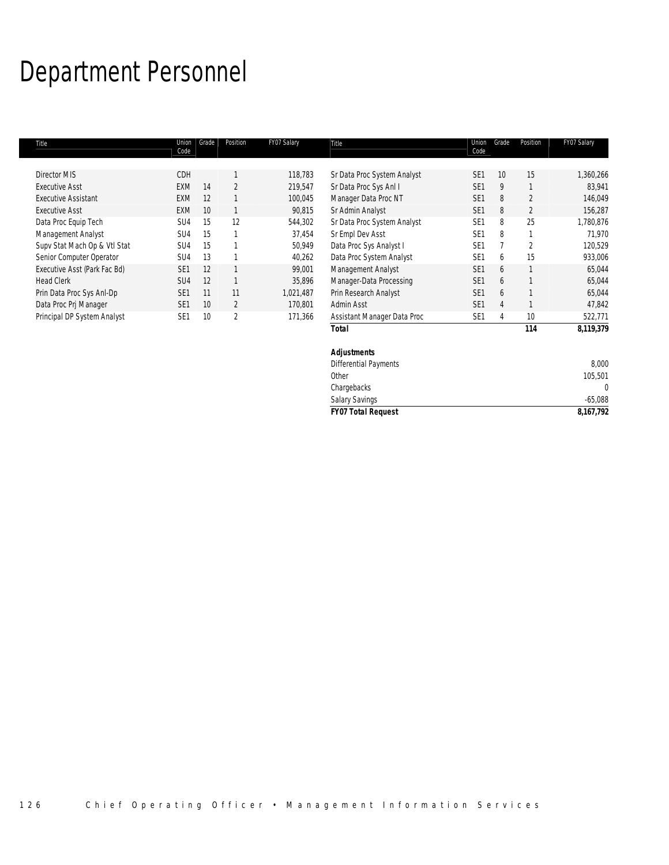# Department Personnel

| Title                        | Union<br>Code   | Grade           | Position       | FY07 Salary | Title                       | Union<br>Code   | Grade        | Position       | FY07 Salary |
|------------------------------|-----------------|-----------------|----------------|-------------|-----------------------------|-----------------|--------------|----------------|-------------|
|                              |                 |                 |                |             |                             |                 |              |                |             |
| Director MIS                 | CDH             |                 |                | 118,783     | Sr Data Proc System Analyst | SF <sub>1</sub> | 10           | 15             | 1,360,266   |
| <b>Executive Asst</b>        | <b>EXM</b>      | 14              | $\overline{2}$ | 219.547     | Sr Data Proc Sys Anl I      | SF <sub>1</sub> | 9            |                | 83.941      |
| <b>Executive Assistant</b>   | <b>EXM</b>      | 12              |                | 100.045     | Manager Data Proc NT        | SE <sub>1</sub> | 8            | $\overline{2}$ | 146,049     |
| <b>Executive Asst</b>        | <b>EXM</b>      | 10              |                | 90,815      | Sr Admin Analyst            | SE <sub>1</sub> | 8            | $\overline{2}$ | 156,287     |
| Data Proc Equip Tech         | SU <sub>4</sub> | 15              | 12             | 544,302     | Sr Data Proc System Analyst | SE <sub>1</sub> | 8            | 25             | 1,780,876   |
| Management Analyst           | SU <sub>4</sub> | 15              |                | 37,454      | Sr Empl Dev Asst            | SE <sub>1</sub> | 8            |                | 71,970      |
| Supv Stat Mach Op & Vtl Stat | SU <sub>4</sub> | 15              |                | 50.949      | Data Proc Sys Analyst I     | SE <sub>1</sub> |              | $\overline{2}$ | 120.529     |
| Senior Computer Operator     | SU <sub>4</sub> | 13              |                | 40,262      | Data Proc System Analyst    | SF <sub>1</sub> | <sub>6</sub> | 15             | 933.006     |
| Executive Asst (Park Fac Bd) | SE <sub>1</sub> | 12              |                | 99.001      | Management Analyst          | SE <sub>1</sub> | 6            |                | 65,044      |
| <b>Head Clerk</b>            | SU <sub>4</sub> | 12              |                | 35,896      | Manager-Data Processing     | SE <sub>1</sub> | 6            |                | 65,044      |
| Prin Data Proc Sys Anl-Dp    | SF <sub>1</sub> | 11              | 11             | 1,021,487   | Prin Research Analyst       | SE <sub>1</sub> | 6            |                | 65,044      |
| Data Proc Prj Manager        | SE <sub>1</sub> | 10 <sup>°</sup> | $\overline{2}$ | 170,801     | Admin Asst                  | SE <sub>1</sub> | 4            |                | 47,842      |
| Principal DP System Analyst  | SE <sub>1</sub> | 10              | $\overline{2}$ | 171,366     | Assistant Manager Data Proc | SE <sub>1</sub> | 4            | 10             | 522,771     |
|                              |                 |                 |                |             | <b>Total</b>                |                 |              | 114            | 8,119,379   |

| Data Proc Prj Manager       | 5E I            | 10 | 170,801 | Admin Asst                  | .SF I           | 4 |     | 47,842    |
|-----------------------------|-----------------|----|---------|-----------------------------|-----------------|---|-----|-----------|
| Principal DP System Analyst | SE <sub>1</sub> | 10 | 171,366 | Assistant Manager Data Proc | SE <sub>1</sub> | 4 | 10  | 522,771   |
|                             |                 |    |         | Total                       |                 |   | 114 | 8,119,379 |
|                             |                 |    |         | <b>Adjustments</b>          |                 |   |     |           |
|                             |                 |    |         | Differential Payments       |                 |   |     | 8,000     |
|                             |                 |    |         | Other                       |                 |   |     | 105,501   |
|                             |                 |    |         | Chargebacks                 |                 |   |     |           |
|                             |                 |    |         | <b>Salary Savings</b>       |                 |   |     | $-65,088$ |
|                             |                 |    |         | <b>FY07 Total Request</b>   |                 |   |     | 8,167,792 |
|                             |                 |    |         |                             |                 |   |     |           |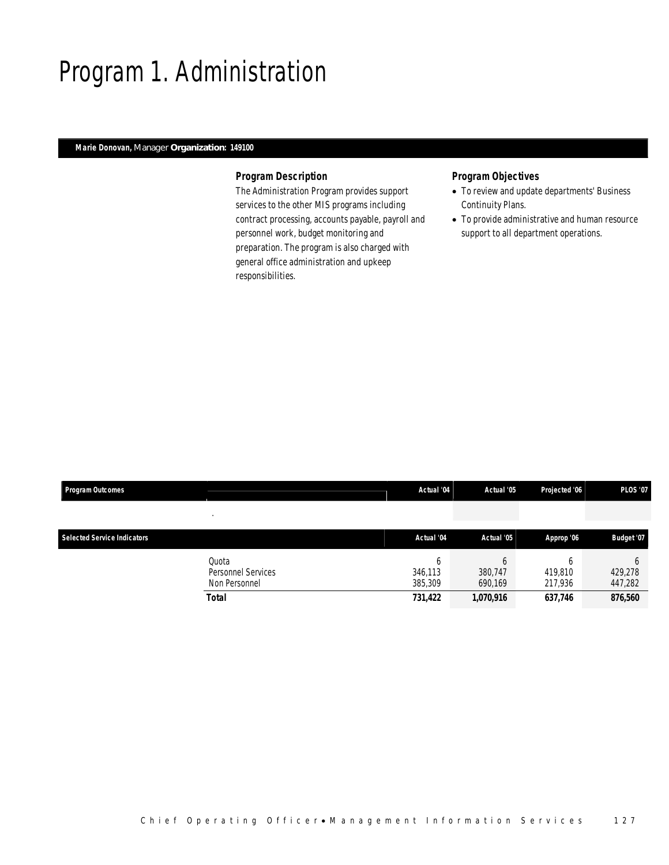## Program 1. Administration

### *Marie Donovan, Manager Organization: 149100*

#### *Program Description*

The Administration Program provides support services to the other MIS programs including contract processing, accounts payable, payroll and personnel work, budget monitoring and preparation. The program is also charged with general office administration and upkeep responsibilities.

- To review and update departments' Business Continuity Plans.
- To provide administrative and human resource support to all department operations.

| <b>Program Outcomes</b>            |                                                     | Actual '04              | Actual '05                         | Projected '06      | <b>PLOS '07</b>                    |
|------------------------------------|-----------------------------------------------------|-------------------------|------------------------------------|--------------------|------------------------------------|
|                                    |                                                     |                         |                                    |                    |                                    |
| <b>Selected Service Indicators</b> |                                                     | Actual '04              | Actual '05                         | Approp '06         | Budget '07                         |
|                                    | Quota<br><b>Personnel Services</b><br>Non Personnel | h<br>346,113<br>385,309 | <sub>0</sub><br>380,747<br>690,169 | 419,810<br>217.936 | <sub>0</sub><br>429,278<br>447,282 |
|                                    | Total                                               | 731,422                 | 1,070,916                          | 637,746            | 876,560                            |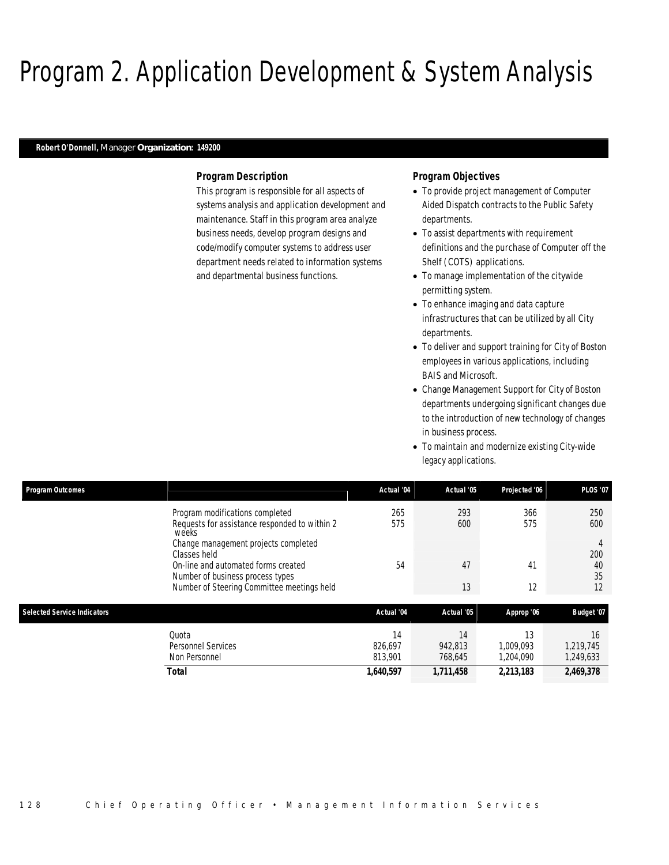# Program 2. Application Development & System Analysis

#### *Robert O'Donnell, Manager Organization: 149200*

#### *Program Description*

This program is responsible for all aspects of systems analysis and application development and maintenance. Staff in this program area analyze business needs, develop program designs and code/modify computer systems to address user department needs related to information systems and departmental business functions.

#### *Program Objectives*

- To provide project management of Computer Aided Dispatch contracts to the Public Safety departments.
- To assist departments with requirement definitions and the purchase of Computer off the Shelf (COTS) applications.
- To manage implementation of the citywide permitting system.
- To enhance imaging and data capture infrastructures that can be utilized by all City departments.
- To deliver and support training for City of Boston employees in various applications, including BAIS and Microsoft.
- Change Management Support for City of Boston departments undergoing significant changes due to the introduction of new technology of changes in business process.
- To maintain and modernize existing City-wide legacy applications.

| <b>Program Outcomes</b>            |                                                                                                                                                                               | Actual '04               | Actual '05               | Projected '06                | <b>PLOS '07</b>              |
|------------------------------------|-------------------------------------------------------------------------------------------------------------------------------------------------------------------------------|--------------------------|--------------------------|------------------------------|------------------------------|
|                                    | Program modifications completed<br>Requests for assistance responded to within 2<br>weeks                                                                                     | 265<br>575               | 293<br>600               | 366<br>575                   | 250<br>600                   |
|                                    | Change management projects completed<br>Classes held<br>On-line and automated forms created<br>Number of business process types<br>Number of Steering Committee meetings held | 54                       | 47<br>13                 | 41<br>12                     | 200<br>40<br>35<br>12        |
| <b>Selected Service Indicators</b> |                                                                                                                                                                               | Actual '04               | Actual '05               | Approp '06                   | Budget '07                   |
|                                    | Quota<br><b>Personnel Services</b><br>Non Personnel                                                                                                                           | 14<br>826.697<br>813.901 | 14<br>942.813<br>768.645 | 13<br>1.009.093<br>1,204,090 | 16<br>1.219.745<br>1.249.633 |

*Total 1,640,597 1,711,458 2,213,183 2,469,378*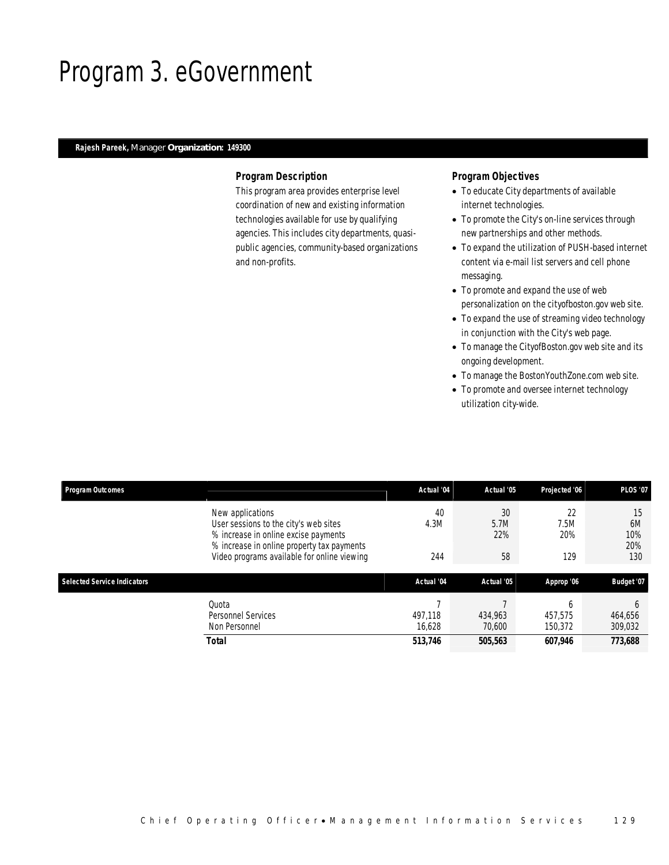## Program 3. eGovernment

#### *Rajesh Pareek, Manager Organization: 149300*

#### *Program Description*

This program area provides enterprise level coordination of new and existing information technologies available for use by qualifying agencies. This includes city departments, quasipublic agencies, community-based organizations and non-profits.

- To educate City departments of available internet technologies.
- To promote the City's on-line services through new partnerships and other methods.
- To expand the utilization of PUSH-based internet content via e-mail list servers and cell phone messaging.
- To promote and expand the use of web personalization on the cityofboston.gov web site.
- To expand the use of streaming video technology in conjunction with the City's web page.
- To manage the CityofBoston.gov web site and its ongoing development.
- To manage the BostonYouthZone.com web site.
- To promote and oversee internet technology utilization city-wide.

| <b>Program Outcomes</b>            |                                                                                                                                                                                                | Actual '04        | Actual '05              | Projected '06                      | <b>PLOS '07</b>                    |
|------------------------------------|------------------------------------------------------------------------------------------------------------------------------------------------------------------------------------------------|-------------------|-------------------------|------------------------------------|------------------------------------|
|                                    | New applications<br>User sessions to the city's web sites<br>% increase in online excise payments<br>% increase in online property tax payments<br>Video programs available for online viewing | 40<br>4.3M<br>244 | 30<br>5.7M<br>22%<br>58 | 22<br>7.5M<br>20%<br>129           | 15<br>6M<br>10%<br>20%<br>130      |
| <b>Selected Service Indicators</b> |                                                                                                                                                                                                | Actual '04        | Actual '05              | Approp '06                         | Budget '07                         |
|                                    | Quota<br><b>Personnel Services</b><br>Non Personnel                                                                                                                                            | 497.118<br>16.628 | 434.963<br>70.600       | <sub>6</sub><br>457.575<br>150,372 | <sub>b</sub><br>464.656<br>309,032 |
|                                    | Total                                                                                                                                                                                          | 513,746           | 505,563                 | 607.946                            | 773.688                            |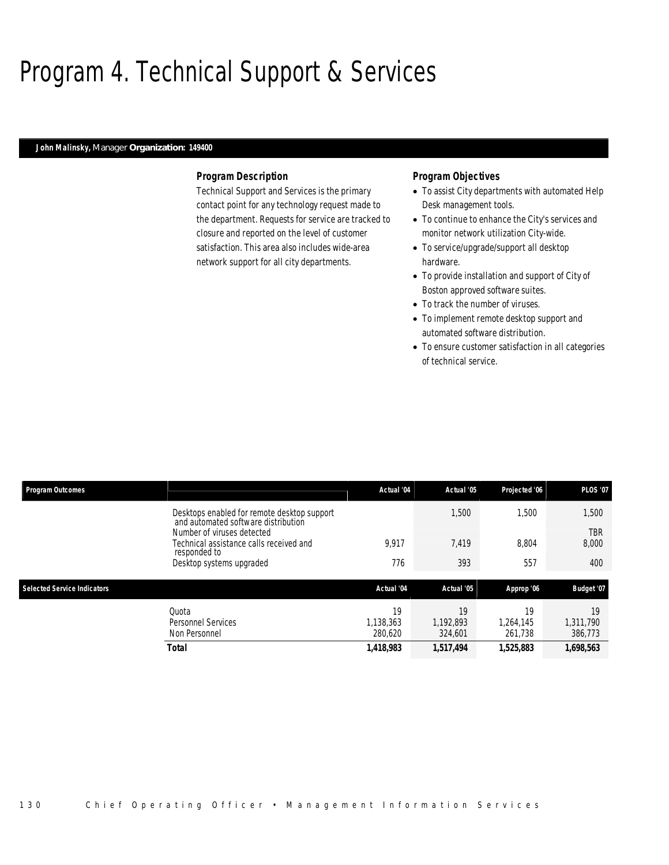## Program 4. Technical Support & Services

#### *John Malinsky, Manager Organization: 149400*

#### *Program Description*

Technical Support and Services is the primary contact point for any technology request made to the department. Requests for service are tracked to closure and reported on the level of customer satisfaction. This area also includes wide-area network support for all city departments.

- To assist City departments with automated Help Desk management tools.
- To continue to enhance the City's services and monitor network utilization City-wide.
- To service/upgrade/support all desktop hardware.
- To provide installation and support of City of Boston approved software suites.
- To track the number of viruses.
- To implement remote desktop support and automated software distribution.
- To ensure customer satisfaction in all categories of technical service.

| <b>Program Outcomes</b>            |                                                                                       | Actual '04 | Actual '05 | Projected '06 | <b>PLOS '07</b>     |
|------------------------------------|---------------------------------------------------------------------------------------|------------|------------|---------------|---------------------|
|                                    | Desktops enabled for remote desktop support<br>and automated software distribution    |            | 1.500      | 1.500         | 1,500               |
|                                    | Number of viruses detected<br>Technical assistance calls received and<br>responded to | 9.917      | 7.419      | 8,804         | <b>TBR</b><br>8,000 |
|                                    | Desktop systems upgraded                                                              | 776        | 393        | 557           | 400                 |
|                                    |                                                                                       |            |            |               |                     |
| <b>Selected Service Indicators</b> |                                                                                       | Actual '04 | Actual '05 | Approp '06    | Budget '07          |
|                                    | Quota                                                                                 | 19         | 19         | 19            | 19                  |
|                                    | Personnel Services                                                                    | 1.138.363  | 1.192.893  | 1.264.145     | 1,311,790           |
|                                    | Non Personnel                                                                         | 280.620    | 324.601    | 261.738       | 386,773             |
|                                    | Total                                                                                 | 1,418,983  | 1.517.494  | 1,525,883     | 1.698.563           |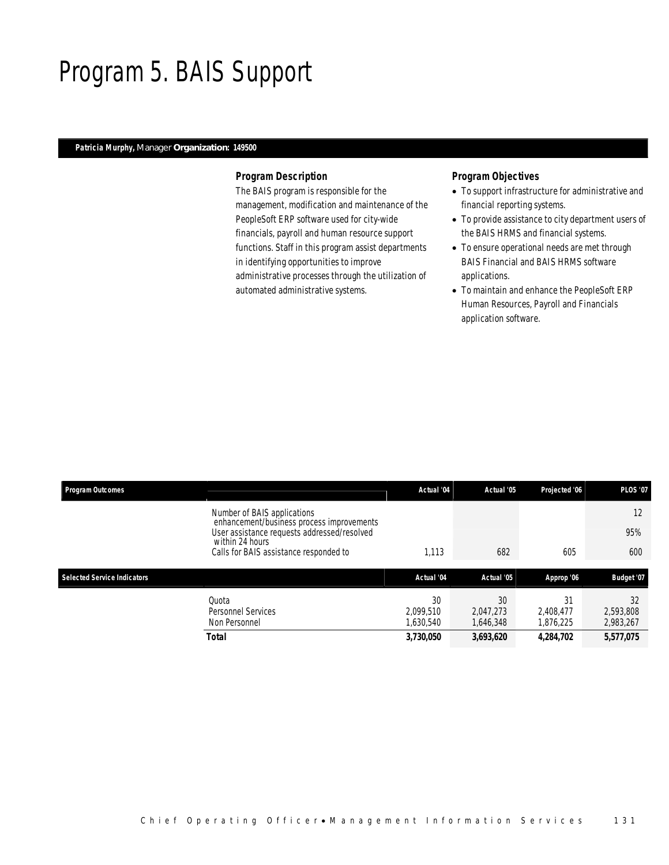## Program 5. BAIS Support

### *Patricia Murphy, Manager Organization: 149500*

#### *Program Description*

The BAIS program is responsible for the management, modification and maintenance of the PeopleSoft ERP software used for city-wide financials, payroll and human resource support functions. Staff in this program assist departments in identifying opportunities to improve administrative processes through the utilization of automated administrative systems.

- To support infrastructure for administrative and financial reporting systems.
- To provide assistance to city department users of the BAIS HRMS and financial systems.
- To ensure operational needs are met through BAIS Financial and BAIS HRMS software applications.
- To maintain and enhance the PeopleSoft ERP Human Resources, Payroll and Financials application software.

| <b>Program Outcomes</b>            |                                                                          | Actual '04      | Actual '05             | Projected '06          | <b>PLOS '07</b>        |
|------------------------------------|--------------------------------------------------------------------------|-----------------|------------------------|------------------------|------------------------|
|                                    | Number of BAIS applications<br>enhancement/business process improvements |                 |                        |                        | 12                     |
|                                    | User assistance requests addressed/resolved<br>within 24 hours           |                 |                        |                        | 95%                    |
|                                    | Calls for BAIS assistance responded to                                   | 1.113           | 682                    | 605                    | 600                    |
|                                    |                                                                          |                 |                        |                        |                        |
| <b>Selected Service Indicators</b> |                                                                          | Actual '04      | Actual '05             | Approp '06             | Budget '07             |
|                                    |                                                                          |                 |                        |                        |                        |
|                                    | Ouota<br>Personnel Services                                              | 30<br>2.099.510 | 30                     | 31                     | 32                     |
|                                    | Non Personnel                                                            | 1,630,540       | 2,047,273<br>1,646,348 | 2,408,477<br>1,876,225 | 2,593,808<br>2,983,267 |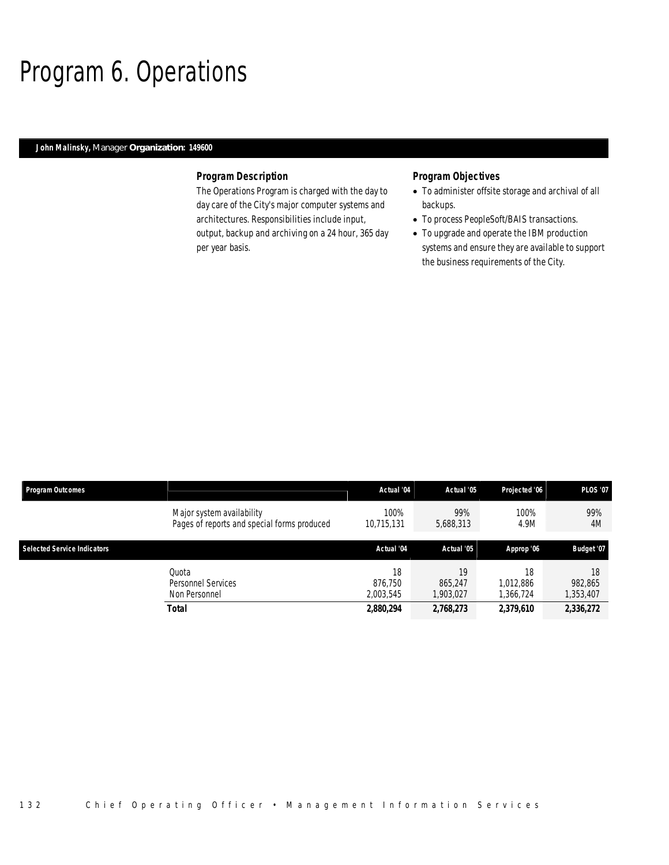## Program 6. Operations

### *John Malinsky, Manager Organization: 149600*

#### *Program Description*

The Operations Program is charged with the day to day care of the City's major computer systems and architectures. Responsibilities include input, output, backup and archiving on a 24 hour, 365 day per year basis.

- To administer offsite storage and archival of all backups.
- To process PeopleSoft/BAIS transactions.
- To upgrade and operate the IBM production systems and ensure they are available to support the business requirements of the City.

| Program Outcomes                   |                                                                          | Actual '04                 | Actual '05                 | Projected '06                | <b>PLOS '07</b>            |
|------------------------------------|--------------------------------------------------------------------------|----------------------------|----------------------------|------------------------------|----------------------------|
|                                    | Major system availability<br>Pages of reports and special forms produced | 100%<br>10.715.131         | 99%<br>5,688,313           | 100%<br>4.9M                 | 99%<br>4M                  |
| <b>Selected Service Indicators</b> |                                                                          | Actual '04                 | Actual '05                 | Approp '06                   | Budget '07                 |
|                                    | Ouota<br>Personnel Services<br>Non Personnel                             | 18<br>876.750<br>2,003,545 | 19<br>865.247<br>1,903,027 | 18<br>1,012,886<br>1,366,724 | 18<br>982,865<br>1,353,407 |
|                                    | <b>Total</b>                                                             | 2,880,294                  | 2,768,273                  | 2,379,610                    | 2,336,272                  |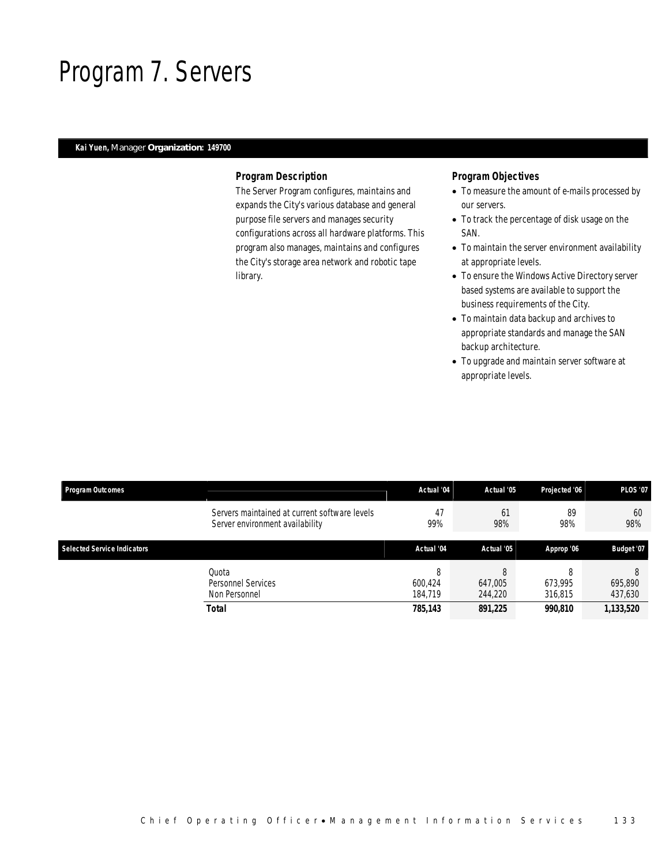# Program 7. Servers

### *Kai Yuen, Manager Organization: 149700*

### *Program Description*

The Server Program configures, maintains and expands the City's various database and general purpose file servers and manages security configurations across all hardware platforms. This program also manages, maintains and configures the City's storage area network and robotic tape library.

- To measure the amount of e-mails processed by our servers.
- To track the percentage of disk usage on the SAN.
- To maintain the server environment availability at appropriate levels.
- To ensure the Windows Active Directory server based systems are available to support the business requirements of the City.
- To maintain data backup and archives to appropriate standards and manage the SAN backup architecture.
- To upgrade and maintain server software at appropriate levels.

| <b>Program Outcomes</b>            |                                                                                  | Actual '04              | Actual '05              | Projected '06      | <b>PLOS '07</b>         |
|------------------------------------|----------------------------------------------------------------------------------|-------------------------|-------------------------|--------------------|-------------------------|
|                                    | Servers maintained at current software levels<br>Server environment availability | 47<br>99%               | 61<br>98%               | 89<br>98%          | 60<br>98%               |
| <b>Selected Service Indicators</b> |                                                                                  | Actual '04              | Actual '05              | Approp '06         | Budget '07              |
|                                    | Ouota<br>Personnel Services<br>Non Personnel                                     | 8<br>600.424<br>184.719 | 8<br>647.005<br>244,220 | 673.995<br>316.815 | 8<br>695,890<br>437,630 |
|                                    | <b>Total</b>                                                                     | 785,143                 | 891,225                 | 990,810            | 1,133,520               |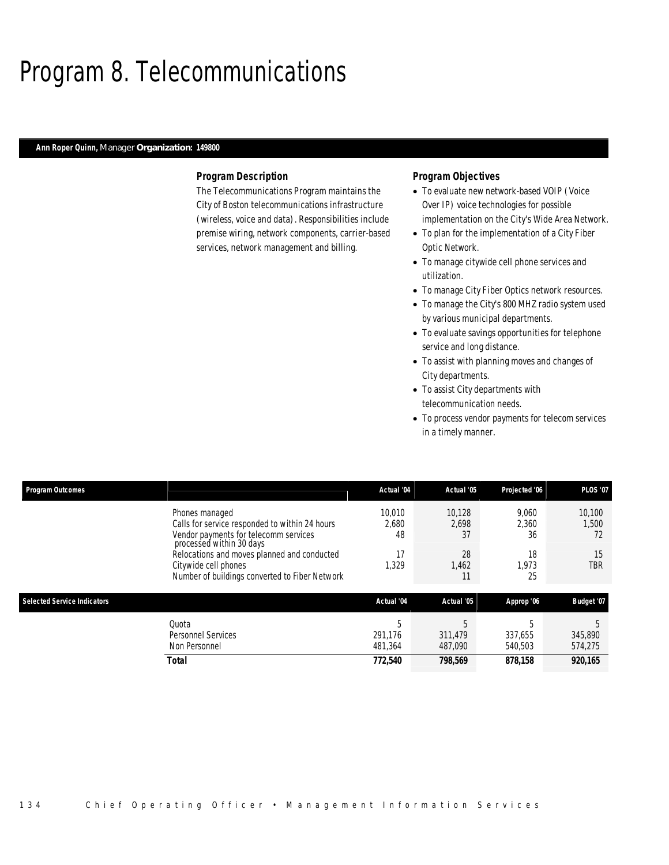# Program 8. Telecommunications

### *Ann Roper Quinn, Manager Organization: 149800*

### *Program Description*

The Telecommunications Program maintains the City of Boston telecommunications infrastructure (wireless, voice and data). Responsibilities include premise wiring, network components, carrier-based services, network management and billing.

- To evaluate new network-based VOIP (Voice Over IP) voice technologies for possible implementation on the City's Wide Area Network.
- To plan for the implementation of a City Fiber Optic Network.
- To manage citywide cell phone services and utilization.
- To manage City Fiber Optics network resources.
- To manage the City's 800 MHZ radio system used by various municipal departments.
- To evaluate savings opportunities for telephone service and long distance.
- To assist with planning moves and changes of City departments.
- To assist City departments with telecommunication needs.
- To process vendor payments for telecom services in a timely manner.

| <b>Program Outcomes</b>            |                                                                   | Actual '04 | Actual '05 | Projected '06 | <b>PLOS '07</b> |
|------------------------------------|-------------------------------------------------------------------|------------|------------|---------------|-----------------|
|                                    | Phones managed                                                    | 10,010     | 10.128     | 9.060         | 10,100          |
|                                    | Calls for service responded to within 24 hours                    | 2,680      | 2,698      | 2,360         | 1,500           |
|                                    | Vendor payments for telecomm services<br>processed within 30 days | 48         | 37         | 36            | 72              |
|                                    | Relocations and moves planned and conducted                       | 17         | 28         | 18            | 15              |
|                                    | Citywide cell phones                                              | 1.329      | 1,462      | 1.973         | TBR             |
|                                    | Number of buildings converted to Fiber Network                    |            | 11         | 25            |                 |
| <b>Selected Service Indicators</b> |                                                                   | Actual '04 | Actual '05 | Approp '06    | Budget '07      |
|                                    | Quota                                                             | 5          | 5          | 5             |                 |
|                                    | <b>Personnel Services</b>                                         | 291.176    | 311.479    | 337,655       | 345,890         |
|                                    | Non Personnel                                                     | 481.364    | 487.090    | 540,503       | 574,275         |
|                                    | Total                                                             | 772,540    | 798.569    | 878.158       | 920.165         |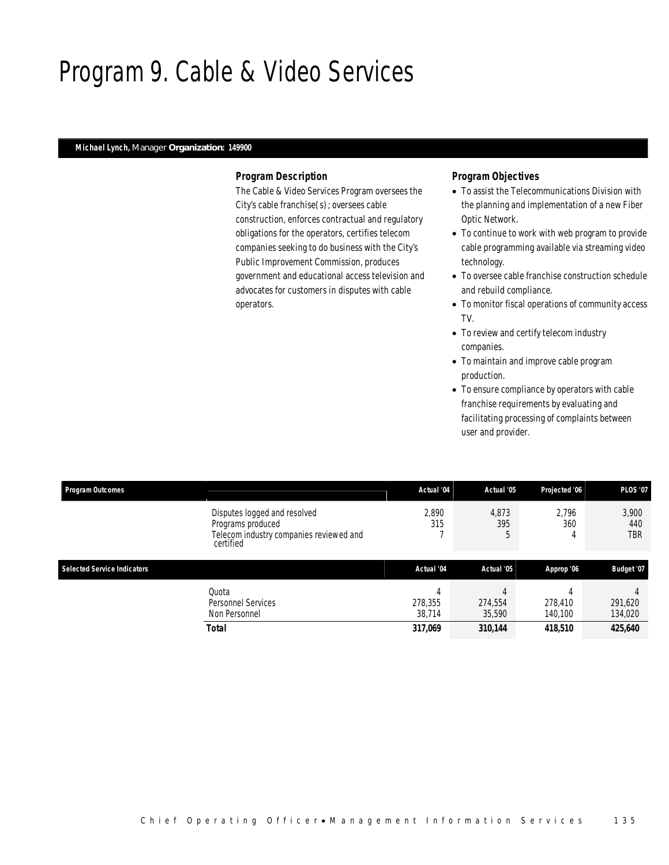## Program 9. Cable & Video Services

### *Michael Lynch, Manager Organization: 149900*

### *Program Description*

The Cable & Video Services Program oversees the City's cable franchise(s); oversees cable construction, enforces contractual and regulatory obligations for the operators, certifies telecom companies seeking to do business with the City's Public Improvement Commission, produces government and educational access television and advocates for customers in disputes with cable operators.

- To assist the Telecommunications Division with the planning and implementation of a new Fiber Optic Network.
- To continue to work with web program to provide cable programming available via streaming video technology.
- To oversee cable franchise construction schedule and rebuild compliance.
- To monitor fiscal operations of community access TV.
- To review and certify telecom industry companies.
- To maintain and improve cable program production.
- To ensure compliance by operators with cable franchise requirements by evaluating and facilitating processing of complaints between user and provider.

| <b>Program Outcomes</b>            |                                                                                                           | Actual '04        | Actual '05        | Projected '06      | <b>PLOS '07</b>     |
|------------------------------------|-----------------------------------------------------------------------------------------------------------|-------------------|-------------------|--------------------|---------------------|
|                                    | Disputes logged and resolved<br>Programs produced<br>Telecom industry companies reviewed and<br>certified | 2,890<br>315      | 4,873<br>395<br>b | 2.796<br>360<br>4  | 3,900<br>440<br>TBR |
| <b>Selected Service Indicators</b> |                                                                                                           | Actual '04        | Actual '05        | Approp '06         | Budget '07          |
|                                    | Quota<br>Personnel Services<br>Non Personnel                                                              | 278,355<br>38.714 | 274.554<br>35,590 | 278,410<br>140,100 | 291,620<br>134,020  |
|                                    | Total                                                                                                     | 317,069           | 310.144           | 418,510            | 425,640             |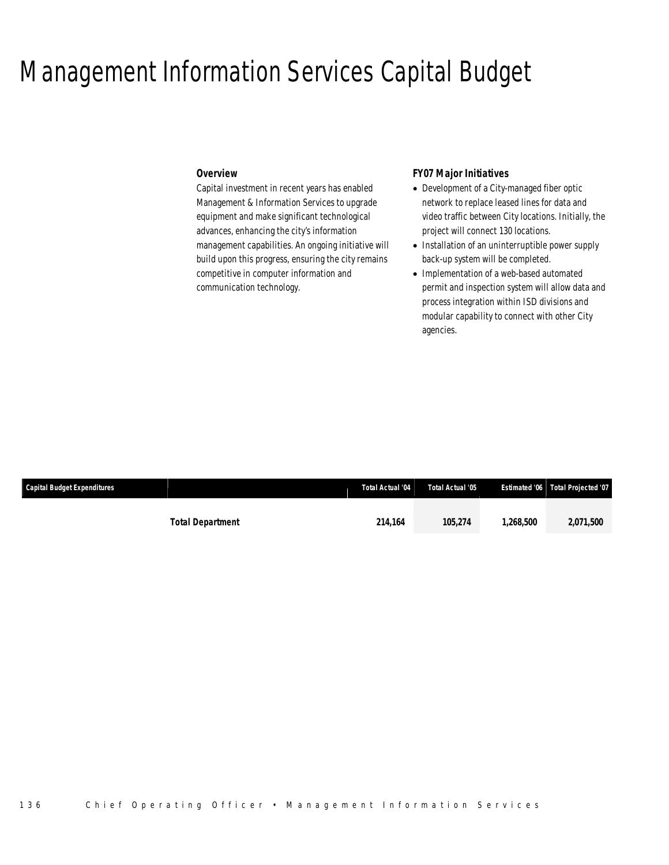# Management Information Services Capital Budget

### *Overview*

Capital investment in recent years has enabled Management & Information Services to upgrade equipment and make significant technological advances, enhancing the city's information management capabilities. An ongoing initiative will build upon this progress, ensuring the city remains competitive in computer information and communication technology.

## *FY07 Major Initiatives*

- Development of a City-managed fiber optic network to replace leased lines for data and video traffic between City locations. Initially, the project will connect 130 locations.
- Installation of an uninterruptible power supply back-up system will be completed.
- Implementation of a web-based automated permit and inspection system will allow data and process integration within ISD divisions and modular capability to connect with other City agencies.

| <b>Capital Budget Expenditures</b> |                         | Total Actual '04 | Total Actual '05 |           | Estimated '06 Total Projected '07 |
|------------------------------------|-------------------------|------------------|------------------|-----------|-----------------------------------|
|                                    |                         |                  |                  |           |                                   |
|                                    | <b>Total Department</b> | 214,164          | 105,274          | 1,268,500 | 2,071,500                         |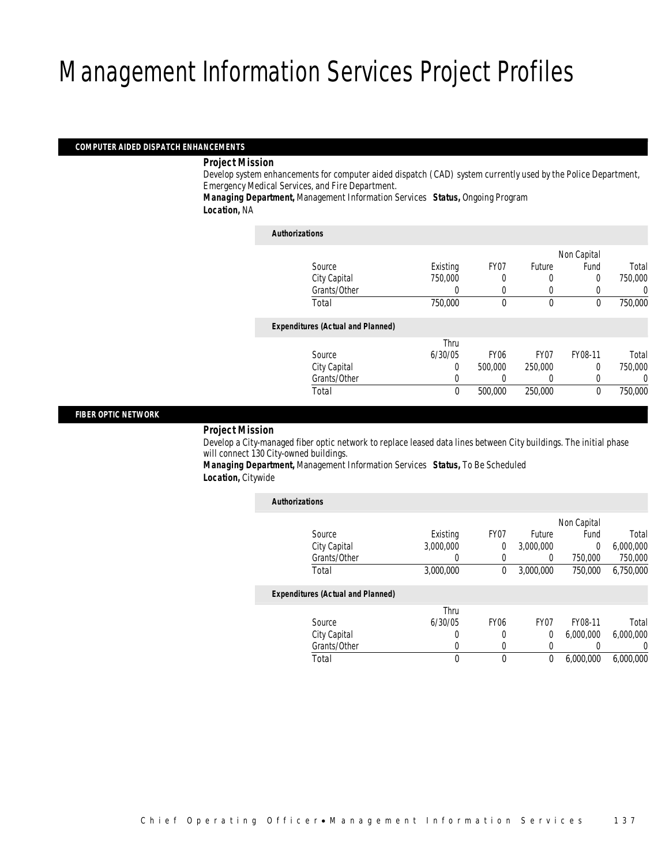### *COMPUTER AIDED DISPATCH ENHANCEMENTS*

*Project Mission* 

Develop system enhancements for computer aided dispatch (CAD) system currently used by the Police Department, Emergency Medical Services, and Fire Department.

*Managing Department,* Management Information Services *Status,* Ongoing Program *Location,* NA

| <b>Authorizations</b>                    |          |                  |                  |             |          |
|------------------------------------------|----------|------------------|------------------|-------------|----------|
|                                          |          |                  |                  | Non Capital |          |
| Source                                   | Existing | FY <sub>07</sub> | Future           | Fund        | Total    |
| City Capital                             | 750,000  | 0                | 0                | 0           | 750,000  |
| Grants/Other                             | 0        | 0                | 0                | 0           | 0        |
| Total                                    | 750,000  | 0                | 0                | $\theta$    | 750,000  |
| <b>Expenditures (Actual and Planned)</b> |          |                  |                  |             |          |
|                                          | Thru     |                  |                  |             |          |
| Source                                   | 6/30/05  | FY <sub>06</sub> | FY <sub>07</sub> | FY08-11     | Total    |
| City Capital                             | 0        | 500,000          | 250,000          | $\theta$    | 750,000  |
| Grants/Other                             | 0        | 0                | 0                | 0           | $\Omega$ |
| Total                                    | 0        | 500,000          | 250,000          | 0           | 750,000  |

### *FIBER OPTIC NETWORK*

*Project Mission* 

Develop a City-managed fiber optic network to replace leased data lines between City buildings. The initial phase will connect 130 City-owned buildings.

*Managing Department,* Management Information Services *Status,* To Be Scheduled *Location,* Citywide

| <b>Authorizations</b>                    |           |                |                  |             |           |
|------------------------------------------|-----------|----------------|------------------|-------------|-----------|
|                                          |           |                |                  | Non Capital |           |
| Source                                   | Existing  | FY07           | Future           | Fund        | Total     |
| City Capital                             | 3.000.000 | $\overline{0}$ | 3,000,000        | 0           | 6,000,000 |
| Grants/Other                             | 0         | 0              | 0                | 750,000     | 750,000   |
| Total                                    | 3,000,000 | $\theta$       | 3,000,000        | 750,000     | 6,750,000 |
| <b>Expenditures (Actual and Planned)</b> |           |                |                  |             |           |
|                                          | Thru      |                |                  |             |           |
| Source                                   | 6/30/05   | <b>FY06</b>    | FY <sub>07</sub> | FY08-11     | Total     |
| City Capital                             | 0         | $\Omega$       | 0                | 6,000,000   | 6,000,000 |
| Grants/Other                             | O         | 0              | 0                |             | 0         |
| Total                                    | 0         | 0              | 0                | 6.000.000   | 6.000.000 |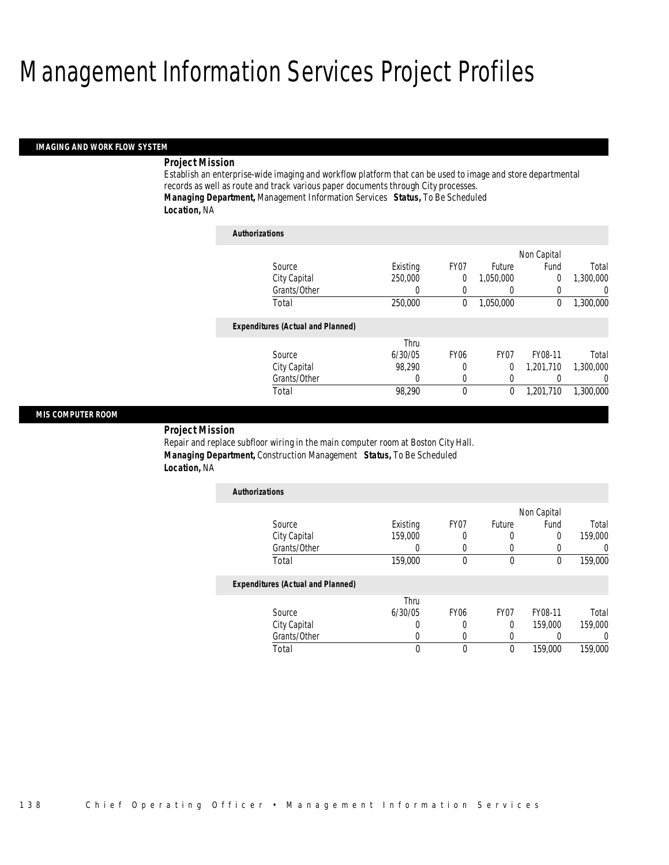#### *IMAGING AND WORK FLOW SYSTEM*

### *Project Mission*

Establish an enterprise-wide imaging and workflow platform that can be used to image and store departmental records as well as route and track various paper documents through City processes. *Managing Department,* Management Information Services *Status,* To Be Scheduled *Location,* NA

| <b>Authorizations</b>                    |          |                  |                  |             |           |
|------------------------------------------|----------|------------------|------------------|-------------|-----------|
|                                          |          |                  |                  | Non Capital |           |
| Source                                   | Existing | FY <sub>07</sub> | Future           | Fund        | Total     |
| City Capital                             | 250,000  | 0                | 1.050.000        | $\theta$    | 1,300,000 |
| Grants/Other                             | 0        | 0                | 0                |             | 0         |
| Total                                    | 250,000  | $\theta$         | 1,050,000        | $\theta$    | 1,300,000 |
| <b>Expenditures (Actual and Planned)</b> |          |                  |                  |             |           |
|                                          | Thru     |                  |                  |             |           |
| Source                                   | 6/30/05  | FY <sub>06</sub> | FY <sub>07</sub> | FY08-11     | Total     |
| City Capital                             | 98.290   | 0                | $\Omega$         | 1.201.710   | 1,300,000 |
| Grants/Other                             | 0        | $\left($         | $\left($         |             | $\Omega$  |
| Total                                    | 98.290   | $\theta$         | $\theta$         | 1.201.710   | 1,300,000 |

### *MIS COMPUTER ROOM*

*Project Mission* 

Repair and replace subfloor wiring in the main computer room at Boston City Hall. *Managing Department,* Construction Management *Status,* To Be Scheduled *Location,* NA

| <b>Authorizations</b>                    |          |                  |                  |             |         |
|------------------------------------------|----------|------------------|------------------|-------------|---------|
|                                          |          |                  |                  | Non Capital |         |
| Source                                   | Existing | FY <sub>07</sub> | Future           | Fund        | Total   |
| City Capital                             | 159,000  |                  | 0                | 0           | 159,000 |
| Grants/Other                             | O        |                  |                  |             | 0       |
| Total                                    | 159,000  | $\theta$         | $\theta$         | 0           | 159,000 |
| <b>Expenditures (Actual and Planned)</b> |          |                  |                  |             |         |
|                                          | Thru     |                  |                  |             |         |
| Source                                   | 6/30/05  | FY <sub>06</sub> | FY <sub>07</sub> | FY08-11     | Total   |
| City Capital                             | 0        |                  | $\theta$         | 159,000     | 159,000 |
| Grants/Other                             | 0        |                  | 0                |             | 0       |
| Total                                    | 0        | $\Omega$         | $\theta$         | 159,000     | 159,000 |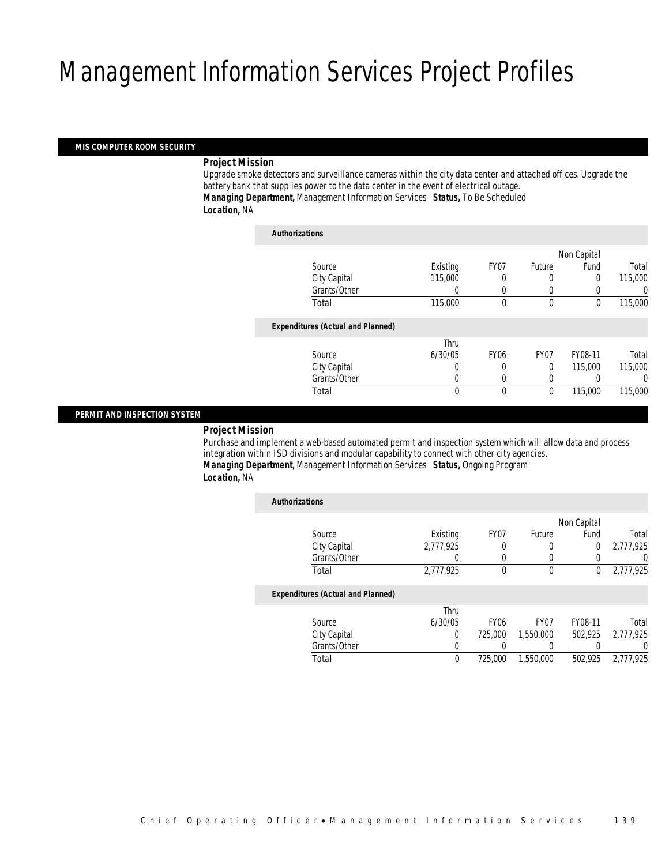#### *MIS COMPUTER ROOM SECURITY*

### *Project Mission*

Upgrade smoke detectors and surveillance cameras within the city data center and attached offices. Upgrade the battery bank that supplies power to the data center in the event of electrical outage. *Managing Department,* Management Information Services *Status,* To Be Scheduled *Location,* NA

| <b>Authorizations</b>                    |          |             |                  |             |          |
|------------------------------------------|----------|-------------|------------------|-------------|----------|
|                                          |          |             |                  | Non Capital |          |
| Source                                   | Existing | FY07        | Future           | Fund        | Total    |
| City Capital                             | 115,000  |             |                  | 0           | 115,000  |
| Grants/Other                             | 0        | 0           | 0                |             | $\left($ |
| Total                                    | 115,000  | 0           | $\theta$         | $\theta$    | 115,000  |
| <b>Expenditures (Actual and Planned)</b> |          |             |                  |             |          |
|                                          | Thru     |             |                  |             |          |
| Source                                   | 6/30/05  | <b>FY06</b> | FY <sub>07</sub> | FY08-11     | Total    |
| City Capital                             | 0        | 0           | 0                | 115,000     | 115,000  |
| Grants/Other                             | 0        | 0           | 0                |             | $\Omega$ |
| Total                                    | 0        | 0           | $\mathbf 0$      | 115,000     | 115,000  |

### *PERMIT AND INSPECTION SYSTEM*

#### *Project Mission*

Purchase and implement a web-based automated permit and inspection system which will allow data and process integration within ISD divisions and modular capability to connect with other city agencies. *Managing Department,* Management Information Services *Status,* Ongoing Program *Location,* NA

| <b>Authorizations</b>                    |           |                  |                  |             |           |
|------------------------------------------|-----------|------------------|------------------|-------------|-----------|
|                                          |           |                  |                  | Non Capital |           |
| Source                                   | Existing  | FY07             | Future           | Fund        | Total     |
| City Capital                             | 2,777,925 | 0                | 0                | 0           | 2,777,925 |
| Grants/Other                             | O         | $\Omega$         |                  | 0           | U         |
| Total                                    | 2,777,925 | $\theta$         | 0                | 0           | 2,777,925 |
| <b>Expenditures (Actual and Planned)</b> |           |                  |                  |             |           |
|                                          | Thru      |                  |                  |             |           |
| Source                                   | 6/30/05   | FY <sub>06</sub> | FY <sub>07</sub> | FY08-11     | Total     |
| City Capital                             | 0         | 725,000          | 1,550,000        | 502,925     | 2,777,925 |
| Grants/Other                             | 0         |                  | $\left($         |             | 0         |
| Total                                    | 0         | 725,000          | 1,550,000        | 502.925     | 2.777.925 |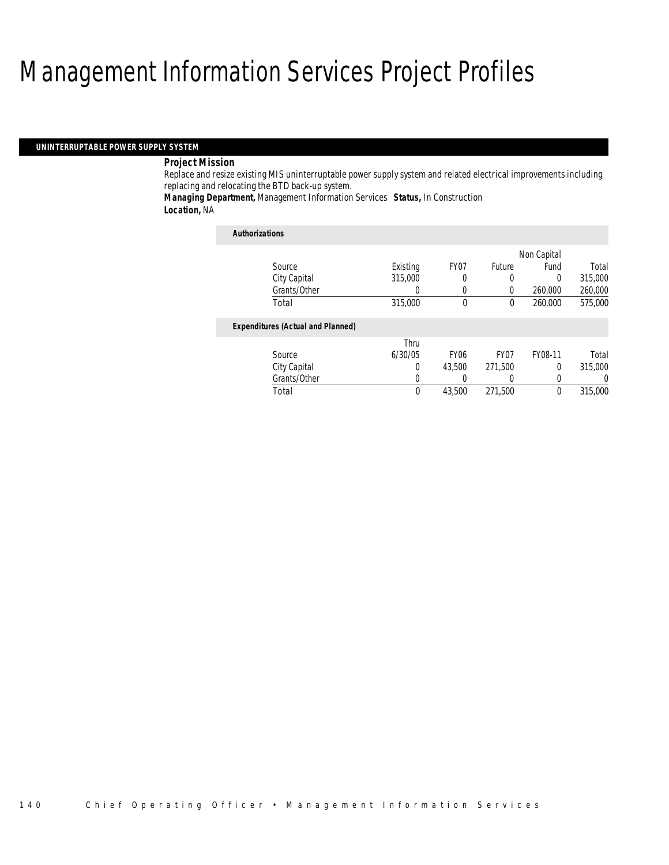#### *UNINTERRUPTABLE POWER SUPPLY SYSTEM*

### *Project Mission*

Replace and resize existing MIS uninterruptable power supply system and related electrical improvements including replacing and relocating the BTD back-up system.

*Managing Department,* Management Information Services *Status,* In Construction *Location,* NA

#### *Authorizations*

|                                          |          |                  |                  | Non Capital |          |
|------------------------------------------|----------|------------------|------------------|-------------|----------|
| Source                                   | Existing | FY <sub>07</sub> | Future           | Fund        | Total    |
| City Capital                             | 315,000  | 0                | 0                | 0           | 315,000  |
| Grants/Other                             | 0        | 0                | 0                | 260,000     | 260,000  |
| Total                                    | 315,000  | 0                | 0                | 260,000     | 575,000  |
| <b>Expenditures (Actual and Planned)</b> |          |                  |                  |             |          |
|                                          | Thru     |                  |                  |             |          |
| Source                                   | 6/30/05  | FY <sub>06</sub> | FY <sub>07</sub> | FY08-11     | Total    |
| City Capital                             | 0        | 43,500           | 271,500          | 0           | 315,000  |
| Grants/Other                             | 0        |                  | $\Omega$         |             | $\Omega$ |
| Total                                    | $\theta$ | 43,500           | 271,500          | $\Omega$    | 315,000  |
|                                          |          |                  |                  |             |          |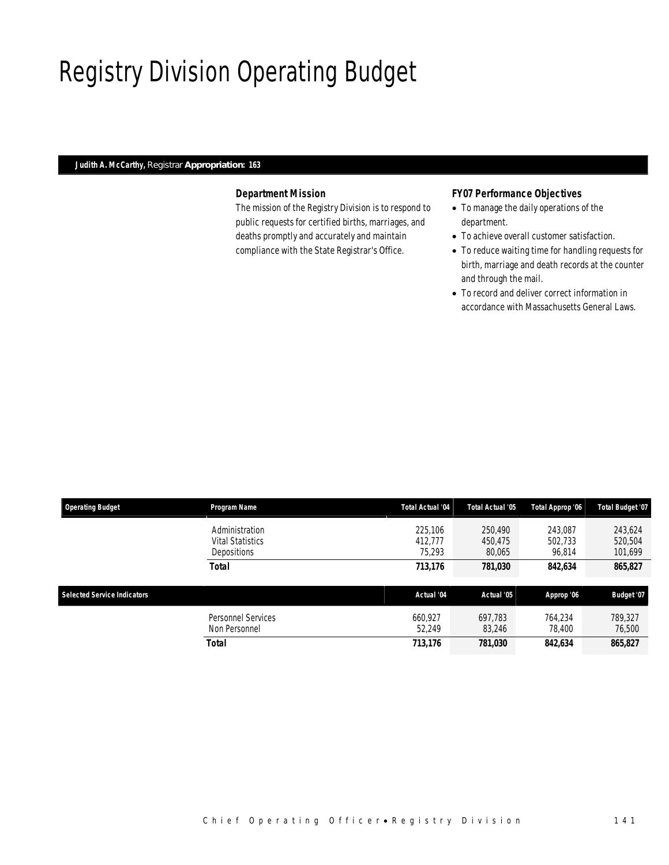# Registry Division Operating Budget

### *Judith A. McCarthy, Registrar Appropriation: 163*

## *Department Mission*

The mission of the Registry Division is to respond to public requests for certified births, marriages, and deaths promptly and accurately and maintain compliance with the State Registrar's Office.

### *FY07 Performance Objectives*

- To manage the daily operations of the department.
- To achieve overall customer satisfaction.
- To reduce waiting time for handling requests for birth, marriage and death records at the counter and through the mail.
- To record and deliver correct information in accordance with Massachusetts General Laws.

| <b>Operating Budget</b>            | Program Name                                                    | <b>Total Actual '04</b>      | <b>Total Actual '05</b>      | Total Approp '06             | <b>Total Budget '07</b>       |
|------------------------------------|-----------------------------------------------------------------|------------------------------|------------------------------|------------------------------|-------------------------------|
|                                    | Administration<br><b>Vital Statistics</b><br><b>Depositions</b> | 225.106<br>412.777<br>75.293 | 250.490<br>450,475<br>80,065 | 243.087<br>502,733<br>96,814 | 243,624<br>520,504<br>101,699 |
|                                    | Total                                                           | 713,176                      | 781,030                      | 842,634                      | 865,827                       |
| <b>Selected Service Indicators</b> |                                                                 | Actual '04                   | Actual '05                   | Approp '06                   | Budget '07                    |
|                                    | Personnel Services<br>Non Personnel                             | 660.927<br>52,249            | 697.783<br>83,246            | 764.234<br>78,400            | 789,327<br>76,500             |
|                                    | Total                                                           | 713,176                      | 781,030                      | 842,634                      | 865,827                       |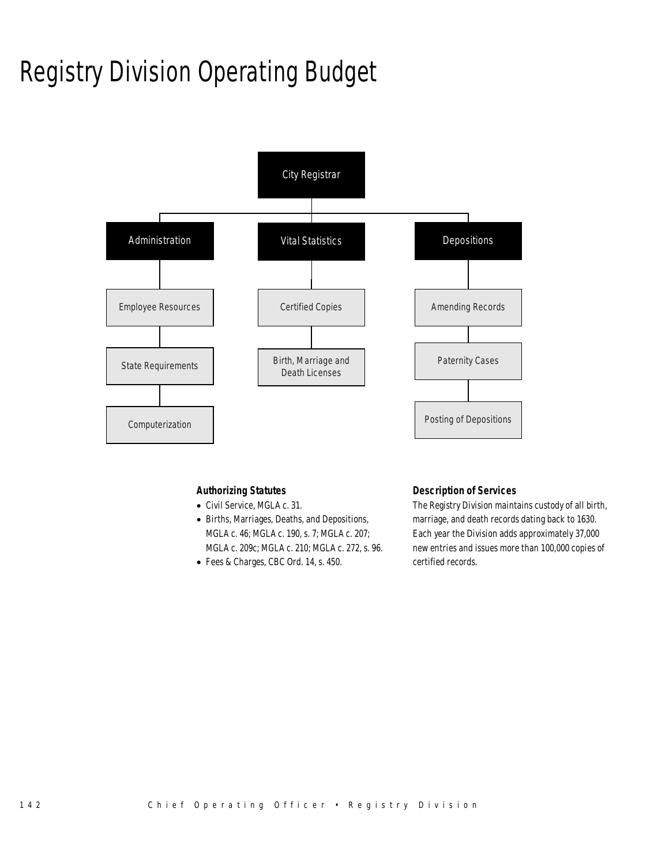# Registry Division Operating Budget



## *Authorizing Statutes*

- Civil Service, MGLA c. 31.
- Births, Marriages, Deaths, and Depositions, MGLA c. 46; MGLA c. 190, s. 7; MGLA c. 207; MGLA c. 209c; MGLA c. 210; MGLA c. 272, s. 96.
- Fees & Charges, CBC Ord. 14, s. 450.

### *Description of Services*

The Registry Division maintains custody of all birth, marriage, and death records dating back to 1630. Each year the Division adds approximately 37,000 new entries and issues more than 100,000 copies of certified records.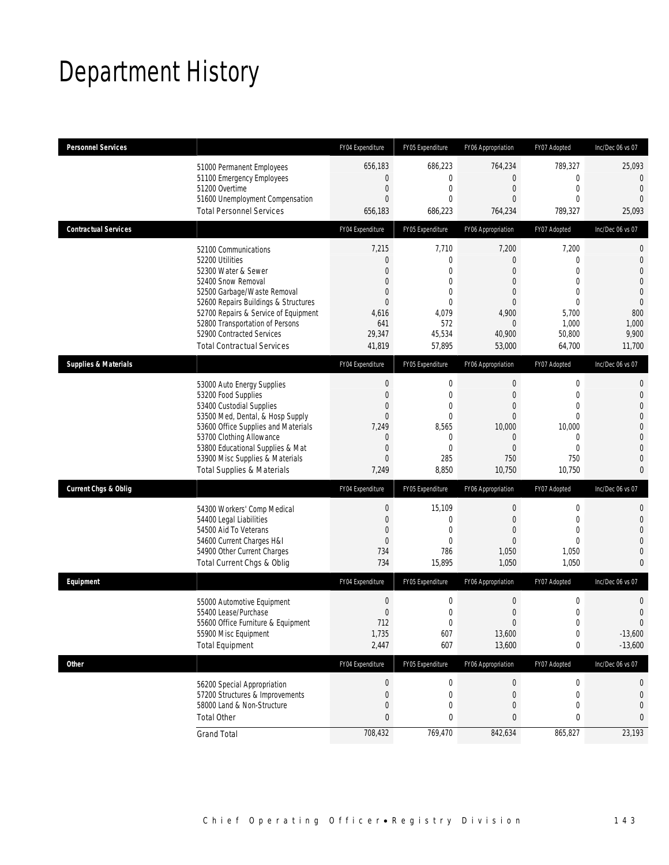# Department History

| <b>Personnel Services</b>       |                                                                                                                                                                                                                                                                                                          | FY04 Expenditure                                                                                                               | FY05 Expenditure                                                                                                             | FY06 Appropriation                                                                                                            | FY07 Adopted                                                                                      | Inc/Dec 06 vs 07                                                                                                                              |
|---------------------------------|----------------------------------------------------------------------------------------------------------------------------------------------------------------------------------------------------------------------------------------------------------------------------------------------------------|--------------------------------------------------------------------------------------------------------------------------------|------------------------------------------------------------------------------------------------------------------------------|-------------------------------------------------------------------------------------------------------------------------------|---------------------------------------------------------------------------------------------------|-----------------------------------------------------------------------------------------------------------------------------------------------|
|                                 | 51000 Permanent Employees<br>51100 Emergency Employees<br>51200 Overtime<br>51600 Unemployment Compensation<br><b>Total Personnel Services</b>                                                                                                                                                           | 656,183<br>$\mathbf{0}$<br>$\overline{0}$<br>$\overline{0}$<br>656,183                                                         | 686,223<br>$\mathbf{0}$<br>$\mathbf{0}$<br>$\Omega$<br>686,223                                                               | 764,234<br>0<br>$\boldsymbol{0}$<br>$\Omega$<br>764,234                                                                       | 789,327<br>$\overline{0}$<br>$\mathbf{0}$<br>$\Omega$<br>789,327                                  | 25,093<br>$\overline{0}$<br>$\overline{0}$<br>$\Omega$<br>25,093                                                                              |
| <b>Contractual Services</b>     |                                                                                                                                                                                                                                                                                                          | FY04 Expenditure                                                                                                               | FY05 Expenditure                                                                                                             | FY06 Appropriation                                                                                                            | FY07 Adopted                                                                                      | Inc/Dec 06 vs 07                                                                                                                              |
|                                 | 52100 Communications<br>52200 Utilities<br>52300 Water & Sewer<br>52400 Snow Removal<br>52500 Garbage/Waste Removal<br>52600 Repairs Buildings & Structures<br>52700 Repairs & Service of Equipment<br>52800 Transportation of Persons<br>52900 Contracted Services<br><b>Total Contractual Services</b> | 7,215<br>$\mathbf 0$<br>$\overline{0}$<br>$\Omega$<br>$\mathbf{0}$<br>$\mathbf{0}$<br>4,616<br>641<br>29,347<br>41,819         | 7,710<br>$\mathbf 0$<br>$\mathbf{0}$<br>$\overline{0}$<br>$\overline{0}$<br>$\mathbf{0}$<br>4,079<br>572<br>45,534<br>57,895 | 7,200<br>$\boldsymbol{0}$<br>0<br>$\overline{0}$<br>$\overline{0}$<br>$\theta$<br>4,900<br>$\overline{0}$<br>40,900<br>53,000 | 7,200<br>0<br>0<br>$\Omega$<br>$\overline{0}$<br>0<br>5,700<br>1,000<br>50,800<br>64,700          | 0<br>$\mathbf{0}$<br>$\mathbf{0}$<br>$\overline{0}$<br>$\overline{0}$<br>$\mathbf{0}$<br>800<br>1,000<br>9,900<br>11,700                      |
| <b>Supplies &amp; Materials</b> |                                                                                                                                                                                                                                                                                                          | FY04 Expenditure                                                                                                               | FY05 Expenditure                                                                                                             | FY06 Appropriation                                                                                                            | FY07 Adopted                                                                                      | Inc/Dec 06 vs 07                                                                                                                              |
|                                 | 53000 Auto Energy Supplies<br>53200 Food Supplies<br>53400 Custodial Supplies<br>53500 Med, Dental, & Hosp Supply<br>53600 Office Supplies and Materials<br>53700 Clothing Allowance<br>53800 Educational Supplies & Mat<br>53900 Misc Supplies & Materials<br><b>Total Supplies &amp; Materials</b>     | $\theta$<br>$\overline{0}$<br>$\mathbf{0}$<br>$\mathbf{0}$<br>7,249<br>$\mathbf{0}$<br>$\overline{0}$<br>$\mathbf{0}$<br>7,249 | $\mathbf 0$<br>$\mathbf{0}$<br>$\Omega$<br>$\overline{0}$<br>8,565<br>$\mathbf{0}$<br>$\mathbf{0}$<br>285<br>8,850           | $\boldsymbol{0}$<br>$\mathbf 0$<br>0<br>$\overline{0}$<br>10,000<br>$\mathbf 0$<br>$\overline{0}$<br>750<br>10,750            | $\mathbf 0$<br>$\mathbf{0}$<br>0<br>0<br>10,000<br>$\mathbf 0$<br>$\overline{0}$<br>750<br>10,750 | 0<br>$\overline{0}$<br>$\overline{0}$<br>$\overline{0}$<br>$\mathbf{0}$<br>$\overline{0}$<br>$\overline{0}$<br>$\overline{0}$<br>$\mathbf{0}$ |
| <b>Current Chgs &amp; Oblig</b> |                                                                                                                                                                                                                                                                                                          | FY04 Expenditure                                                                                                               | FY05 Expenditure                                                                                                             | FY06 Appropriation                                                                                                            | FY07 Adopted                                                                                      | Inc/Dec 06 vs 07                                                                                                                              |
|                                 | 54300 Workers' Comp Medical<br>54400 Legal Liabilities<br>54500 Aid To Veterans<br>54600 Current Charges H&I<br>54900 Other Current Charges<br>Total Current Chgs & Oblig                                                                                                                                | $\boldsymbol{0}$<br>$\overline{0}$<br>$\overline{0}$<br>$\overline{0}$<br>734<br>734                                           | 15,109<br>$\mathbf{0}$<br>$\Omega$<br>$\mathbf{0}$<br>786<br>15,895                                                          | $\boldsymbol{0}$<br>$\mathbf 0$<br>$\theta$<br>$\overline{0}$<br>1,050<br>1,050                                               | $\mathbf 0$<br>$\overline{0}$<br>$\Omega$<br>$\overline{0}$<br>1,050<br>1,050                     | 0<br>$\mathbf{0}$<br>$\Omega$<br>$\overline{0}$<br>0<br>$\overline{0}$                                                                        |
| Equipment                       |                                                                                                                                                                                                                                                                                                          | FY04 Expenditure                                                                                                               | FY05 Expenditure                                                                                                             | FY06 Appropriation                                                                                                            | FY07 Adopted                                                                                      | Inc/Dec 06 vs 07                                                                                                                              |
|                                 | 55000 Automotive Equipment<br>55400 Lease/Purchase<br>55600 Office Furniture & Equipment<br>55900 Misc Equipment<br><b>Total Equipment</b>                                                                                                                                                               | $\boldsymbol{0}$<br>$\mathbf 0$<br>712<br>1,735<br>2,447                                                                       | $\mathbf 0$<br>$\overline{0}$<br>$\Omega$<br>607<br>607                                                                      | $\boldsymbol{0}$<br>$\mathbf 0$<br>$\Omega$<br>13,600<br>13,600                                                               | 0<br>0<br>$\Omega$<br>$\boldsymbol{0}$<br>0                                                       | 0<br>$\overline{0}$<br>$\Omega$<br>$-13,600$<br>$-13,600$                                                                                     |
| Other                           |                                                                                                                                                                                                                                                                                                          | FY04 Expenditure                                                                                                               | FY05 Expenditure                                                                                                             | FY06 Appropriation                                                                                                            | FY07 Adopted                                                                                      | Inc/Dec 06 vs 07                                                                                                                              |
|                                 | 56200 Special Appropriation<br>57200 Structures & Improvements<br>58000 Land & Non-Structure<br><b>Total Other</b>                                                                                                                                                                                       | $\boldsymbol{0}$<br>$\mathbf 0$<br>$\mathbf 0$<br>$\bf{0}$                                                                     | $\boldsymbol{0}$<br>$\mathbf 0$<br>0<br>0                                                                                    | $\boldsymbol{0}$<br>$\mathbf 0$<br>0<br>0                                                                                     | $\boldsymbol{0}$<br>$\mathbf 0$<br>0<br>0                                                         | 0<br>0<br>$\mathbf{0}$<br>0                                                                                                                   |
|                                 | <b>Grand Total</b>                                                                                                                                                                                                                                                                                       | 708,432                                                                                                                        | 769,470                                                                                                                      | 842,634                                                                                                                       | 865,827                                                                                           | 23,193                                                                                                                                        |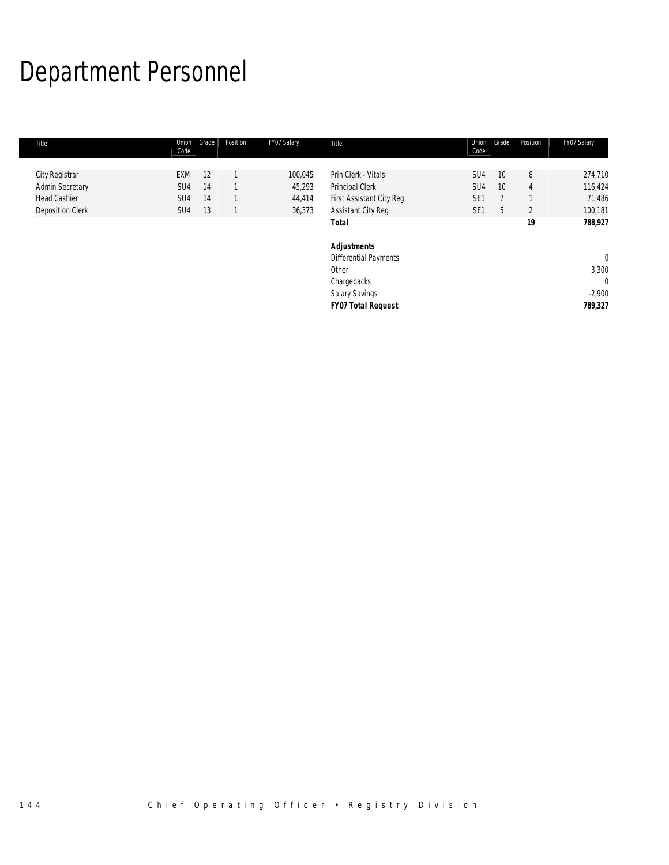# Department Personnel

| Title                                    | Union<br>Code     | Grade    | Position | FY07 Salary       | Title                                  | Union<br>Code                      | Grade    | Position | FY07 Salary        |
|------------------------------------------|-------------------|----------|----------|-------------------|----------------------------------------|------------------------------------|----------|----------|--------------------|
| City Registrar<br><b>Admin Secretary</b> | <b>EXM</b><br>SU4 | 12<br>14 |          | 100,045<br>45,293 | Prin Clerk - Vitals<br>Principal Clerk | SU <sub>4</sub><br>SU <sub>4</sub> | 10<br>10 | 8<br>4   | 274,710<br>116,424 |
| <b>Head Cashier</b>                      | SU4               | 14       |          | 44,414            | First Assistant City Reg               | SE <sub>1</sub>                    |          |          | 71,486             |
| <b>Deposition Clerk</b>                  | SU <sub>4</sub>   | 13       |          | 36,373            | <b>Assistant City Reg</b>              | SE <sub>1</sub>                    | 5        | 2        | 100,181            |
|                                          |                   |          |          |                   | <b>Total</b>                           |                                    |          | 19       | 788,927            |
|                                          |                   |          |          |                   | <b>Adjustments</b>                     |                                    |          |          |                    |
|                                          |                   |          |          |                   | <b>Differential Payments</b>           |                                    |          |          | $\mathbf 0$        |
|                                          |                   |          |          |                   | Other                                  |                                    |          |          | 3,300              |
|                                          |                   |          |          |                   | Chargebacks                            |                                    |          |          | $\overline{0}$     |
|                                          |                   |          |          |                   | Salary Savings                         |                                    |          |          | $-2,900$           |
|                                          |                   |          |          |                   | <b>FY07 Total Request</b>              |                                    |          |          | 789,327            |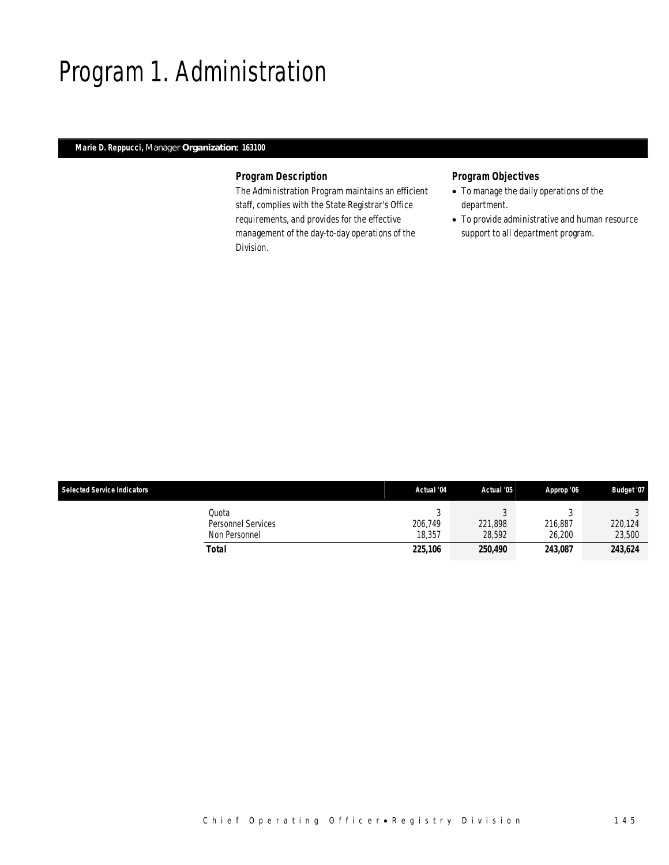# Program 1. Administration

### *Marie D. Reppucci, Manager Organization: 163100*

## *Program Description*

The Administration Program maintains an efficient staff, complies with the State Registrar's Office requirements, and provides for the effective management of the day-to-day operations of the Division.

- To manage the daily operations of the department.
- To provide administrative and human resource support to all department program.

| <b>Selected Service Indicators</b> |                                              | Actual '04        | Actual '05        | Approp '06        | <b>Budget '07</b> |
|------------------------------------|----------------------------------------------|-------------------|-------------------|-------------------|-------------------|
|                                    | Quota<br>Personnel Services<br>Non Personnel | 206.749<br>18,357 | 221,898<br>28.592 | 216,887<br>26,200 | 220,124<br>23,500 |
|                                    | Total                                        | 225,106           | 250,490           | 243.087           | 243,624           |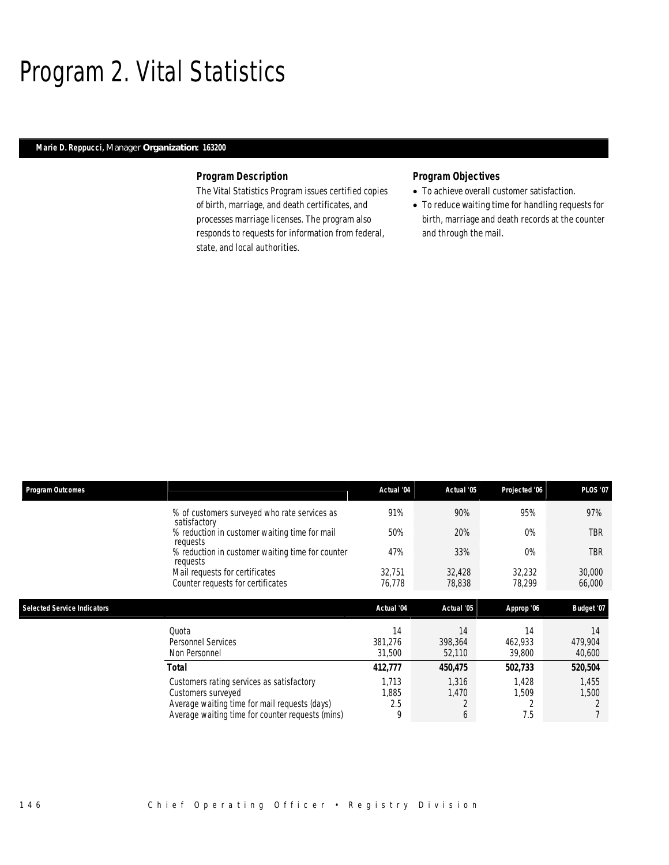## Program 2. Vital Statistics

### *Marie D. Reppucci, Manager Organization: 163200*

### *Program Description*

The Vital Statistics Program issues certified copies of birth, marriage, and death certificates, and processes marriage licenses. The program also responds to requests for information from federal, state, and local authorities.

- To achieve overall customer satisfaction.
- To reduce waiting time for handling requests for birth, marriage and death records at the counter and through the mail.

| <b>Program Outcomes</b>            |                                                                                                                                                                      | Actual '04                 | Actual '05               | Projected '06         | <b>PLOS '07</b>   |
|------------------------------------|----------------------------------------------------------------------------------------------------------------------------------------------------------------------|----------------------------|--------------------------|-----------------------|-------------------|
|                                    | % of customers surveyed who rate services as<br>satisfactory                                                                                                         | 91%                        | 90%                      | 95%                   | 97%               |
|                                    | % reduction in customer waiting time for mail<br>requests                                                                                                            | 50%                        | 20%                      | 0%                    | <b>TBR</b>        |
|                                    | % reduction in customer waiting time for counter<br>requests                                                                                                         | 47%                        | 33%                      | 0%                    | <b>TBR</b>        |
|                                    | Mail requests for certificates<br>Counter requests for certificates                                                                                                  | 32,751<br>76,778           | 32,428<br>78,838         | 32,232<br>78,299      | 30,000<br>66,000  |
| <b>Selected Service Indicators</b> |                                                                                                                                                                      | Actual '04                 | Actual '05               | Approp '06            | Budget '07        |
|                                    | Quota                                                                                                                                                                | 14                         | 14                       | 14                    | 14                |
|                                    | <b>Personnel Services</b><br>Non Personnel                                                                                                                           | 381,276<br>31,500          | 398,364<br>52,110        | 462,933<br>39,800     | 479,904<br>40,600 |
|                                    | <b>Total</b>                                                                                                                                                         | 412,777                    | 450,475                  | 502,733               | 520,504           |
|                                    | Customers rating services as satisfactory<br>Customers surveyed<br>Average waiting time for mail requests (days)<br>Average waiting time for counter requests (mins) | 1,713<br>1,885<br>2.5<br>9 | 1,316<br>1,470<br>2<br>6 | 1,428<br>1,509<br>7.5 | 1,455<br>1,500    |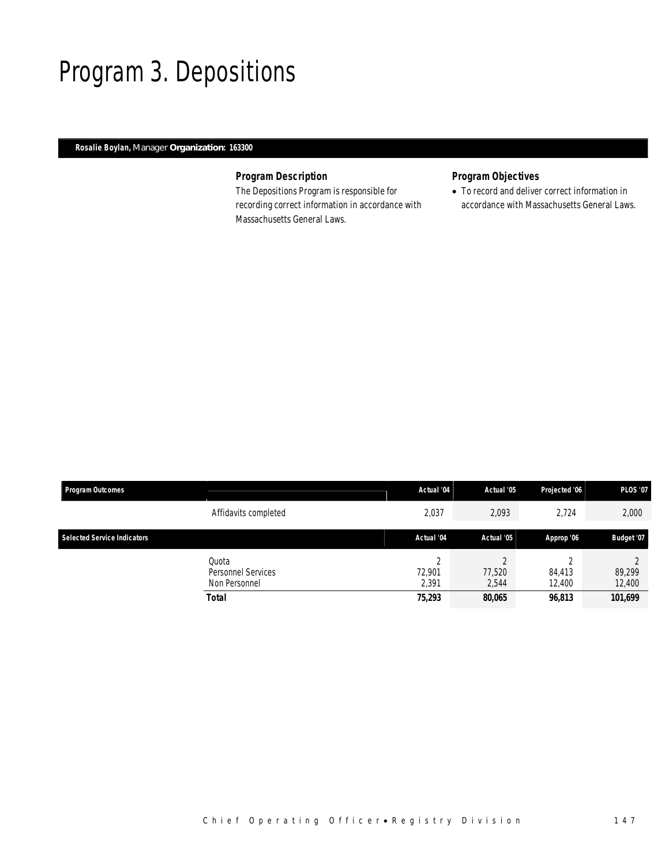# Program 3. Depositions

## *Rosalie Boylan, Manager Organization: 163300*

## *Program Description*

The Depositions Program is responsible for recording correct information in accordance with Massachusetts General Laws.

## *Program Objectives*

• To record and deliver correct information in accordance with Massachusetts General Laws.

| <b>Program Outcomes</b>                                      |                      | Actual '04                            | Actual '05                            | Projected '06              | <b>PLOS '07</b>             |
|--------------------------------------------------------------|----------------------|---------------------------------------|---------------------------------------|----------------------------|-----------------------------|
|                                                              | Affidavits completed | 2,037                                 | 2,093                                 | 2.724                      | 2,000                       |
| <b>Selected Service Indicators</b>                           |                      | Actual '04                            | Actual '05                            | Approp '06                 | Budget '07                  |
| Quota<br><b>Personnel Services</b><br>Non Personnel<br>Total |                      | $\Omega$<br>72.901<br>2,391<br>75,293 | $\Omega$<br>77,520<br>2,544<br>80,065 | 84.413<br>12,400<br>96,813 | 89,299<br>12,400<br>101,699 |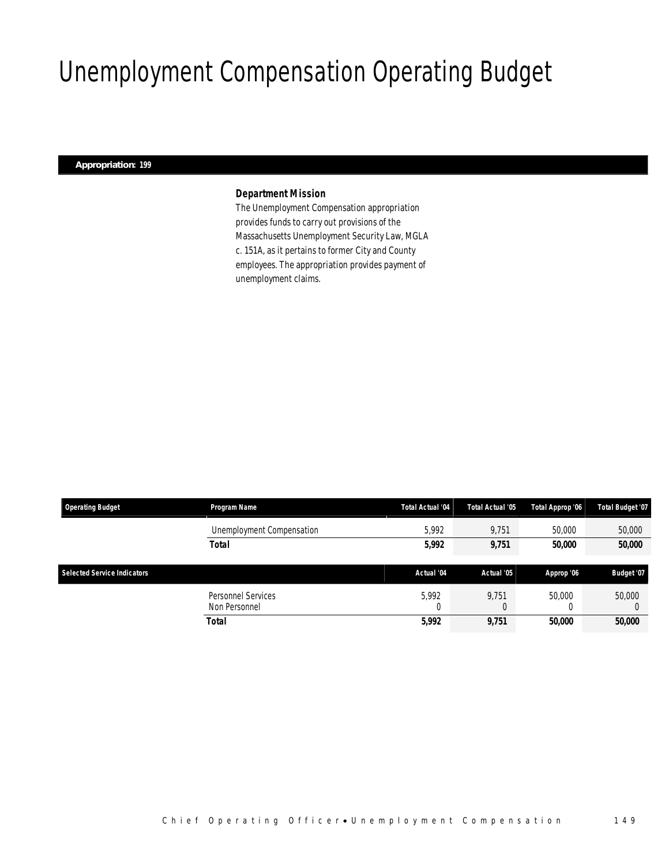# Unemployment Compensation Operating Budget

### *Appropriation: 199*

## *Department Mission*

The Unemployment Compensation appropriation provides funds to carry out provisions of the Massachusetts Unemployment Security Law, MGLA c. 151A, as it pertains to former City and County employees. The appropriation provides payment of unemployment claims.

| <b>Operating Budget</b>            | Program Name                               | Total Actual '04 | Total Actual '05 | Total Approp '06 | <b>Total Budget '07</b> |
|------------------------------------|--------------------------------------------|------------------|------------------|------------------|-------------------------|
|                                    | Unemployment Compensation                  | 5.992            | 9.751            | 50,000           | 50,000                  |
|                                    | Total                                      | 5,992            | 9,751            | 50,000           | 50,000                  |
|                                    |                                            |                  |                  |                  |                         |
| <b>Selected Service Indicators</b> |                                            | Actual '04       | Actual '05       | Approp '06       | Budget '07              |
|                                    | <b>Personnel Services</b><br>Non Personnel | 5.992            | 9.751<br>0       | 50.000           | 50,000                  |
|                                    | Total                                      | 5.992            | 9.751            | 50,000           | 50,000                  |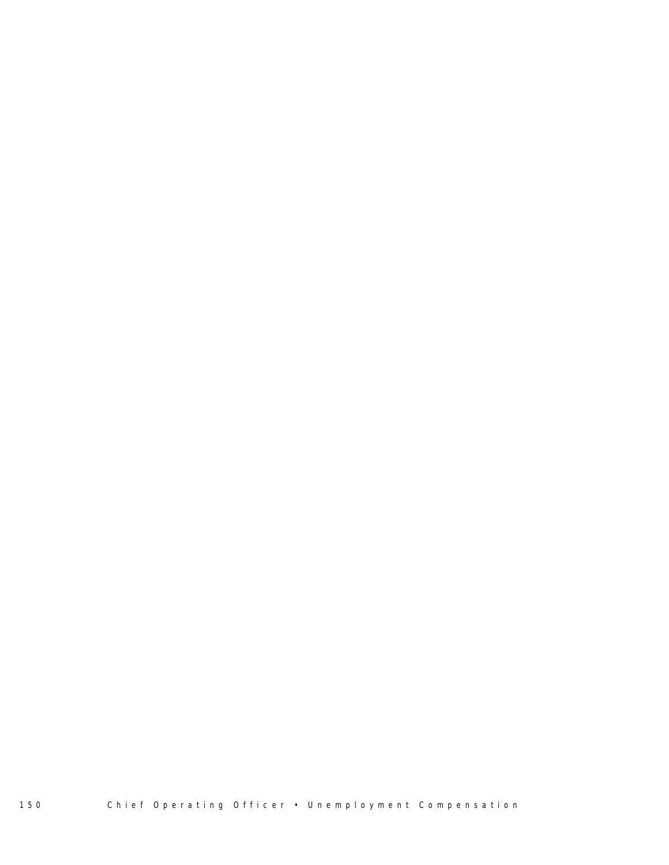150 Chief Operating Officer • Unemployment Compensation